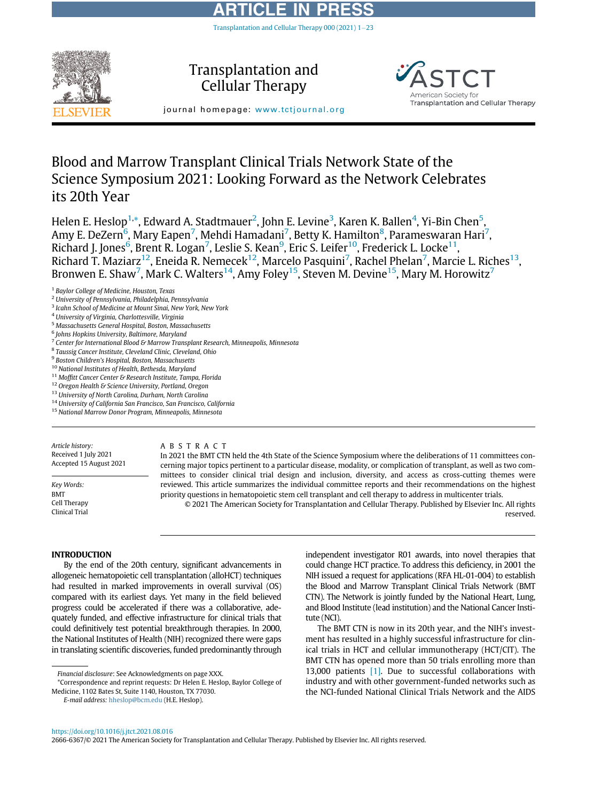# ARTICLE IN PRESS Transplantation and Cellular Therapy 000 (2021)  $1-23$  $1-23$



Transplantation and Cellular Therapy





# Blood and Marrow Transplant Clinical Trials Network State of the Science Symposium 2021: Looking Forward as the Network Celebrates its 20th Year

Helen E. Heslop<sup>[1,](#page-0-0)</sup>[\\*,](#page-0-1) Edward A. Stadtmauer<sup>[2](#page-0-2)</sup>, John E. Levine<sup>[3](#page-0-3)</sup>, Karen K. Ballen<sup>[4](#page-0-4)</sup>, Yi-Bin Chen<sup>[5](#page-0-5)</sup>, Amy E. DeZern $^6$  $^6$ , Mary Eapen $^7$  $^7$ , Mehdi Hamadani $^7$ , Betty K. Hamilton $^8$  $^8$ , Parameswaran Hari $^7$ , Richard J. Jones<sup>[6](#page-0-6)</sup>, Brent R. Logan<sup>[7](#page-0-7)</sup>, Leslie S. Kean<sup>[9](#page-0-9)</sup>, Eric S. Leifer<sup>10</sup>, Frederick L. Locke<sup>11</sup>, Richard T. Maziarz $^{12}$ , Eneida R. Nemecek $^{12}$ , Marcelo Pasquini $^7$  $^7$ , Rachel Phelan $^7$ , Marcie L. Riches $^{13}$ , Bronwen E. Shaw<sup>[7](#page-0-7)</sup>, Mark C. Walters $^{14}$ , Amy Foley $^{15}$ , Steven M. Devine $^{15}$ , Mary M. Horowitz $^7$ 

- <span id="page-0-7"></span> $7$  Center for International Blood & Marrow Transplant Research, Minneapolis, Minnesota
- <span id="page-0-8"></span><sup>8</sup> Taussig Cancer Institute, Cleveland Clinic, Cleveland, Ohio
- <span id="page-0-9"></span><sup>9</sup> Boston Children's Hospital, Boston, Massachusetts
- <span id="page-0-10"></span><sup>10</sup> National Institutes of Health, Bethesda, Maryland
- <span id="page-0-11"></span><sup>11</sup> Moffitt Cancer Center & Research Institute, Tampa, Florida
- <span id="page-0-12"></span><sup>12</sup> Oregon Health & Science University, Portland, Oregon
- <span id="page-0-13"></span><sup>13</sup> University of North Carolina, Durham, North Carolina
- <span id="page-0-14"></span><sup>14</sup> University of California San Francisco, San Francisco, California
- <span id="page-0-15"></span><sup>15</sup> National Marrow Donor Program, Minneapolis, Minnesota

Article history: Received 1 July 2021 Accepted 15 August 2021

Key Words: BMT Cell Therapy Clinical Trial

#### ABSTRACT

In 2021 the BMT CTN held the 4th State of the Science Symposium where the deliberations of 11 committees concerning major topics pertinent to a particular disease, modality, or complication of transplant, as well as two committees to consider clinical trial design and inclusion, diversity, and access as cross-cutting themes were reviewed. This article summarizes the individual committee reports and their recommendations on the highest priority questions in hematopoietic stem cell transplant and cell therapy to address in multicenter trials.

© 2021 The American Society for Transplantation and Cellular Therapy. Published by Elsevier Inc. All rights reserved.

#### INTRODUCTION

By the end of the 20th century, significant advancements in allogeneic hematopoietic cell transplantation (alloHCT) techniques had resulted in marked improvements in overall survival (OS) compared with its earliest days. Yet many in the field believed progress could be accelerated if there was a collaborative, adequately funded, and effective infrastructure for clinical trials that could definitively test potential breakthrough therapies. In 2000, the National Institutes of Health (NIH) recognized there were gaps in translating scientific discoveries, funded predominantly through

<span id="page-0-1"></span>\*Correspondence and reprint requests: Dr Helen E. Heslop, Baylor College of Medicine, 1102 Bates St, Suite 1140, Houston, TX 77030.

independent investigator R01 awards, into novel therapies that could change HCT practice. To address this deficiency, in 2001 the NIH issued a request for applications (RFA HL-01-004) to establish the Blood and Marrow Transplant Clinical Trials Network (BMT CTN). The Network is jointly funded by the National Heart, Lung, and Blood Institute (lead institution) and the National Cancer Institute (NCI).

The BMT CTN is now in its 20th year, and the NIH's investment has resulted in a highly successful infrastructure for clinical trials in HCT and cellular immunotherapy (HCT/CIT). The BMT CTN has opened more than 50 trials enrolling more than 13,000 patients [\[1\]](#page-20-0). Due to successful collaborations with industry and with other government-funded networks such as the NCI-funded National Clinical Trials Network and the AIDS

2666-6367/© 2021 The American Society for Transplantation and Cellular Therapy. Published by Elsevier Inc. All rights reserved.

<span id="page-0-0"></span><sup>&</sup>lt;sup>1</sup> Baylor College of Medicine, Houston, Texas

<span id="page-0-2"></span><sup>2</sup> University of Pennsylvania, Philadelphia, Pennsylvania

<span id="page-0-3"></span><sup>&</sup>lt;sup>3</sup> Icahn School of Medicine at Mount Sinai, New York, New York

<span id="page-0-4"></span><sup>4</sup> University of Virginia, Charlottesville, Virginia

<span id="page-0-5"></span><sup>&</sup>lt;sup>5</sup> Massachusetts General Hospital, Boston, Massachusetts

<span id="page-0-6"></span><sup>6</sup> Johns Hopkins University, Baltimore, Maryland

Financial disclosure: See Acknowledgments on page XXX.

E-mail address: [hheslop@bcm.edu](mailto:hheslop@bcm.edu) (H.E. Heslop).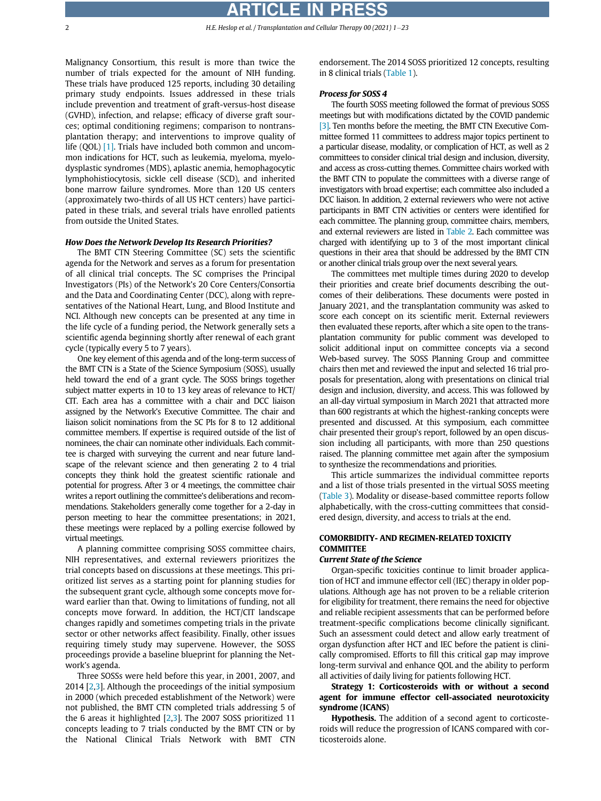2 **H.E. Heslop et al. / Transplantation and Cellular Therapy 00 (2021) 1-23** 

Malignancy Consortium, this result is more than twice the number of trials expected for the amount of NIH funding. These trials have produced 125 reports, including 30 detailing primary study endpoints. Issues addressed in these trials include prevention and treatment of graft-versus-host disease (GVHD), infection, and relapse; efficacy of diverse graft sources; optimal conditioning regimens; comparison to nontransplantation therapy; and interventions to improve quality of life (QOL) [\[1\]](#page-20-0). Trials have included both common and uncommon indications for HCT, such as leukemia, myeloma, myelodysplastic syndromes (MDS), aplastic anemia, hemophagocytic lymphohistiocytosis, sickle cell disease (SCD), and inherited bone marrow failure syndromes. More than 120 US centers (approximately two-thirds of all US HCT centers) have participated in these trials, and several trials have enrolled patients from outside the United States.

#### How Does the Network Develop Its Research Priorities?

The BMT CTN Steering Committee (SC) sets the scientific agenda for the Network and serves as a forum for presentation of all clinical trial concepts. The SC comprises the Principal Investigators (PIs) of the Network's 20 Core Centers/Consortia and the Data and Coordinating Center (DCC), along with representatives of the National Heart, Lung, and Blood Institute and NCI. Although new concepts can be presented at any time in the life cycle of a funding period, the Network generally sets a scientific agenda beginning shortly after renewal of each grant cycle (typically every 5 to 7 years).

One key element of this agenda and of the long-term success of the BMT CTN is a State of the Science Symposium (SOSS), usually held toward the end of a grant cycle. The SOSS brings together subject matter experts in 10 to 13 key areas of relevance to HCT/ CIT. Each area has a committee with a chair and DCC liaison assigned by the Network's Executive Committee. The chair and liaison solicit nominations from the SC PIs for 8 to 12 additional committee members. If expertise is required outside of the list of nominees, the chair can nominate other individuals. Each committee is charged with surveying the current and near future landscape of the relevant science and then generating 2 to 4 trial concepts they think hold the greatest scientific rationale and potential for progress. After 3 or 4 meetings, the committee chair writes a report outlining the committee's deliberations and recommendations. Stakeholders generally come together for a 2-day in person meeting to hear the committee presentations; in 2021, these meetings were replaced by a polling exercise followed by virtual meetings.

A planning committee comprising SOSS committee chairs, NIH representatives, and external reviewers prioritizes the trial concepts based on discussions at these meetings. This prioritized list serves as a starting point for planning studies for the subsequent grant cycle, although some concepts move forward earlier than that. Owing to limitations of funding, not all concepts move forward. In addition, the HCT/CIT landscape changes rapidly and sometimes competing trials in the private sector or other networks affect feasibility. Finally, other issues requiring timely study may supervene. However, the SOSS proceedings provide a baseline blueprint for planning the Network's agenda.

Three SOSSs were held before this year, in 2001, 2007, and 2014 [\[2,](#page-20-1)[3\]](#page-20-2). Although the proceedings of the initial symposium in 2000 (which preceded establishment of the Network) were not published, the BMT CTN completed trials addressing 5 of the 6 areas it highlighted [\[2,](#page-20-1)[3](#page-20-2)]. The 2007 SOSS prioritized 11 concepts leading to 7 trials conducted by the BMT CTN or by the National Clinical Trials Network with BMT CTN

endorsement. The 2014 SOSS prioritized 12 concepts, resulting in 8 clinical trials ([Table 1\)](#page-2-0).

#### Process for SOSS 4

The fourth SOSS meeting followed the format of previous SOSS meetings but with modifications dictated by the COVID pandemic [\[3\]](#page-20-2). Ten months before the meeting, the BMT CTN Executive Committee formed 11 committees to address major topics pertinent to a particular disease, modality, or complication of HCT, as well as 2 committees to consider clinical trial design and inclusion, diversity, and access as cross-cutting themes. Committee chairs worked with the BMT CTN to populate the committees with a diverse range of investigators with broad expertise; each committee also included a DCC liaison. In addition, 2 external reviewers who were not active participants in BMT CTN activities or centers were identified for each committee. The planning group, committee chairs, members, and external reviewers are listed in [Table 2.](#page-4-0) Each committee was charged with identifying up to 3 of the most important clinical questions in their area that should be addressed by the BMT CTN or another clinical trials group over the next several years.

The committees met multiple times during 2020 to develop their priorities and create brief documents describing the outcomes of their deliberations. These documents were posted in January 2021, and the transplantation community was asked to score each concept on its scientific merit. External reviewers then evaluated these reports, after which a site open to the transplantation community for public comment was developed to solicit additional input on committee concepts via a second Web-based survey. The SOSS Planning Group and committee chairs then met and reviewed the input and selected 16 trial proposals for presentation, along with presentations on clinical trial design and inclusion, diversity, and access. This was followed by an all-day virtual symposium in March 2021 that attracted more than 600 registrants at which the highest-ranking concepts were presented and discussed. At this symposium, each committee chair presented their group's report, followed by an open discussion including all participants, with more than 250 questions raised. The planning committee met again after the symposium to synthesize the recommendations and priorities.

This article summarizes the individual committee reports and a list of those trials presented in the virtual SOSS meeting ([Table 3\)](#page-6-0). Modality or disease-based committee reports follow alphabetically, with the cross-cutting committees that considered design, diversity, and access to trials at the end.

# COMORBIDITY- AND REGIMEN-RELATED TOXICITY **COMMITTEE**

#### Current State of the Science

Organ-specific toxicities continue to limit broader application of HCT and immune effector cell (IEC) therapy in older populations. Although age has not proven to be a reliable criterion for eligibility for treatment, there remains the need for objective and reliable recipient assessments that can be performed before treatment-specific complications become clinically significant. Such an assessment could detect and allow early treatment of organ dysfunction after HCT and IEC before the patient is clinically compromised. Efforts to fill this critical gap may improve long-term survival and enhance QOL and the ability to perform all activities of daily living for patients following HCT.

Strategy 1: Corticosteroids with or without a second agent for immune effector cell-associated neurotoxicity syndrome (ICANS)

Hypothesis. The addition of a second agent to corticosteroids will reduce the progression of ICANS compared with corticosteroids alone.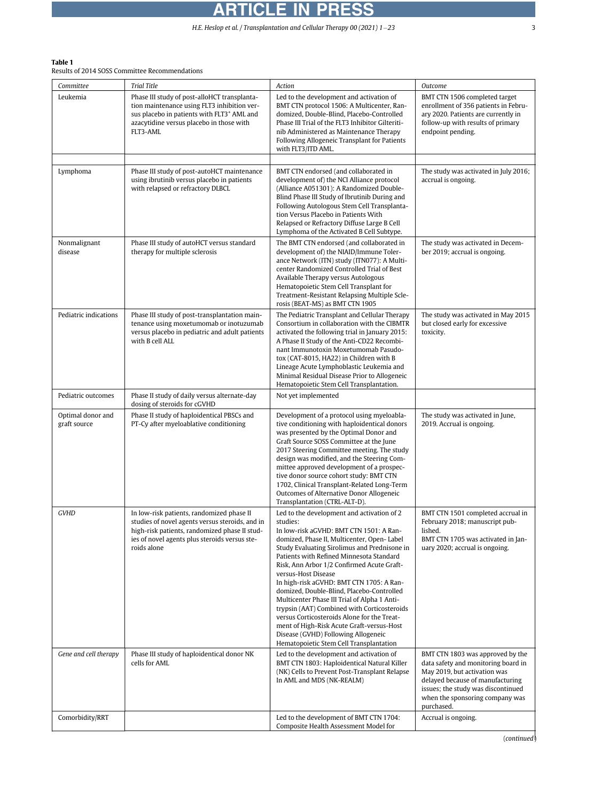# <span id="page-2-0"></span>Table 1

Results of 2014 SOSS Committee Recommendations

| Committee<br>Leukemia             | <b>Trial Title</b><br>Phase III study of post-alloHCT transplanta-<br>tion maintenance using FLT3 inhibition ver-<br>sus placebo in patients with FLT3 <sup>+</sup> AML and<br>azacytidine versus placebo in those with<br>FLT3-AML | Action<br>Led to the development and activation of<br>BMT CTN protocol 1506: A Multicenter, Ran-<br>domized. Double-Blind. Placebo-Controlled<br>Phase III Trial of the FLT3 Inhibitor Gilteriti-<br>nib Administered as Maintenance Therapy<br>Following Allogeneic Transplant for Patients<br>with FLT3/ITD AML.                                                                                                                                                                                                                                                                                                                                                                      | Outcome<br>BMT CTN 1506 completed target<br>enrollment of 356 patients in Febru-<br>ary 2020. Patients are currently in<br>follow-up with results of primary<br>endpoint pending.                                                  |
|-----------------------------------|-------------------------------------------------------------------------------------------------------------------------------------------------------------------------------------------------------------------------------------|-----------------------------------------------------------------------------------------------------------------------------------------------------------------------------------------------------------------------------------------------------------------------------------------------------------------------------------------------------------------------------------------------------------------------------------------------------------------------------------------------------------------------------------------------------------------------------------------------------------------------------------------------------------------------------------------|------------------------------------------------------------------------------------------------------------------------------------------------------------------------------------------------------------------------------------|
| Lymphoma                          | Phase III study of post-autoHCT maintenance<br>using ibrutinib versus placebo in patients<br>with relapsed or refractory DLBCL                                                                                                      | BMT CTN endorsed (and collaborated in<br>development of) the NCI Alliance protocol<br>(Alliance A051301): A Randomized Double-<br>Blind Phase III Study of Ibrutinib During and<br>Following Autologous Stem Cell Transplanta-<br>tion Versus Placebo in Patients With<br>Relapsed or Refractory Diffuse Large B Cell<br>Lymphoma of the Activated B Cell Subtype.                                                                                                                                                                                                                                                                                                                      | The study was activated in July 2016;<br>accrual is ongoing.                                                                                                                                                                       |
| Nonmalignant<br>disease           | Phase III study of autoHCT versus standard<br>therapy for multiple sclerosis                                                                                                                                                        | The BMT CTN endorsed (and collaborated in<br>development of) the NIAID/Immune Toler-<br>ance Network (ITN) study (ITN077): A Multi-<br>center Randomized Controlled Trial of Best<br>Available Therapy versus Autologous<br>Hematopoietic Stem Cell Transplant for<br>Treatment-Resistant Relapsing Multiple Scle-<br>rosis (BEAT-MS) as BMT CTN 1905                                                                                                                                                                                                                                                                                                                                   | The study was activated in Decem-<br>ber 2019; accrual is ongoing.                                                                                                                                                                 |
| Pediatric indications             | Phase III study of post-transplantation main-<br>tenance using moxetumomab or inotuzumab<br>versus placebo in pediatric and adult patients<br>with B cell ALL                                                                       | The Pediatric Transplant and Cellular Therapy<br>Consortium in collaboration with the CIBMTR<br>activated the following trial in January 2015:<br>A Phase II Study of the Anti-CD22 Recombi-<br>nant Immunotoxin Moxetumomab Pasudo-<br>tox (CAT-8015, HA22) in Children with B<br>Lineage Acute Lymphoblastic Leukemia and<br>Minimal Residual Disease Prior to Allogeneic<br>Hematopoietic Stem Cell Transplantation.                                                                                                                                                                                                                                                                 | The study was activated in May 2015<br>but closed early for excessive<br>toxicity.                                                                                                                                                 |
| Pediatric outcomes                | Phase II study of daily versus alternate-day<br>dosing of steroids for cGVHD                                                                                                                                                        | Not yet implemented                                                                                                                                                                                                                                                                                                                                                                                                                                                                                                                                                                                                                                                                     |                                                                                                                                                                                                                                    |
| Optimal donor and<br>graft source | Phase II study of haploidentical PBSCs and<br>PT-Cy after myeloablative conditioning                                                                                                                                                | Development of a protocol using myeloabla-<br>tive conditioning with haploidentical donors<br>was presented by the Optimal Donor and<br>Graft Source SOSS Committee at the June<br>2017 Steering Committee meeting. The study<br>design was modified, and the Steering Com-<br>mittee approved development of a prospec-<br>tive donor source cohort study: BMT CTN<br>1702, Clinical Transplant-Related Long-Term<br>Outcomes of Alternative Donor Allogeneic<br>Transplantation (CTRL-ALT-D).                                                                                                                                                                                         | The study was activated in June,<br>2019. Accrual is ongoing.                                                                                                                                                                      |
| GVHD                              | In low-risk patients, randomized phase II<br>studies of novel agents versus steroids, and in<br>high-risk patients, randomized phase II stud-<br>ies of novel agents plus steroids versus ste-<br>roids alone                       | Led to the development and activation of 2<br>studies:<br>In low-risk aGVHD: BMT CTN 1501: A Ran-<br>domized, Phase II, Multicenter, Open- Label<br>Study Evaluating Sirolimus and Prednisone in<br>Patients with Refined Minnesota Standard<br>Risk, Ann Arbor 1/2 Confirmed Acute Graft-<br>versus-Host Disease<br>In high-risk aGVHD: BMT CTN 1705: A Ran-<br>domized, Double-Blind, Placebo-Controlled<br>Multicenter Phase III Trial of Alpha 1 Anti-<br>trypsin (AAT) Combined with Corticosteroids<br>versus Corticosteroids Alone for the Treat-<br>ment of High-Risk Acute Graft-versus-Host<br>Disease (GVHD) Following Allogeneic<br>Hematopoietic Stem Cell Transplantation | BMT CTN 1501 completed accrual in<br>February 2018; manuscript pub-<br>lished.<br>BMT CTN 1705 was activated in Jan-<br>uary 2020; accrual is ongoing.                                                                             |
| Gene and cell therapy             | Phase III study of haploidentical donor NK<br>cells for AML                                                                                                                                                                         | Led to the development and activation of<br>BMT CTN 1803: Haploidentical Natural Killer<br>(NK) Cells to Prevent Post-Transplant Relapse<br>In AML and MDS (NK-REALM)                                                                                                                                                                                                                                                                                                                                                                                                                                                                                                                   | BMT CTN 1803 was approved by the<br>data safety and monitoring board in<br>May 2019, but activation was<br>delayed because of manufacturing<br>issues; the study was discontinued<br>when the sponsoring company was<br>purchased. |
| Comorbidity/RRT                   |                                                                                                                                                                                                                                     | Led to the development of BMT CTN 1704:<br>Composite Health Assessment Model for                                                                                                                                                                                                                                                                                                                                                                                                                                                                                                                                                                                                        | Accrual is ongoing.                                                                                                                                                                                                                |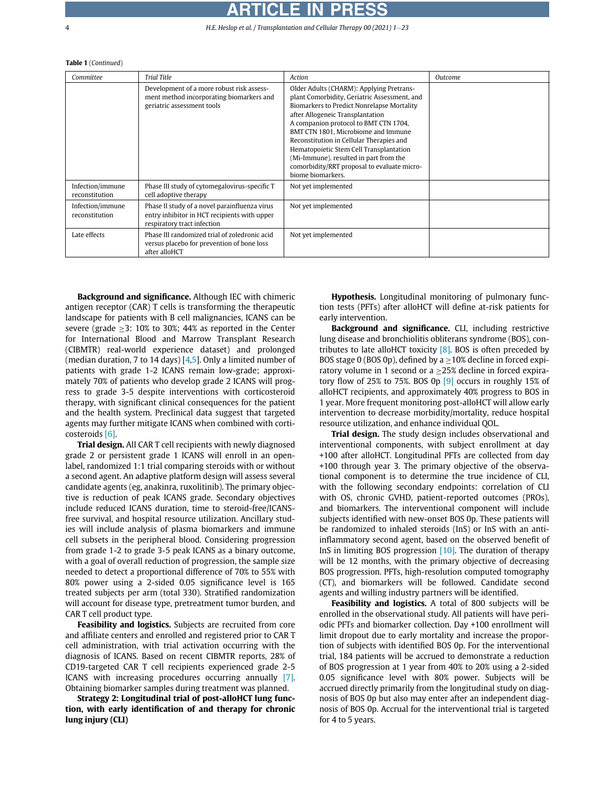# ICLE I

4 H.E. Heslop et al. / Transplantation and Cellular Therapy 00 (2021) 1-23

#### Table 1 (Continued)

| Committee                          | <b>Trial Title</b>                                                                                                           | Action                                                                                                                                                                                                                                                                                                                                                                                                                                                          | Outcome |
|------------------------------------|------------------------------------------------------------------------------------------------------------------------------|-----------------------------------------------------------------------------------------------------------------------------------------------------------------------------------------------------------------------------------------------------------------------------------------------------------------------------------------------------------------------------------------------------------------------------------------------------------------|---------|
|                                    | Development of a more robust risk assess-<br>ment method incorporating biomarkers and<br>geriatric assessment tools          | Older Adults (CHARM): Applying Pretrans-<br>plant Comorbidity, Geriatric Assessment, and<br>Biomarkers to Predict Nonrelapse Mortality<br>after Allogeneic Transplantation<br>A companion protocol to BMT CTN 1704,<br>BMT CTN 1801, Microbiome and Immune<br>Reconstitution in Cellular Therapies and<br>Hematopoietic Stem Cell Transplantation<br>(Mi-Immune), resulted in part from the<br>comorbidity/RRT proposal to evaluate micro-<br>biome biomarkers. |         |
| Infection/immune<br>reconstitution | Phase III study of cytomegalovirus-specific T<br>cell adoptive therapy                                                       | Not yet implemented                                                                                                                                                                                                                                                                                                                                                                                                                                             |         |
| Infection/immune<br>reconstitution | Phase II study of a novel parainfluenza virus<br>entry inhibitor in HCT recipients with upper<br>respiratory tract infection | Not yet implemented                                                                                                                                                                                                                                                                                                                                                                                                                                             |         |
| Late effects                       | Phase III randomized trial of zoledronic acid<br>versus placebo for prevention of bone loss<br>after alloHCT                 | Not yet implemented                                                                                                                                                                                                                                                                                                                                                                                                                                             |         |

Background and significance. Although IEC with chimeric antigen receptor (CAR) T cells is transforming the therapeutic landscape for patients with B cell malignancies, ICANS can be severe (grade  $\geq$ 3: 10% to 30%; 44% as reported in the Center for International Blood and Marrow Transplant Research (CIBMTR) real-world experience dataset) and prolonged (median duration, 7 to 14 days) [\[4,](#page-20-3)[5](#page-20-4)]. Only a limited number of patients with grade 1-2 ICANS remain low-grade; approximately 70% of patients who develop grade 2 ICANS will progress to grade 3-5 despite interventions with corticosteroid therapy, with significant clinical consequences for the patient and the health system. Preclinical data suggest that targeted agents may further mitigate ICANS when combined with corticosteroids [\[6\].](#page-20-5)

Trial design. All CAR T cell recipients with newly diagnosed grade 2 or persistent grade 1 ICANS will enroll in an openlabel, randomized 1:1 trial comparing steroids with or without a second agent. An adaptive platform design will assess several candidate agents (eg, anakinra, ruxolitinib). The primary objective is reduction of peak ICANS grade. Secondary objectives include reduced ICANS duration, time to steroid-free/ICANSfree survival, and hospital resource utilization. Ancillary studies will include analysis of plasma biomarkers and immune cell subsets in the peripheral blood. Considering progression from grade 1-2 to grade 3-5 peak ICANS as a binary outcome, with a goal of overall reduction of progression, the sample size needed to detect a proportional difference of 70% to 55% with 80% power using a 2-sided 0.05 significance level is 165 treated subjects per arm (total 330). Stratified randomization will account for disease type, pretreatment tumor burden, and CAR T cell product type.

Feasibility and logistics. Subjects are recruited from core and affiliate centers and enrolled and registered prior to CAR T cell administration, with trial activation occurring with the diagnosis of ICANS. Based on recent CIBMTR reports, 28% of CD19-targeted CAR T cell recipients experienced grade 2-5 ICANS with increasing procedures occurring annually [\[7\].](#page-20-6) Obtaining biomarker samples during treatment was planned.

Strategy 2: Longitudinal trial of post-alloHCT lung function, with early identification of and therapy for chronic lung injury (CLI)

Hypothesis. Longitudinal monitoring of pulmonary function tests (PFTs) after alloHCT will define at-risk patients for early intervention.

Background and significance. CLI, including restrictive lung disease and bronchiolitis obliterans syndrome (BOS), contributes to late alloHCT toxicity  $[8]$ . BOS is often preceded by BOS stage 0 (BOS 0p), defined by a  $\geq$  10% decline in forced expiratory volume in 1 second or a  $\geq$ 25% decline in forced expiratory flow of 25% to 75%. BOS 0p [\[9\]](#page-20-8) occurs in roughly 15% of alloHCT recipients, and approximately 40% progress to BOS in 1 year. More frequent monitoring post-alloHCT will allow early intervention to decrease morbidity/mortality, reduce hospital resource utilization, and enhance individual QOL.

Trial design. The study design includes observational and interventional components, with subject enrollment at day +100 after alloHCT. Longitudinal PFTs are collected from day +100 through year 3. The primary objective of the observational component is to determine the true incidence of CLI, with the following secondary endpoints: correlation of CLI with OS, chronic GVHD, patient-reported outcomes (PROs), and biomarkers. The interventional component will include subjects identified with new-onset BOS 0p. These patients will be randomized to inhaled steroids (InS) or InS with an antiinflammatory second agent, based on the observed benefit of InS in limiting BOS progression  $[10]$ . The duration of therapy will be 12 months, with the primary objective of decreasing BOS progression. PFTs, high-resolution computed tomography (CT), and biomarkers will be followed. Candidate second agents and willing industry partners will be identified.

Feasibility and logistics. A total of 800 subjects will be enrolled in the observational study. All patients will have periodic PFTs and biomarker collection. Day +100 enrollment will limit dropout due to early mortality and increase the proportion of subjects with identified BOS 0p. For the interventional trial, 184 patients will be accrued to demonstrate a reduction of BOS progression at 1 year from 40% to 20% using a 2-sided 0.05 significance level with 80% power. Subjects will be accrued directly primarily from the longitudinal study on diagnosis of BOS 0p but also may enter after an independent diagnosis of BOS 0p. Accrual for the interventional trial is targeted for 4 to 5 years.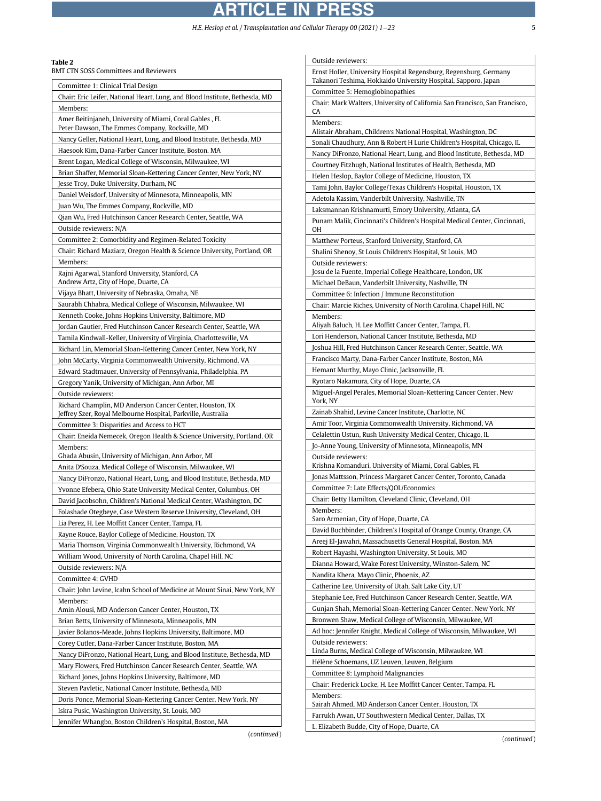# ARTICLE IN PRESS

H.E. Heslop et al. / Transplantation and Cellular Therapy 00 (2021)  $1-23$  5

# <span id="page-4-0"></span>Table 2

BMT CTN SOSS Committees and Reviewers

| Committee 1: Clinical Trial Design                                          |
|-----------------------------------------------------------------------------|
| Chair: Eric Leifer, National Heart, Lung, and Blood Institute, Bethesda, MD |
| Members:                                                                    |
| Amer Beitinjaneh, University of Miami, Coral Gables , FL                    |
| Peter Dawson, The Emmes Company, Rockville, MD                              |
| Nancy Geller, National Heart, Lung, and Blood Institute, Bethesda, MD       |
| Haesook Kim, Dana-Farber Cancer Institute, Boston. MA                       |
| Brent Logan, Medical College of Wisconsin, Milwaukee, WI                    |
| Brian Shaffer, Memorial Sloan-Kettering Cancer Center, New York, NY         |
| Jesse Troy, Duke University, Durham, NC                                     |
| Daniel Weisdorf, University of Minnesota, Minneapolis, MN                   |
| Juan Wu, The Emmes Company, Rockville, MD                                   |
| Qian Wu, Fred Hutchinson Cancer Research Center, Seattle, WA                |
| Outside reviewers: N/A                                                      |
| Committee 2: Comorbidity and Regimen-Related Toxicity                       |
| Chair: Richard Maziarz, Oregon Health & Science University, Portland, OR    |
| Members:                                                                    |
| Rajni Agarwal, Stanford University, Stanford, CA                            |
| Andrew Artz, City of Hope, Duarte, CA                                       |
| Vijaya Bhatt, University of Nebraska, Omaha, NE                             |
| Saurabh Chhabra, Medical College of Wisconsin, Milwaukee, WI                |
| Kenneth Cooke, Johns Hopkins University, Baltimore, MD                      |
| Jordan Gautier, Fred Hutchinson Cancer Research Center, Seattle, WA         |
| Tamila Kindwall-Keller, University of Virginia, Charlottesville, VA         |
| Richard Lin, Memorial Sloan-Kettering Cancer Center, New York, NY           |
| John McCarty, Virginia Commonwealth University, Richmond, VA                |
| Edward Stadtmauer, University of Pennsylvania, Philadelphia, PA             |
| Gregory Yanik, University of Michigan, Ann Arbor, MI                        |
| Outside reviewers:                                                          |
| Richard Champlin, MD Anderson Cancer Center, Houston, TX                    |
| Jeffrey Szer, Royal Melbourne Hospital, Parkville, Australia                |
| Committee 3: Disparities and Access to HCT                                  |
| Chair: Eneida Nemecek, Oregon Health & Science University, Portland, OR     |
| Members:                                                                    |
| Ghada Abusin, University of Michigan, Ann Arbor, MI                         |
| Anita D'Souza, Medical College of Wisconsin, Milwaukee, WI                  |
| Nancy DiFronzo, National Heart, Lung, and Blood Institute, Bethesda, MD     |
| Yvonne Efebera, Ohio State University Medical Center, Columbus, OH          |
| David Jacobsohn, Children's National Medical Center, Washington, DC         |
| Folashade Otegbeye, Case Western Reserve University, Cleveland, OH          |
| Lia Perez, H. Lee Moffitt Cancer Center, Tampa, FL                          |
| Rayne Rouce, Baylor College of Medicine, Houston, TX                        |
| Maria Thomson, Virginia Commonwealth University, Richmond, VA               |
| William Wood, University of North Carolina, Chapel Hill, NC                 |
| Outside reviewers: N/A                                                      |
| Committee 4: GVHD                                                           |
| Chair: John Levine, Icahn School of Medicine at Mount Sinai, New York, NY   |
| Members:                                                                    |
| Amin Alousi, MD Anderson Cancer Center, Houston, TX                         |
| Brian Betts, University of Minnesota, Minneapolis, MN                       |
| Javier Bolanos-Meade, Johns Hopkins University, Baltimore, MD               |
| Corey Cutler, Dana-Farber Cancer Institute, Boston, MA                      |
| Nancy DiFronzo, National Heart, Lung, and Blood Institute, Bethesda, MD     |
| Mary Flowers, Fred Hutchinson Cancer Research Center, Seattle, WA           |
| Richard Jones, Johns Hopkins University, Baltimore, MD                      |
| Steven Pavletic, National Cancer Institute, Bethesda, MD                    |
| Doris Ponce, Memorial Sloan-Kettering Cancer Center, New York, NY           |
| Iskra Pusic, Washington University, St. Louis, MO                           |
| Jennifer Whangbo, Boston Children's Hospital, Boston, MA                    |
|                                                                             |

(continued)

| Outside reviewers:                                                                                                      |  |  |
|-------------------------------------------------------------------------------------------------------------------------|--|--|
| Ernst Holler, University Hospital Regensburg, Regensburg, Germany                                                       |  |  |
| Takanori Teshima, Hokkaido University Hospital, Sapporo, Japan                                                          |  |  |
| Committee 5: Hemoglobinopathies                                                                                         |  |  |
| Chair: Mark Walters, University of California San Francisco, San Francisco,<br>CA                                       |  |  |
| Members:                                                                                                                |  |  |
| Alistair Abraham, Children's National Hospital, Washington, DC                                                          |  |  |
| Sonali Chaudhury, Ann & Robert H Lurie Children's Hospital, Chicago, IL                                                 |  |  |
| Nancy DiFronzo, National Heart, Lung, and Blood Institute, Bethesda, MD                                                 |  |  |
| Courtney Fitzhugh, National Institutes of Health, Bethesda, MD<br>Helen Heslop, Baylor College of Medicine, Houston, TX |  |  |
| Tami John, Baylor College/Texas Children's Hospital, Houston, TX                                                        |  |  |
| Adetola Kassim, Vanderbilt University, Nashville, TN                                                                    |  |  |
| Laksmannan Krishnamurti, Emory University, Atlanta, GA                                                                  |  |  |
| Punam Malik, Cincinnati's Children's Hospital Medical Center, Cincinnati,                                               |  |  |
| OН                                                                                                                      |  |  |
| Matthew Porteus, Stanford University, Stanford, CA                                                                      |  |  |
| Shalini Shenoy, St Louis Children's Hospital, St Louis, MO<br>Outside reviewers:                                        |  |  |
| Josu de la Fuente, Imperial College Healthcare, London, UK                                                              |  |  |
| Michael DeBaun, Vanderbilt University, Nashville, TN                                                                    |  |  |
| Committee 6: Infection / Immune Reconstitution                                                                          |  |  |
| Chair: Marcie Riches, University of North Carolina, Chapel Hill, NC                                                     |  |  |
| Members:<br>Aliyah Baluch, H. Lee Moffitt Cancer Center, Tampa, FL                                                      |  |  |
| Lori Henderson, National Cancer Institute, Bethesda, MD                                                                 |  |  |
| Joshua Hill, Fred Hutchinson Cancer Research Center, Seattle, WA                                                        |  |  |
| Francisco Marty, Dana-Farber Cancer Institute, Boston, MA                                                               |  |  |
| Hemant Murthy, Mayo Clinic, Jacksonville, FL                                                                            |  |  |
| Ryotaro Nakamura, City of Hope, Duarte, CA                                                                              |  |  |
| Miguel-Angel Perales, Memorial Sloan-Kettering Cancer Center, New                                                       |  |  |
| York, NY<br>Zainab Shahid, Levine Cancer Institute, Charlotte, NC                                                       |  |  |
| Amir Toor, Virginia Commonwealth University, Richmond, VA                                                               |  |  |
| Celalettin Ustun, Rush University Medical Center, Chicago, IL                                                           |  |  |
| Jo-Anne Young, University of Minnesota, Minneapolis, MN                                                                 |  |  |
| Outside reviewers:                                                                                                      |  |  |
| Krishna Komanduri, University of Miami, Coral Gables, FL                                                                |  |  |
| Jonas Mattsson, Princess Margaret Cancer Center, Toronto, Canada                                                        |  |  |
| Committee 7: Late Effects/QOL/Economics<br>Chair: Betty Hamilton, Cleveland Clinic, Cleveland, OH                       |  |  |
| Members:                                                                                                                |  |  |
| Saro Armenian, City of Hope, Duarte, CA                                                                                 |  |  |
| David Buchbinder, Children's Hospital of Orange County, Orange, CA                                                      |  |  |
| Areej El-Jawahri, Massachusetts General Hospital, Boston, MA                                                            |  |  |
| Robert Hayashi, Washington University, St Louis, MO                                                                     |  |  |
| Dianna Howard, Wake Forest University, Winston-Salem, NC                                                                |  |  |
| Nandita Khera, Mayo Clinic, Phoenix, AZ<br>Catherine Lee, University of Utah, Salt Lake City, UT                        |  |  |
| Stephanie Lee, Fred Hutchinson Cancer Research Center, Seattle, WA                                                      |  |  |
| Gunjan Shah, Memorial Sloan-Kettering Cancer Center, New York, NY                                                       |  |  |
| Bronwen Shaw, Medical College of Wisconsin, Milwaukee, WI                                                               |  |  |
| Ad hoc: Jennifer Knight, Medical College of Wisconsin, Milwaukee, WI                                                    |  |  |
| Outside reviewers:                                                                                                      |  |  |
| Linda Burns, Medical College of Wisconsin, Milwaukee, WI                                                                |  |  |
| Hélène Schoemans, UZ Leuven, Leuven, Belgium<br>Committee 8: Lymphoid Malignancies                                      |  |  |
| Chair: Frederick Locke, H. Lee Moffitt Cancer Center, Tampa, FL                                                         |  |  |
| Members:                                                                                                                |  |  |
| Sairah Ahmed, MD Anderson Cancer Center, Houston, TX                                                                    |  |  |
| Farrukh Awan, UT Southwestern Medical Center, Dallas, TX<br>L. Elizabeth Budde, City of Hope, Duarte, CA                |  |  |
|                                                                                                                         |  |  |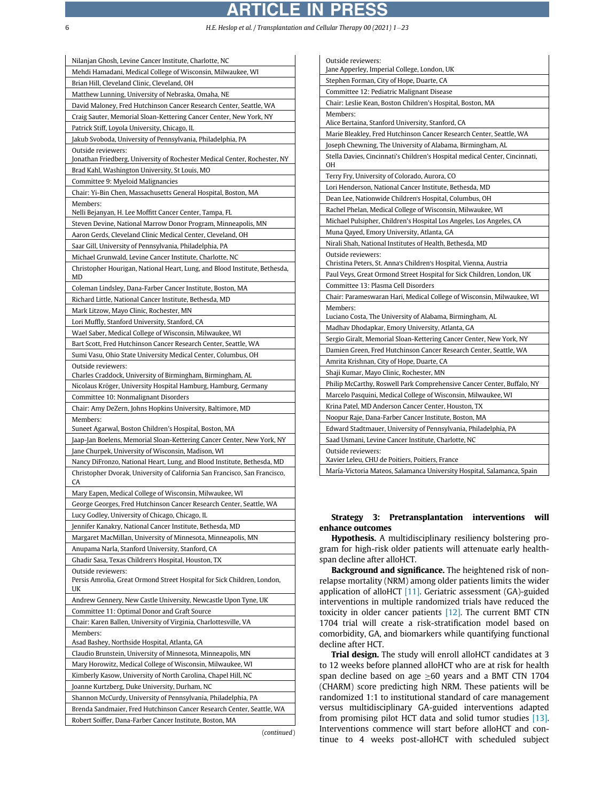# ARTICLE IN PRESS

6 H.E. Heslop et al. / Transplantation and Cellular Therapy 00 (2021) 123

 $\mathbf{r}$ 

| Nilanjan Ghosh, Levine Cancer Institute, Charlotte, NC                                              |
|-----------------------------------------------------------------------------------------------------|
| Mehdi Hamadani, Medical College of Wisconsin, Milwaukee, WI                                         |
| Brian Hill, Cleveland Clinic, Cleveland, OH                                                         |
| Matthew Lunning, University of Nebraska, Omaha, NE                                                  |
| David Maloney, Fred Hutchinson Cancer Research Center, Seattle, WA                                  |
| Craig Sauter, Memorial Sloan-Kettering Cancer Center, New York, NY                                  |
| Patrick Stiff, Loyola University, Chicago, IL                                                       |
| Jakub Svoboda, University of Pennsylvania, Philadelphia, PA                                         |
| Outside reviewers:                                                                                  |
| Jonathan Friedberg, University of Rochester Medical Center, Rochester, NY                           |
| Brad Kahl, Washington University, St Louis, MO                                                      |
| Committee 9: Myeloid Malignancies                                                                   |
| Chair: Yi-Bin Chen, Massachusetts General Hospital, Boston, MA                                      |
| Members:                                                                                            |
| Nelli Bejanyan, H. Lee Moffitt Cancer Center, Tampa, FL                                             |
| Steven Devine, National Marrow Donor Program, Minneapolis, MN                                       |
| Aaron Gerds, Cleveland Clinic Medical Center, Cleveland, OH                                         |
| Saar Gill, University of Pennsylvania, Philadelphia, PA                                             |
|                                                                                                     |
| Michael Grunwald, Levine Cancer Institute, Charlotte, NC                                            |
| Christopher Hourigan, National Heart, Lung, and Blood Institute, Bethesda,<br>MD                    |
| Coleman Lindsley, Dana-Farber Cancer Institute, Boston, MA                                          |
|                                                                                                     |
| Richard Little, National Cancer Institute, Bethesda, MD                                             |
| Mark Litzow, Mayo Clinic, Rochester, MN                                                             |
| Lori Muffly, Stanford University, Stanford, CA                                                      |
| Wael Saber, Medical College of Wisconsin, Milwaukee, WI                                             |
| Bart Scott, Fred Hutchinson Cancer Research Center, Seattle, WA                                     |
| Sumi Vasu, Ohio State University Medical Center, Columbus, OH                                       |
| Outside reviewers:                                                                                  |
| Charles Craddock, University of Birmingham, Birmingham, AL                                          |
| Nicolaus Kröger, University Hospital Hamburg, Hamburg, Germany                                      |
| Committee 10: Nonmalignant Disorders                                                                |
| Chair: Amy DeZern, Johns Hopkins University, Baltimore, MD                                          |
| Members:                                                                                            |
| Suneet Agarwal, Boston Children's Hospital, Boston, MA                                              |
| Jaap-Jan Boelens, Memorial Sloan-Kettering Cancer Center, New York, NY                              |
| Jane Churpek, University of Wisconsin, Madison, WI                                                  |
| Nancy DiFronzo, National Heart, Lung, and Blood Institute, Bethesda, MD                             |
| Christopher Dvorak, University of California San Francisco, San Francisco,<br>CA                    |
| Mary Eapen, Medical College of Wisconsin, Milwaukee, WI                                             |
| George Georges, Fred Hutchinson Cancer Research Center, Seattle, WA                                 |
| Lucy Godley, University of Chicago, Chicago, IL                                                     |
| Jennifer Kanakry, National Cancer Institute, Bethesda, MD                                           |
| Margaret MacMillan, University of Minnesota, Minneapolis, MN                                        |
| Anupama Narla, Stanford University, Stanford, CA                                                    |
|                                                                                                     |
| Ghadir Sasa, Texas Children's Hospital, Houston, TX                                                 |
| Outside reviewers:<br>Persis Amrolia, Great Ormond Street Hospital for Sick Children, London,<br>UK |
| Andrew Gennery, New Castle University, Newcastle Upon Tyne, UK                                      |
| Committee 11: Optimal Donor and Graft Source                                                        |
|                                                                                                     |
| Chair: Karen Ballen, University of Virginia, Charlottesville, VA                                    |
| Members:<br>Asad Bashey, Northside Hospital, Atlanta, GA                                            |
| Claudio Brunstein, University of Minnesota, Minneapolis, MN                                         |
|                                                                                                     |
| Mary Horowitz, Medical College of Wisconsin, Milwaukee, WI                                          |
| Kimberly Kasow, University of North Carolina, Chapel Hill, NC                                       |
| Joanne Kurtzberg, Duke University, Durham, NC                                                       |
| Shannon McCurdy, University of Pennsylvania, Philadelphia, PA                                       |
| Brenda Sandmaier, Fred Hutchinson Cancer Research Center, Seattle, WA                               |
| Robert Soiffer, Dana-Farber Cancer Institute, Boston, MA                                            |
|                                                                                                     |

| (continued) |  |
|-------------|--|
|             |  |

| Outside reviewers:                                                                      |  |  |
|-----------------------------------------------------------------------------------------|--|--|
| Jane Apperley, Imperial College, London, UK                                             |  |  |
| Stephen Forman, City of Hope, Duarte, CA                                                |  |  |
| Committee 12: Pediatric Malignant Disease                                               |  |  |
| Chair: Leslie Kean, Boston Children's Hospital, Boston, MA                              |  |  |
| Members:                                                                                |  |  |
| Alice Bertaina, Stanford University, Stanford, CA                                       |  |  |
| Marie Bleakley, Fred Hutchinson Cancer Research Center, Seattle, WA                     |  |  |
| Joseph Chewning, The University of Alabama, Birmingham, AL                              |  |  |
| Stella Davies, Cincinnati's Children's Hospital medical Center, Cincinnati,<br>OΗ       |  |  |
| Terry Fry, University of Colorado, Aurora, CO                                           |  |  |
| Lori Henderson, National Cancer Institute, Bethesda, MD                                 |  |  |
| Dean Lee, Nationwide Children's Hospital, Columbus, OH                                  |  |  |
| Rachel Phelan, Medical College of Wisconsin, Milwaukee, WI                              |  |  |
| Michael Pulsipher, Children's Hospital Los Angeles, Los Angeles, CA                     |  |  |
| Muna Qayed, Emory University, Atlanta, GA                                               |  |  |
| Nirali Shah, National Institutes of Health, Bethesda, MD                                |  |  |
| Outside reviewers:<br>Christina Peters, St. Anna's Children's Hospital, Vienna, Austria |  |  |
| Paul Veys, Great Ormond Street Hospital for Sick Children, London, UK                   |  |  |
| Committee 13: Plasma Cell Disorders                                                     |  |  |
| Chair: Parameswaran Hari, Medical College of Wisconsin, Milwaukee, WI                   |  |  |
| Members:                                                                                |  |  |
| Luciano Costa, The University of Alabama, Birmingham, AL                                |  |  |
| Madhav Dhodapkar, Emory University, Atlanta, GA                                         |  |  |
| Sergio Giralt, Memorial Sloan-Kettering Cancer Center, New York, NY                     |  |  |
| Damien Green, Fred Hutchinson Cancer Research Center, Seattle, WA                       |  |  |
| Amrita Krishnan, City of Hope, Duarte, CA                                               |  |  |
| Shaji Kumar, Mayo Clinic, Rochester, MN                                                 |  |  |
| Philip McCarthy, Roswell Park Comprehensive Cancer Center, Buffalo, NY                  |  |  |
| Marcelo Pasquini, Medical College of Wisconsin, Milwaukee, WI                           |  |  |
| Krina Patel, MD Anderson Cancer Center, Houston, TX                                     |  |  |
| Noopur Raje, Dana-Farber Cancer Institute, Boston, MA                                   |  |  |
| Edward Stadtmauer, University of Pennsylvania, Philadelphia, PA                         |  |  |
| Saad Usmani, Levine Cancer Institute, Charlotte, NC                                     |  |  |
| Outside reviewers:                                                                      |  |  |
| Xavier Leleu, CHU de Poitiers, Poitiers, France                                         |  |  |
| María-Victoria Mateos, Salamanca University Hospital, Salamanca, Spain                  |  |  |

# Strategy 3: Pretransplantation interventions will enhance outcomes

Hypothesis. A multidisciplinary resiliency bolstering program for high-risk older patients will attenuate early healthspan decline after alloHCT.

Background and significance. The heightened risk of nonrelapse mortality (NRM) among older patients limits the wider application of alloHCT [\[11\].](#page-20-10) Geriatric assessment (GA)-guided interventions in multiple randomized trials have reduced the toxicity in older cancer patients [\[12\]](#page-20-11). The current BMT CTN 1704 trial will create a risk-stratification model based on comorbidity, GA, and biomarkers while quantifying functional decline after HCT.

Trial design. The study will enroll alloHCT candidates at 3 to 12 weeks before planned alloHCT who are at risk for health span decline based on age  $\geq$  60 years and a BMT CTN 1704 (CHARM) score predicting high NRM. These patients will be randomized 1:1 to institutional standard of care management versus multidisciplinary GA-guided interventions adapted from promising pilot HCT data and solid tumor studies [\[13\]](#page-20-12). Interventions commence will start before alloHCT and continue to 4 weeks post-alloHCT with scheduled subject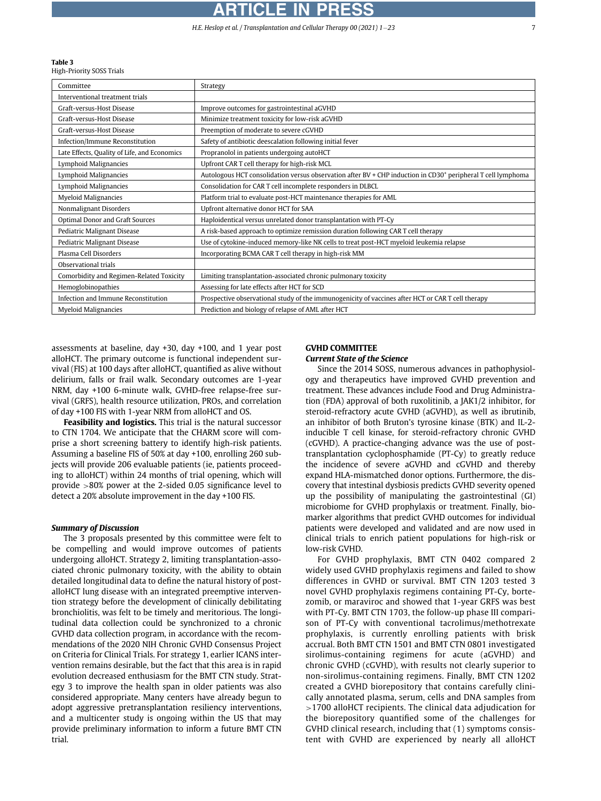#### <span id="page-6-0"></span>Table 3

High-Priority SOSS Trials

| Committee                                    | Strategy                                                                                                                 |
|----------------------------------------------|--------------------------------------------------------------------------------------------------------------------------|
| Interventional treatment trials              |                                                                                                                          |
| Graft-versus-Host Disease                    | Improve outcomes for gastrointestinal aGVHD                                                                              |
| Graft-versus-Host Disease                    | Minimize treatment toxicity for low-risk aGVHD                                                                           |
| Graft-versus-Host Disease                    | Preemption of moderate to severe cGVHD                                                                                   |
| Infection/Immune Reconstitution              | Safety of antibiotic deescalation following initial fever                                                                |
| Late Effects, Quality of Life, and Economics | Propranolol in patients undergoing autoHCT                                                                               |
| Lymphoid Malignancies                        | Upfront CAR T cell therapy for high-risk MCL                                                                             |
| Lymphoid Malignancies                        | Autologous HCT consolidation versus observation after BV + CHP induction in CD30 <sup>+</sup> peripheral T cell lymphoma |
| Lymphoid Malignancies                        | Consolidation for CAR T cell incomplete responders in DLBCL                                                              |
| <b>Myeloid Malignancies</b>                  | Platform trial to evaluate post-HCT maintenance therapies for AML                                                        |
| Nonmalignant Disorders                       | Upfront alternative donor HCT for SAA                                                                                    |
| Optimal Donor and Graft Sources              | Haploidentical versus unrelated donor transplantation with PT-Cy                                                         |
| Pediatric Malignant Disease                  | A risk-based approach to optimize remission duration following CAR T cell therapy                                        |
| Pediatric Malignant Disease                  | Use of cytokine-induced memory-like NK cells to treat post-HCT myeloid leukemia relapse                                  |
| Plasma Cell Disorders                        | Incorporating BCMA CAR T cell therapy in high-risk MM                                                                    |
| Observational trials                         |                                                                                                                          |
| Comorbidity and Regimen-Related Toxicity     | Limiting transplantation-associated chronic pulmonary toxicity                                                           |
| Hemoglobinopathies                           | Assessing for late effects after HCT for SCD                                                                             |
| Infection and Immune Reconstitution          | Prospective observational study of the immunogenicity of vaccines after HCT or CAR T cell therapy                        |
| <b>Myeloid Malignancies</b>                  | Prediction and biology of relapse of AML after HCT                                                                       |

assessments at baseline, day +30, day +100, and 1 year post alloHCT. The primary outcome is functional independent survival (FIS) at 100 days after alloHCT, quantified as alive without delirium, falls or frail walk. Secondary outcomes are 1-year NRM, day +100 6-minute walk, GVHD-free relapse-free survival (GRFS), health resource utilization, PROs, and correlation of day +100 FIS with 1-year NRM from alloHCT and OS.

Feasibility and logistics. This trial is the natural successor to CTN 1704. We anticipate that the CHARM score will comprise a short screening battery to identify high-risk patients. Assuming a baseline FIS of 50% at day +100, enrolling 260 subjects will provide 206 evaluable patients (ie, patients proceeding to alloHCT) within 24 months of trial opening, which will provide >80% power at the 2-sided 0.05 significance level to detect a 20% absolute improvement in the day +100 FIS.

#### Summary of Discussion

The 3 proposals presented by this committee were felt to be compelling and would improve outcomes of patients undergoing alloHCT. Strategy 2, limiting transplantation-associated chronic pulmonary toxicity, with the ability to obtain detailed longitudinal data to define the natural history of postalloHCT lung disease with an integrated preemptive intervention strategy before the development of clinically debilitating bronchiolitis, was felt to be timely and meritorious. The longitudinal data collection could be synchronized to a chronic GVHD data collection program, in accordance with the recommendations of the 2020 NIH Chronic GVHD Consensus Project on Criteria for Clinical Trials. For strategy 1, earlier ICANS intervention remains desirable, but the fact that this area is in rapid evolution decreased enthusiasm for the BMT CTN study. Strategy 3 to improve the health span in older patients was also considered appropriate. Many centers have already begun to adopt aggressive pretransplantation resiliency interventions, and a multicenter study is ongoing within the US that may provide preliminary information to inform a future BMT CTN trial.

#### GVHD COMMITTEE Current State of the Science

Since the 2014 SOSS, numerous advances in pathophysiology and therapeutics have improved GVHD prevention and treatment. These advances include Food and Drug Administration (FDA) approval of both ruxolitinib, a JAK1/2 inhibitor, for steroid-refractory acute GVHD (aGVHD), as well as ibrutinib, an inhibitor of both Bruton's tyrosine kinase (BTK) and IL-2 inducible T cell kinase, for steroid-refractory chronic GVHD (cGVHD). A practice-changing advance was the use of posttransplantation cyclophosphamide (PT-Cy) to greatly reduce the incidence of severe aGVHD and cGVHD and thereby expand HLA-mismatched donor options. Furthermore, the discovery that intestinal dysbiosis predicts GVHD severity opened up the possibility of manipulating the gastrointestinal (GI) microbiome for GVHD prophylaxis or treatment. Finally, biomarker algorithms that predict GVHD outcomes for individual patients were developed and validated and are now used in clinical trials to enrich patient populations for high-risk or low-risk GVHD.

For GVHD prophylaxis, BMT CTN 0402 compared 2 widely used GVHD prophylaxis regimens and failed to show differences in GVHD or survival. BMT CTN 1203 tested 3 novel GVHD prophylaxis regimens containing PT-Cy, bortezomib, or maraviroc and showed that 1-year GRFS was best with PT-Cy. BMT CTN 1703, the follow-up phase III comparison of PT-Cy with conventional tacrolimus/methotrexate prophylaxis, is currently enrolling patients with brisk accrual. Both BMT CTN 1501 and BMT CTN 0801 investigated sirolimus-containing regimens for acute (aGVHD) and chronic GVHD (cGVHD), with results not clearly superior to non-sirolimus-containing regimens. Finally, BMT CTN 1202 created a GVHD biorepository that contains carefully clinically annotated plasma, serum, cells and DNA samples from >1700 alloHCT recipients. The clinical data adjudication for the biorepository quantified some of the challenges for GVHD clinical research, including that (1) symptoms consistent with GVHD are experienced by nearly all alloHCT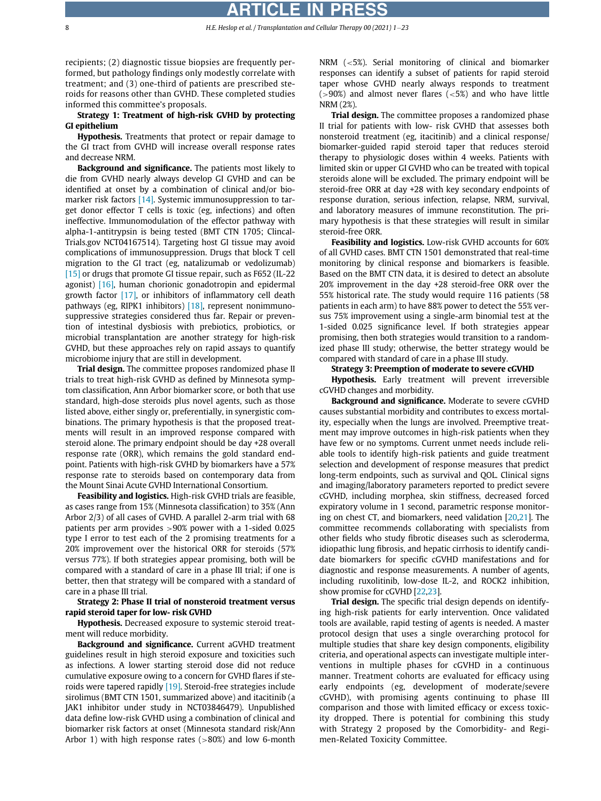recipients; (2) diagnostic tissue biopsies are frequently performed, but pathology findings only modestly correlate with treatment; and (3) one-third of patients are prescribed steroids for reasons other than GVHD. These completed studies informed this committee's proposals.

Strategy 1: Treatment of high-risk GVHD by protecting GI epithelium

Hypothesis. Treatments that protect or repair damage to the GI tract from GVHD will increase overall response rates and decrease NRM.

Background and significance. The patients most likely to die from GVHD nearly always develop GI GVHD and can be identified at onset by a combination of clinical and/or bio-marker risk factors [\[14\].](#page-20-13) Systemic immunosuppression to target donor effector T cells is toxic (eg, infections) and often ineffective. Immunomodulation of the effector pathway with alpha-1-antitrypsin is being tested (BMT CTN 1705; Clincal-Trials.gov NCT04167514). Targeting host GI tissue may avoid complications of immunosuppression. Drugs that block T cell migration to the GI tract (eg, natalizumab or vedolizumab) [\[15\]](#page-20-14) or drugs that promote GI tissue repair, such as F652 (IL-22 agonist) [\[16\]](#page-20-15), human chorionic gonadotropin and epidermal growth factor [\[17\]](#page-20-16), or inhibitors of inflammatory cell death pathways (eg, RIPK1 inhibitors) [\[18\]](#page-20-17), represent nonimmunosuppressive strategies considered thus far. Repair or prevention of intestinal dysbiosis with prebiotics, probiotics, or microbial transplantation are another strategy for high-risk GVHD, but these approaches rely on rapid assays to quantify microbiome injury that are still in development.

Trial design. The committee proposes randomized phase II trials to treat high-risk GVHD as defined by Minnesota symptom classification, Ann Arbor biomarker score, or both that use standard, high-dose steroids plus novel agents, such as those listed above, either singly or, preferentially, in synergistic combinations. The primary hypothesis is that the proposed treatments will result in an improved response compared with steroid alone. The primary endpoint should be day +28 overall response rate (ORR), which remains the gold standard endpoint. Patients with high-risk GVHD by biomarkers have a 57% response rate to steroids based on contemporary data from the Mount Sinai Acute GVHD International Consortium.

Feasibility and logistics. High-risk GVHD trials are feasible, as cases range from 15% (Minnesota classification) to 35% (Ann Arbor 2/3) of all cases of GVHD. A parallel 2-arm trial with 68 patients per arm provides >90% power with a 1-sided 0.025 type I error to test each of the 2 promising treatments for a 20% improvement over the historical ORR for steroids (57% versus 77%). If both strategies appear promising, both will be compared with a standard of care in a phase III trial; if one is better, then that strategy will be compared with a standard of care in a phase III trial.

# Strategy 2: Phase II trial of nonsteroid treatment versus rapid steroid taper for low- risk GVHD

Hypothesis. Decreased exposure to systemic steroid treatment will reduce morbidity.

Background and significance. Current aGVHD treatment guidelines result in high steroid exposure and toxicities such as infections. A lower starting steroid dose did not reduce cumulative exposure owing to a concern for GVHD flares if steroids were tapered rapidly [\[19\]](#page-20-18). Steroid-free strategies include sirolimus (BMT CTN 1501, summarized above) and itacitinib (a JAK1 inhibitor under study in NCT03846479). Unpublished data define low-risk GVHD using a combination of clinical and biomarker risk factors at onset (Minnesota standard risk/Ann Arbor 1) with high response rates  $(>80%)$  and low 6-month

NRM (<5%). Serial monitoring of clinical and biomarker responses can identify a subset of patients for rapid steroid taper whose GVHD nearly always responds to treatment  $(>90%)$  and almost never flares  $(<5%)$  and who have little NRM (2%).

Trial design. The committee proposes a randomized phase II trial for patients with low- risk GVHD that assesses both nonsteroid treatment (eg, itacitinib) and a clinical response/ biomarker-guided rapid steroid taper that reduces steroid therapy to physiologic doses within 4 weeks. Patients with limited skin or upper GI GVHD who can be treated with topical steroids alone will be excluded. The primary endpoint will be steroid-free ORR at day +28 with key secondary endpoints of response duration, serious infection, relapse, NRM, survival, and laboratory measures of immune reconstitution. The primary hypothesis is that these strategies will result in similar steroid-free ORR.

Feasibility and logistics. Low-risk GVHD accounts for 60% of all GVHD cases. BMT CTN 1501 demonstrated that real-time monitoring by clinical response and biomarkers is feasible. Based on the BMT CTN data, it is desired to detect an absolute 20% improvement in the day +28 steroid-free ORR over the 55% historical rate. The study would require 116 patients (58 patients in each arm) to have 88% power to detect the 55% versus 75% improvement using a single-arm binomial test at the 1-sided 0.025 significance level. If both strategies appear promising, then both strategies would transition to a randomized phase III study; otherwise, the better strategy would be compared with standard of care in a phase III study.

#### Strategy 3: Preemption of moderate to severe cGVHD

Hypothesis. Early treatment will prevent irreversible cGVHD changes and morbidity.

Background and significance. Moderate to severe cGVHD causes substantial morbidity and contributes to excess mortality, especially when the lungs are involved. Preemptive treatment may improve outcomes in high-risk patients when they have few or no symptoms. Current unmet needs include reliable tools to identify high-risk patients and guide treatment selection and development of response measures that predict long-term endpoints, such as survival and QOL. Clinical signs and imaging/laboratory parameters reported to predict severe cGVHD, including morphea, skin stiffness, decreased forced expiratory volume in 1 second, parametric response monitoring on chest CT, and biomarkers, need validation [[20](#page-20-19),[21](#page-20-20)]. The committee recommends collaborating with specialists from other fields who study fibrotic diseases such as scleroderma, idiopathic lung fibrosis, and hepatic cirrhosis to identify candidate biomarkers for specific cGVHD manifestations and for diagnostic and response measurements. A number of agents, including ruxolitinib, low-dose IL-2, and ROCK2 inhibition, show promise for cGVHD [[22,](#page-20-21)[23\]](#page-20-22).

Trial design. The specific trial design depends on identifying high-risk patients for early intervention. Once validated tools are available, rapid testing of agents is needed. A master protocol design that uses a single overarching protocol for multiple studies that share key design components, eligibility criteria, and operational aspects can investigate multiple interventions in multiple phases for cGVHD in a continuous manner. Treatment cohorts are evaluated for efficacy using early endpoints (eg, development of moderate/severe cGVHD), with promising agents continuing to phase III comparison and those with limited efficacy or excess toxicity dropped. There is potential for combining this study with Strategy 2 proposed by the Comorbidity- and Regimen-Related Toxicity Committee.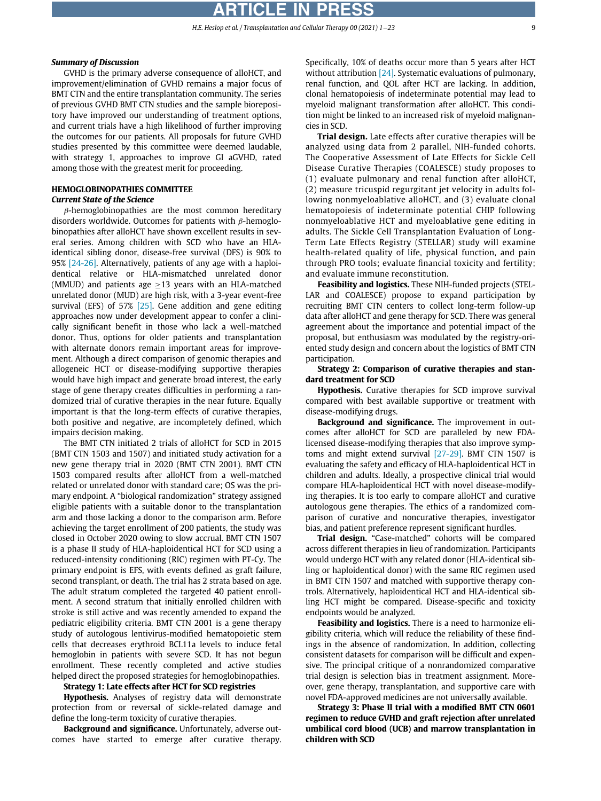### Summary of Discussion

GVHD is the primary adverse consequence of alloHCT, and improvement/elimination of GVHD remains a major focus of BMT CTN and the entire transplantation community. The series of previous GVHD BMT CTN studies and the sample biorepository have improved our understanding of treatment options, and current trials have a high likelihood of further improving the outcomes for our patients. All proposals for future GVHD studies presented by this committee were deemed laudable, with strategy 1, approaches to improve GI aGVHD, rated among those with the greatest merit for proceeding.

# HEMOGLOBINOPATHIES COMMITTEE

# Current State of the Science

 $\beta$ -hemoglobinopathies are the most common hereditary disorders worldwide. Outcomes for patients with  $\beta$ -hemoglobinopathies after alloHCT have shown excellent results in several series. Among children with SCD who have an HLAidentical sibling donor, disease-free survival (DFS) is 90% to 95% [\[24-26\]](#page-20-23). Alternatively, patients of any age with a haploidentical relative or HLA-mismatched unrelated donor (MMUD) and patients age  $\geq$ 13 years with an HLA-matched unrelated donor (MUD) are high risk, with a 3-year event-free survival (EFS) of 57%  $[25]$ . Gene addition and gene editing approaches now under development appear to confer a clinically significant benefit in those who lack a well-matched donor. Thus, options for older patients and transplantation with alternate donors remain important areas for improvement. Although a direct comparison of genomic therapies and allogeneic HCT or disease-modifying supportive therapies would have high impact and generate broad interest, the early stage of gene therapy creates difficulties in performing a randomized trial of curative therapies in the near future. Equally important is that the long-term effects of curative therapies, both positive and negative, are incompletely defined, which impairs decision making.

The BMT CTN initiated 2 trials of alloHCT for SCD in 2015 (BMT CTN 1503 and 1507) and initiated study activation for a new gene therapy trial in 2020 (BMT CTN 2001). BMT CTN 1503 compared results after alloHCT from a well-matched related or unrelated donor with standard care; OS was the primary endpoint. A "biological randomization" strategy assigned eligible patients with a suitable donor to the transplantation arm and those lacking a donor to the comparison arm. Before achieving the target enrollment of 200 patients, the study was closed in October 2020 owing to slow accrual. BMT CTN 1507 is a phase II study of HLA-haploidentical HCT for SCD using a reduced-intensity conditioning (RIC) regimen with PT-Cy. The primary endpoint is EFS, with events defined as graft failure, second transplant, or death. The trial has 2 strata based on age. The adult stratum completed the targeted 40 patient enrollment. A second stratum that initially enrolled children with stroke is still active and was recently amended to expand the pediatric eligibility criteria. BMT CTN 2001 is a gene therapy study of autologous lentivirus-modified hematopoietic stem cells that decreases erythroid BCL11a levels to induce fetal hemoglobin in patients with severe SCD. It has not begun enrollment. These recently completed and active studies helped direct the proposed strategies for hemoglobinopathies.

#### Strategy 1: Late effects after HCT for SCD registries

Hypothesis. Analyses of registry data will demonstrate protection from or reversal of sickle-related damage and define the long-term toxicity of curative therapies.

Background and significance. Unfortunately, adverse outcomes have started to emerge after curative therapy. Specifically, 10% of deaths occur more than 5 years after HCT without attribution [\[24\]](#page-20-23). Systematic evaluations of pulmonary, renal function, and QOL after HCT are lacking. In addition, clonal hematopoiesis of indeterminate potential may lead to myeloid malignant transformation after alloHCT. This condition might be linked to an increased risk of myeloid malignancies in SCD.

Trial design. Late effects after curative therapies will be analyzed using data from 2 parallel, NIH-funded cohorts. The Cooperative Assessment of Late Effects for Sickle Cell Disease Curative Therapies (COALESCE) study proposes to (1) evaluate pulmonary and renal function after alloHCT, (2) measure tricuspid regurgitant jet velocity in adults following nonmyeloablative alloHCT, and (3) evaluate clonal hematopoiesis of indeterminate potential CHIP following nonmyeloablative HCT and myeloablative gene editing in adults. The Sickle Cell Transplantation Evaluation of Long-Term Late Effects Registry (STELLAR) study will examine health-related quality of life, physical function, and pain through PRO tools; evaluate financial toxicity and fertility; and evaluate immune reconstitution.

Feasibility and logistics. These NIH-funded projects (STEL-LAR and COALESCE) propose to expand participation by recruiting BMT CTN centers to collect long-term follow-up data after alloHCT and gene therapy for SCD. There was general agreement about the importance and potential impact of the proposal, but enthusiasm was modulated by the registry-oriented study design and concern about the logistics of BMT CTN participation.

#### Strategy 2: Comparison of curative therapies and standard treatment for SCD

Hypothesis. Curative therapies for SCD improve survival compared with best available supportive or treatment with disease-modifying drugs.

Background and significance. The improvement in outcomes after alloHCT for SCD are paralleled by new FDAlicensed disease-modifying therapies that also improve symptoms and might extend survival [\[27-29\]](#page-20-25). BMT CTN 1507 is evaluating the safety and efficacy of HLA-haploidentical HCT in children and adults. Ideally, a prospective clinical trial would compare HLA-haploidentical HCT with novel disease-modifying therapies. It is too early to compare alloHCT and curative autologous gene therapies. The ethics of a randomized comparison of curative and noncurative therapies, investigator bias, and patient preference represent significant hurdles.

Trial design. "Case-matched" cohorts will be compared across different therapies in lieu of randomization. Participants would undergo HCT with any related donor (HLA-identical sibling or haploidentical donor) with the same RIC regimen used in BMT CTN 1507 and matched with supportive therapy controls. Alternatively, haploidentical HCT and HLA-identical sibling HCT might be compared. Disease-specific and toxicity endpoints would be analyzed.

Feasibility and logistics. There is a need to harmonize eligibility criteria, which will reduce the reliability of these findings in the absence of randomization. In addition, collecting consistent datasets for comparison will be difficult and expensive. The principal critique of a nonrandomized comparative trial design is selection bias in treatment assignment. Moreover, gene therapy, transplantation, and supportive care with novel FDA-approved medicines are not universally available.

Strategy 3: Phase II trial with a modified BMT CTN 0601 regimen to reduce GVHD and graft rejection after unrelated umbilical cord blood (UCB) and marrow transplantation in children with SCD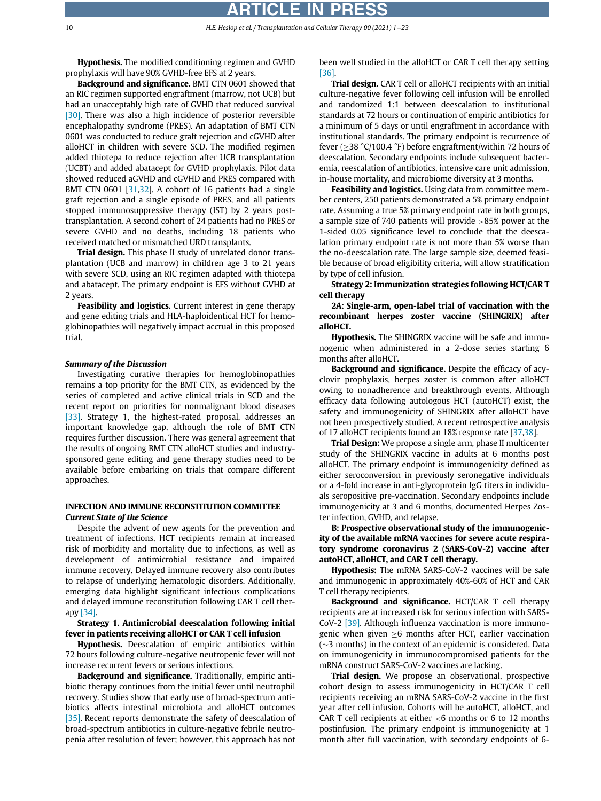Hypothesis. The modified conditioning regimen and GVHD prophylaxis will have 90% GVHD-free EFS at 2 years.

Background and significance. BMT CTN 0601 showed that an RIC regimen supported engraftment (marrow, not UCB) but had an unacceptably high rate of GVHD that reduced survival [\[30\]](#page-20-26). There was also a high incidence of posterior reversible encephalopathy syndrome (PRES). An adaptation of BMT CTN 0601 was conducted to reduce graft rejection and cGVHD after alloHCT in children with severe SCD. The modified regimen added thiotepa to reduce rejection after UCB transplantation (UCBT) and added abatacept for GVHD prophylaxis. Pilot data showed reduced aGVHD and cGVHD and PRES compared with BMT CTN 0601 [\[31](#page-20-27)[,32](#page-20-28)]. A cohort of 16 patients had a single graft rejection and a single episode of PRES, and all patients stopped immunosuppressive therapy (IST) by 2 years posttransplantation. A second cohort of 24 patients had no PRES or severe GVHD and no deaths, including 18 patients who received matched or mismatched URD transplants.

**Trial design.** This phase II study of unrelated donor transplantation (UCB and marrow) in children age 3 to 21 years with severe SCD, using an RIC regimen adapted with thiotepa and abatacept. The primary endpoint is EFS without GVHD at 2 years.

Feasibility and logistics. Current interest in gene therapy and gene editing trials and HLA-haploidentical HCT for hemoglobinopathies will negatively impact accrual in this proposed trial.

#### Summary of the Discussion

Investigating curative therapies for hemoglobinopathies remains a top priority for the BMT CTN, as evidenced by the series of completed and active clinical trials in SCD and the recent report on priorities for nonmalignant blood diseases [\[33\]](#page-21-0). Strategy 1, the highest-rated proposal, addresses an important knowledge gap, although the role of BMT CTN requires further discussion. There was general agreement that the results of ongoing BMT CTN alloHCT studies and industrysponsored gene editing and gene therapy studies need to be available before embarking on trials that compare different approaches.

#### INFECTION AND IMMUNE RECONSTITUTION COMMITTEE Current State of the Science

Despite the advent of new agents for the prevention and treatment of infections, HCT recipients remain at increased risk of morbidity and mortality due to infections, as well as development of antimicrobial resistance and impaired immune recovery. Delayed immune recovery also contributes to relapse of underlying hematologic disorders. Additionally, emerging data highlight significant infectious complications and delayed immune reconstitution following CAR T cell therapy [\[34\]](#page-21-1).

Strategy 1. Antimicrobial deescalation following initial fever in patients receiving alloHCT or CAR T cell infusion

Hypothesis. Deescalation of empiric antibiotics within 72 hours following culture-negative neutropenic fever will not increase recurrent fevers or serious infections.

Background and significance. Traditionally, empiric antibiotic therapy continues from the initial fever until neutrophil recovery. Studies show that early use of broad-spectrum antibiotics affects intestinal microbiota and alloHCT outcomes [\[35\]](#page-21-2). Recent reports demonstrate the safety of deescalation of broad-spectrum antibiotics in culture-negative febrile neutropenia after resolution of fever; however, this approach has not

been well studied in the alloHCT or CAR T cell therapy setting [\[36\]](#page-21-3).

Trial design. CAR T cell or alloHCT recipients with an initial culture-negative fever following cell infusion will be enrolled and randomized 1:1 between deescalation to institutional standards at 72 hours or continuation of empiric antibiotics for a minimum of 5 days or until engraftment in accordance with institutional standards. The primary endpoint is recurrence of fever ( $>$ 38 °C/100.4 °F) before engraftment/within 72 hours of deescalation. Secondary endpoints include subsequent bacteremia, reescalation of antibiotics, intensive care unit admission, in-house mortality, and microbiome diversity at 3 months.

Feasibility and logistics. Using data from committee member centers, 250 patients demonstrated a 5% primary endpoint rate. Assuming a true 5% primary endpoint rate in both groups, a sample size of 740 patients will provide >85% power at the 1-sided 0.05 significance level to conclude that the deescalation primary endpoint rate is not more than 5% worse than the no-deescalation rate. The large sample size, deemed feasible because of broad eligibility criteria, will allow stratification by type of cell infusion.

Strategy 2: Immunization strategies following HCT/CAR T cell therapy

2A: Single-arm, open-label trial of vaccination with the recombinant herpes zoster vaccine (SHINGRIX) after alloHCT.

Hypothesis. The SHINGRIX vaccine will be safe and immunogenic when administered in a 2-dose series starting 6 months after alloHCT.

Background and significance. Despite the efficacy of acyclovir prophylaxis, herpes zoster is common after alloHCT owing to nonadherence and breakthrough events. Although efficacy data following autologous HCT (autoHCT) exist, the safety and immunogenicity of SHINGRIX after alloHCT have not been prospectively studied. A recent retrospective analysis of 17 alloHCT recipients found an 18% response rate [\[37](#page-21-4)[,38](#page-21-5)].

Trial Design: We propose a single arm, phase II multicenter study of the SHINGRIX vaccine in adults at 6 months post alloHCT. The primary endpoint is immunogenicity defined as either seroconversion in previously seronegative individuals or a 4-fold increase in anti-glycoprotein IgG titers in individuals seropositive pre-vaccination. Secondary endpoints include immunogenicity at 3 and 6 months, documented Herpes Zoster infection, GVHD, and relapse.

B: Prospective observational study of the immunogenicity of the available mRNA vaccines for severe acute respiratory syndrome coronavirus 2 (SARS-CoV-2) vaccine after autoHCT, alloHCT, and CAR T cell therapy.

Hypothesis: The mRNA SARS-CoV-2 vaccines will be safe and immunogenic in approximately 40%-60% of HCT and CAR T cell therapy recipients.

Background and significance. HCT/CAR T cell therapy recipients are at increased risk for serious infection with SARS-CoV-2 [\[39\].](#page-21-6) Although influenza vaccination is more immunogenic when given  $\geq 6$  months after HCT, earlier vaccination  $(\sim$ 3 months) in the context of an epidemic is considered. Data on immunogenicity in immunocompromised patients for the mRNA construct SARS-CoV-2 vaccines are lacking.

Trial design. We propose an observational, prospective cohort design to assess immunogenicity in HCT/CAR T cell recipients receiving an mRNA SARS-CoV-2 vaccine in the first year after cell infusion. Cohorts will be autoHCT, alloHCT, and CAR T cell recipients at either  $<$  6 months or 6 to 12 months postinfusion. The primary endpoint is immunogenicity at 1 month after full vaccination, with secondary endpoints of 6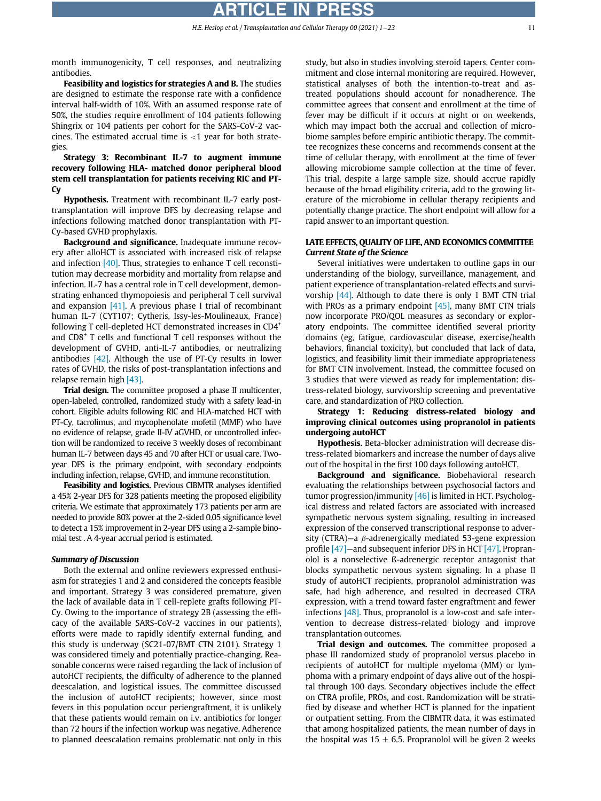month immunogenicity, T cell responses, and neutralizing antibodies.

Feasibility and logistics for strategies A and B. The studies are designed to estimate the response rate with a confidence interval half-width of 10%. With an assumed response rate of 50%, the studies require enrollment of 104 patients following Shingrix or 104 patients per cohort for the SARS-CoV-2 vaccines. The estimated accrual time is  $<$ 1 year for both strategies.

Strategy 3: Recombinant IL-7 to augment immune recovery following HLA- matched donor peripheral blood stem cell transplantation for patients receiving RIC and PT-Cy

Hypothesis. Treatment with recombinant IL-7 early posttransplantation will improve DFS by decreasing relapse and infections following matched donor transplantation with PT-Cy-based GVHD prophylaxis.

Background and significance. Inadequate immune recovery after alloHCT is associated with increased risk of relapse and infection  $[40]$ . Thus, strategies to enhance T cell reconstitution may decrease morbidity and mortality from relapse and infection. IL-7 has a central role in T cell development, demonstrating enhanced thymopoiesis and peripheral T cell survival and expansion  $[41]$ . A previous phase I trial of recombinant human IL-7 (CYT107; Cytheris, Issy-les-Moulineaux, France) following T cell-depleted HCT demonstrated increases in CD4<sup>+</sup> and  $CDS<sup>+</sup>$  T cells and functional T cell responses without the development of GVHD, anti-IL-7 antibodies, or neutralizing antibodies  $[42]$ . Although the use of PT-Cy results in lower rates of GVHD, the risks of post-transplantation infections and relapse remain high [\[43\].](#page-21-10)

Trial design. The committee proposed a phase II multicenter, open-labeled, controlled, randomized study with a safety lead-in cohort. Eligible adults following RIC and HLA-matched HCT with PT-Cy, tacrolimus, and mycophenolate mofetil (MMF) who have no evidence of relapse, grade II-IV aGVHD, or uncontrolled infection will be randomized to receive 3 weekly doses of recombinant human IL-7 between days 45 and 70 after HCT or usual care. Twoyear DFS is the primary endpoint, with secondary endpoints including infection, relapse, GVHD, and immune reconstitution.

Feasibility and logistics. Previous CIBMTR analyses identified a 45% 2-year DFS for 328 patients meeting the proposed eligibility criteria. We estimate that approximately 173 patients per arm are needed to provide 80% power at the 2-sided 0.05 significance level to detect a 15% improvement in 2-year DFS using a 2-sample binomial test . A 4-year accrual period is estimated.

#### Summary of Discussion

Both the external and online reviewers expressed enthusiasm for strategies 1 and 2 and considered the concepts feasible and important. Strategy 3 was considered premature, given the lack of available data in T cell-replete grafts following PT-Cy. Owing to the importance of strategy 2B (assessing the efficacy of the available SARS-CoV-2 vaccines in our patients), efforts were made to rapidly identify external funding, and this study is underway (SC21-07/BMT CTN 2101). Strategy 1 was considered timely and potentially practice-changing. Reasonable concerns were raised regarding the lack of inclusion of autoHCT recipients, the difficulty of adherence to the planned deescalation, and logistical issues. The committee discussed the inclusion of autoHCT recipients; however, since most fevers in this population occur periengraftment, it is unlikely that these patients would remain on i.v. antibiotics for longer than 72 hours if the infection workup was negative. Adherence to planned deescalation remains problematic not only in this study, but also in studies involving steroid tapers. Center commitment and close internal monitoring are required. However, statistical analyses of both the intention-to-treat and astreated populations should account for nonadherence. The committee agrees that consent and enrollment at the time of fever may be difficult if it occurs at night or on weekends, which may impact both the accrual and collection of microbiome samples before empiric antibiotic therapy. The committee recognizes these concerns and recommends consent at the time of cellular therapy, with enrollment at the time of fever allowing microbiome sample collection at the time of fever. This trial, despite a large sample size, should accrue rapidly because of the broad eligibility criteria, add to the growing literature of the microbiome in cellular therapy recipients and potentially change practice. The short endpoint will allow for a rapid answer to an important question.

### LATE EFFECTS, QUALITY OF LIFE, AND ECONOMICS COMMITTEE Current State of the Science

Several initiatives were undertaken to outline gaps in our understanding of the biology, surveillance, management, and patient experience of transplantation-related effects and survivorship [\[44\]](#page-21-11). Although to date there is only 1 BMT CTN trial with PROs as a primary endpoint [\[45\],](#page-21-12) many BMT CTN trials now incorporate PRO/QOL measures as secondary or exploratory endpoints. The committee identified several priority domains (eg, fatigue, cardiovascular disease, exercise/health behaviors, financial toxicity), but concluded that lack of data, logistics, and feasibility limit their immediate appropriateness for BMT CTN involvement. Instead, the committee focused on 3 studies that were viewed as ready for implementation: distress-related biology, survivorship screening and preventative care, and standardization of PRO collection.

Strategy 1: Reducing distress-related biology and improving clinical outcomes using propranolol in patients undergoing autoHCT

Hypothesis. Beta-blocker administration will decrease distress-related biomarkers and increase the number of days alive out of the hospital in the first 100 days following autoHCT.

Background and significance. Biobehavioral research evaluating the relationships between psychosocial factors and tumor progression/immunity <a>[\[46\]](#page-21-13)</a> is limited in HCT. Psychological distress and related factors are associated with increased sympathetic nervous system signaling, resulting in increased expression of the conserved transcriptional response to adversity (CTRA)—a  $\beta$ -adrenergically mediated 53-gene expression profile [\[47\]](#page-21-14)—and subsequent inferior DFS in HCT [\[47\]](#page-21-14). Propranolol is a nonselective ß-adrenergic receptor antagonist that blocks sympathetic nervous system signaling. In a phase II study of autoHCT recipients, propranolol administration was safe, had high adherence, and resulted in decreased CTRA expression, with a trend toward faster engraftment and fewer infections [\[48\]](#page-21-15). Thus, propranolol is a low-cost and safe intervention to decrease distress-related biology and improve transplantation outcomes.

Trial design and outcomes. The committee proposed a phase III randomized study of propranolol versus placebo in recipients of autoHCT for multiple myeloma (MM) or lymphoma with a primary endpoint of days alive out of the hospital through 100 days. Secondary objectives include the effect on CTRA profile, PROs, and cost. Randomization will be stratified by disease and whether HCT is planned for the inpatient or outpatient setting. From the CIBMTR data, it was estimated that among hospitalized patients, the mean number of days in the hospital was 15  $\pm$  6.5. Propranolol will be given 2 weeks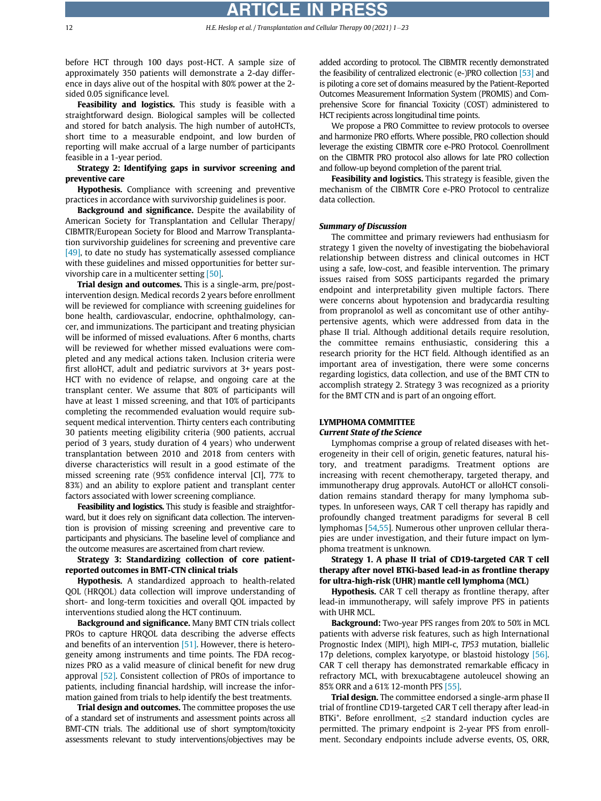before HCT through 100 days post-HCT. A sample size of approximately 350 patients will demonstrate a 2-day difference in days alive out of the hospital with 80% power at the 2 sided 0.05 significance level.

Feasibility and logistics. This study is feasible with a straightforward design. Biological samples will be collected and stored for batch analysis. The high number of autoHCTs, short time to a measurable endpoint, and low burden of reporting will make accrual of a large number of participants feasible in a 1-year period.

### Strategy 2: Identifying gaps in survivor screening and preventive care

Hypothesis. Compliance with screening and preventive practices in accordance with survivorship guidelines is poor.

Background and significance. Despite the availability of American Society for Transplantation and Cellular Therapy/ CIBMTR/European Society for Blood and Marrow Transplantation survivorship guidelines for screening and preventive care [\[49\]](#page-21-16), to date no study has systematically assessed compliance with these guidelines and missed opportunities for better survivorship care in a multicenter setting [\[50\].](#page-21-17)

Trial design and outcomes. This is a single-arm, pre/postintervention design. Medical records 2 years before enrollment will be reviewed for compliance with screening guidelines for bone health, cardiovascular, endocrine, ophthalmology, cancer, and immunizations. The participant and treating physician will be informed of missed evaluations. After 6 months, charts will be reviewed for whether missed evaluations were completed and any medical actions taken. Inclusion criteria were first alloHCT, adult and pediatric survivors at 3+ years post-HCT with no evidence of relapse, and ongoing care at the transplant center. We assume that 80% of participants will have at least 1 missed screening, and that 10% of participants completing the recommended evaluation would require subsequent medical intervention. Thirty centers each contributing 30 patients meeting eligibility criteria (900 patients, accrual period of 3 years, study duration of 4 years) who underwent transplantation between 2010 and 2018 from centers with diverse characteristics will result in a good estimate of the missed screening rate (95% confidence interval [CI], 77% to 83%) and an ability to explore patient and transplant center factors associated with lower screening compliance.

Feasibility and logistics. This study is feasible and straightforward, but it does rely on significant data collection. The intervention is provision of missing screening and preventive care to participants and physicians. The baseline level of compliance and the outcome measures are ascertained from chart review.

# Strategy 3: Standardizing collection of core patientreported outcomes in BMT-CTN clinical trials

**Hypothesis.** A standardized approach to health-related QOL (HRQOL) data collection will improve understanding of short- and long-term toxicities and overall QOL impacted by interventions studied along the HCT continuum.

Background and significance. Many BMT CTN trials collect PROs to capture HRQOL data describing the adverse effects and benefits of an intervention [\[51\]](#page-21-18). However, there is heterogeneity among instruments and time points. The FDA recognizes PRO as a valid measure of clinical benefit for new drug approval [\[52\]](#page-21-19). Consistent collection of PROs of importance to patients, including financial hardship, will increase the information gained from trials to help identify the best treatments.

Trial design and outcomes. The committee proposes the use of a standard set of instruments and assessment points across all BMT-CTN trials. The additional use of short symptom/toxicity assessments relevant to study interventions/objectives may be

added according to protocol. The CIBMTR recently demonstrated the feasibility of centralized electronic (e-)PRO collection [\[53\]](#page-21-20) and is piloting a core set of domains measured by the Patient-Reported Outcomes Measurement Information System (PROMIS) and Comprehensive Score for financial Toxicity (COST) administered to HCT recipients across longitudinal time points.

We propose a PRO Committee to review protocols to oversee and harmonize PRO efforts. Where possible, PRO collection should leverage the existing CIBMTR core e-PRO Protocol. Coenrollment on the CIBMTR PRO protocol also allows for late PRO collection and follow-up beyond completion of the parent trial.

Feasibility and logistics. This strategy is feasible, given the mechanism of the CIBMTR Core e-PRO Protocol to centralize data collection.

#### Summary of Discussion

The committee and primary reviewers had enthusiasm for strategy 1 given the novelty of investigating the biobehavioral relationship between distress and clinical outcomes in HCT using a safe, low-cost, and feasible intervention. The primary issues raised from SOSS participants regarded the primary endpoint and interpretability given multiple factors. There were concerns about hypotension and bradycardia resulting from propranolol as well as concomitant use of other antihypertensive agents, which were addressed from data in the phase II trial. Although additional details require resolution, the committee remains enthusiastic, considering this a research priority for the HCT field. Although identified as an important area of investigation, there were some concerns regarding logistics, data collection, and use of the BMT CTN to accomplish strategy 2. Strategy 3 was recognized as a priority for the BMT CTN and is part of an ongoing effort.

# LYMPHOMA COMMITTEE

# Current State of the Science

Lymphomas comprise a group of related diseases with heterogeneity in their cell of origin, genetic features, natural history, and treatment paradigms. Treatment options are increasing with recent chemotherapy, targeted therapy, and immunotherapy drug approvals. AutoHCT or alloHCT consolidation remains standard therapy for many lymphoma subtypes. In unforeseen ways, CAR T cell therapy has rapidly and profoundly changed treatment paradigms for several B cell lymphomas [[54,](#page-21-21)[55\]](#page-21-22). Numerous other unproven cellular therapies are under investigation, and their future impact on lymphoma treatment is unknown.

Strategy 1. A phase II trial of CD19-targeted CAR T cell therapy after novel BTKi-based lead-in as frontline therapy for ultra-high-risk (UHR) mantle cell lymphoma (MCL)

**Hypothesis.** CAR T cell therapy as frontline therapy, after lead-in immunotherapy, will safely improve PFS in patients with UHR MCL.

Background: Two-year PFS ranges from 20% to 50% in MCL patients with adverse risk features, such as high International Prognostic Index (MIPI), high MIPI-c, TP53 mutation, biallelic 17p deletions, complex karyotype, or blastoid histology [\[56\]](#page-21-23). CAR T cell therapy has demonstrated remarkable efficacy in refractory MCL, with brexucabtagene autoleucel showing an 85% ORR and a 61% 12-month PFS [\[55\]](#page-21-22).

Trial design. The committee endorsed a single-arm phase II trial of frontline CD19-targeted CAR T cell therapy after lead-in BTKi<sup>+</sup>. Before enrollment,  $\leq$ 2 standard induction cycles are permitted. The primary endpoint is 2-year PFS from enrollment. Secondary endpoints include adverse events, OS, ORR,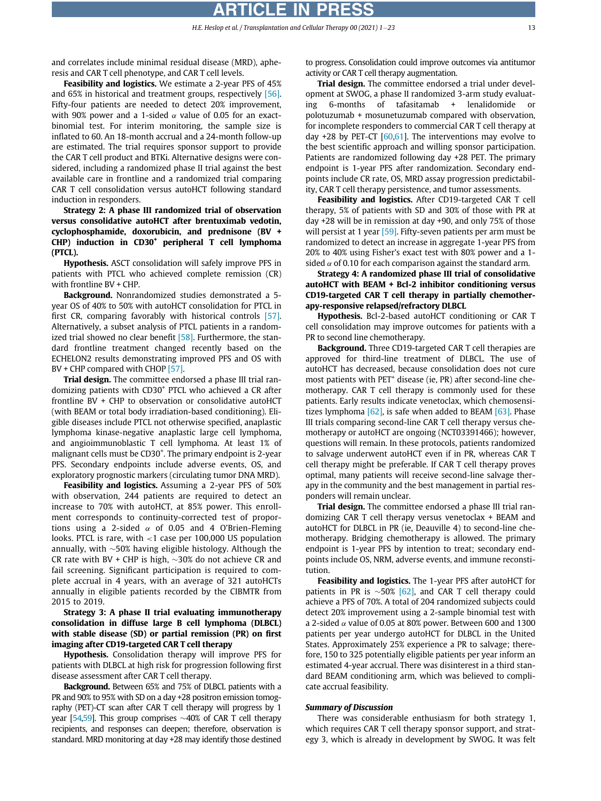and correlates include minimal residual disease (MRD), apheresis and CAR T cell phenotype, and CAR T cell levels.

Feasibility and logistics. We estimate a 2-year PFS of 45% and 65% in historical and treatment groups, respectively [\[56\]](#page-21-23). Fifty-four patients are needed to detect 20% improvement, with 90% power and a 1-sided  $\alpha$  value of 0.05 for an exactbinomial test. For interim monitoring, the sample size is inflated to 60. An 18-month accrual and a 24-month follow-up are estimated. The trial requires sponsor support to provide the CAR T cell product and BTKi. Alternative designs were considered, including a randomized phase II trial against the best available care in frontline and a randomized trial comparing CAR T cell consolidation versus autoHCT following standard induction in responders.

Strategy 2: A phase III randomized trial of observation versus consolidative autoHCT after brentuximab vedotin, cyclophosphamide, doxorubicin, and prednisone (BV +  $CHP$ ) induction in  $CD30<sup>+</sup>$  peripheral T cell lymphoma (PTCL).

Hypothesis. ASCT consolidation will safely improve PFS in patients with PTCL who achieved complete remission (CR) with frontline BV + CHP.

Background. Nonrandomized studies demonstrated a 5year OS of 40% to 50% with autoHCT consolidation for PTCL in first CR, comparing favorably with historical controls [\[57\]](#page-21-24). Alternatively, a subset analysis of PTCL patients in a randomized trial showed no clear benefit  $[58]$ . Furthermore, the standard frontline treatment changed recently based on the ECHELON2 results demonstrating improved PFS and OS with BV + CHP compared with CHOP [\[57\].](#page-21-24)

Trial design. The committee endorsed a phase III trial randomizing patients with CD30<sup>+</sup> PTCL who achieved a CR after frontline BV + CHP to observation or consolidative autoHCT (with BEAM or total body irradiation-based conditioning). Eligible diseases include PTCL not otherwise specified, anaplastic lymphoma kinase-negative anaplastic large cell lymphoma, and angioimmunoblastic T cell lymphoma. At least 1% of malignant cells must be CD30<sup>+</sup>. The primary endpoint is 2-year PFS. Secondary endpoints include adverse events, OS, and exploratory prognostic markers (circulating tumor DNA MRD).

Feasibility and logistics. Assuming a 2-year PFS of 50% with observation, 244 patients are required to detect an increase to 70% with autoHCT, at 85% power. This enrollment corresponds to continuity-corrected test of proportions using a 2-sided  $\alpha$  of 0.05 and 4 O'Brien-Fleming looks. PTCL is rare, with <1 case per 100,000 US population annually, with  $\sim$ 50% having eligible histology. Although the CR rate with BV + CHP is high,  $\sim$ 30% do not achieve CR and fail screening. Significant participation is required to complete accrual in 4 years, with an average of 321 autoHCTs annually in eligible patients recorded by the CIBMTR from 2015 to 2019.

Strategy 3: A phase II trial evaluating immunotherapy consolidation in diffuse large B cell lymphoma (DLBCL) with stable disease (SD) or partial remission (PR) on first imaging after CD19-targeted CAR T cell therapy

Hypothesis. Consolidation therapy will improve PFS for patients with DLBCL at high risk for progression following first disease assessment after CAR T cell therapy.

Background. Between 65% and 75% of DLBCL patients with a PR and 90% to 95% with SD on a day +28 positron emission tomography (PET)-CT scan after CAR T cell therapy will progress by 1 year [\[54,](#page-21-21)[59\]](#page-21-26). This group comprises  $\sim$ 40% of CAR T cell therapy recipients, and responses can deepen; therefore, observation is standard. MRD monitoring at day +28 may identify those destined to progress. Consolidation could improve outcomes via antitumor activity or CAR T cell therapy augmentation.

Trial design. The committee endorsed a trial under development at SWOG, a phase II randomized 3-arm study evaluating 6-months of tafasitamab + lenalidomide or polotuzumab + mosunetuzumab compared with observation, for incomplete responders to commercial CAR T cell therapy at day  $+28$  by PET-CT [\[60](#page-21-27)[,61](#page-21-28)]. The interventions may evolve to the best scientific approach and willing sponsor participation. Patients are randomized following day +28 PET. The primary endpoint is 1-year PFS after randomization. Secondary endpoints include CR rate, OS, MRD assay progression predictability, CAR T cell therapy persistence, and tumor assessments.

Feasibility and logistics. After CD19-targeted CAR T cell therapy, 5% of patients with SD and 30% of those with PR at day +28 will be in remission at day +90, and only 75% of those will persist at 1 year [\[59\]](#page-21-26). Fifty-seven patients per arm must be randomized to detect an increase in aggregate 1-year PFS from 20% to 40% using Fisher's exact test with 80% power and a 1 sided  $\alpha$  of 0.10 for each comparison against the standard arm.

Strategy 4: A randomized phase III trial of consolidative autoHCT with BEAM + Bcl-2 inhibitor conditioning versus CD19-targeted CAR T cell therapy in partially chemotherapy-responsive relapsed/refractory DLBCL

Hypothesis. Bcl-2-based autoHCT conditioning or CAR T cell consolidation may improve outcomes for patients with a PR to second line chemotherapy.

Background. Three CD19-targeted CAR T cell therapies are approved for third-line treatment of DLBCL. The use of autoHCT has decreased, because consolidation does not cure most patients with PET<sup>+</sup> disease (ie, PR) after second-line chemotherapy. CAR T cell therapy is commonly used for these patients. Early results indicate venetoclax, which chemosensitizes lymphoma  $[62]$ , is safe when added to BEAM  $[63]$ . Phase III trials comparing second-line CAR T cell therapy versus chemotherapy or autoHCT are ongoing (NCT03391466); however, questions will remain. In these protocols, patients randomized to salvage underwent autoHCT even if in PR, whereas CAR T cell therapy might be preferable. If CAR T cell therapy proves optimal, many patients will receive second-line salvage therapy in the community and the best management in partial responders will remain unclear.

Trial design. The committee endorsed a phase III trial randomizing CAR T cell therapy versus venetoclax + BEAM and autoHCT for DLBCL in PR (ie, Deauville 4) to second-line chemotherapy. Bridging chemotherapy is allowed. The primary endpoint is 1-year PFS by intention to treat; secondary endpoints include OS, NRM, adverse events, and immune reconstitution.

Feasibility and logistics. The 1-year PFS after autoHCT for patients in PR is  $\sim$ 50% [\[62\]](#page-21-29), and CAR T cell therapy could achieve a PFS of 70%. A total of 204 randomized subjects could detect 20% improvement using a 2-sample binomial test with a 2-sided  $\alpha$  value of 0.05 at 80% power. Between 600 and 1300 patients per year undergo autoHCT for DLBCL in the United States. Approximately 25% experience a PR to salvage; therefore, 150 to 325 potentially eligible patients per year inform an estimated 4-year accrual. There was disinterest in a third standard BEAM conditioning arm, which was believed to complicate accrual feasibility.

#### Summary of Discussion

There was considerable enthusiasm for both strategy 1, which requires CAR T cell therapy sponsor support, and strategy 3, which is already in development by SWOG. It was felt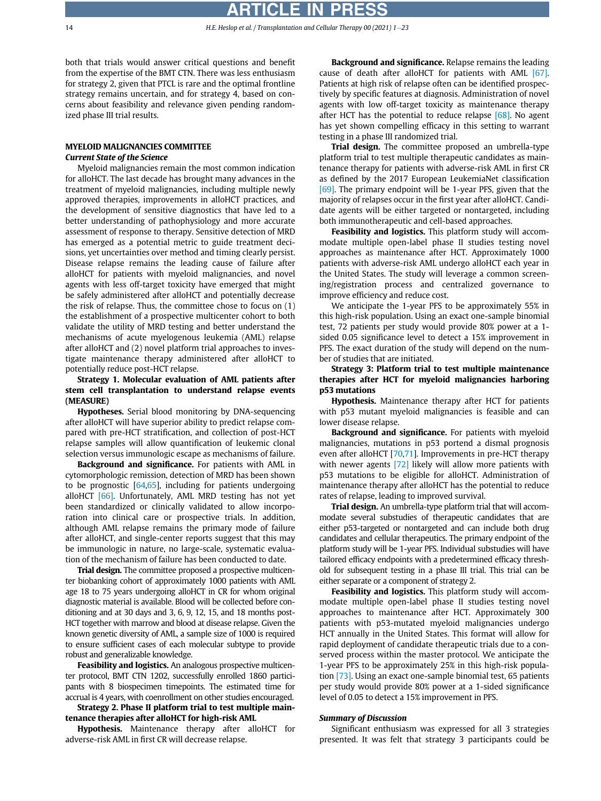both that trials would answer critical questions and benefit from the expertise of the BMT CTN. There was less enthusiasm for strategy 2, given that PTCL is rare and the optimal frontline strategy remains uncertain, and for strategy 4, based on concerns about feasibility and relevance given pending randomized phase III trial results.

# MYELOID MALIGNANCIES COMMITTEE Current State of the Science

Myeloid malignancies remain the most common indication for alloHCT. The last decade has brought many advances in the treatment of myeloid malignancies, including multiple newly approved therapies, improvements in alloHCT practices, and the development of sensitive diagnostics that have led to a better understanding of pathophysiology and more accurate assessment of response to therapy. Sensitive detection of MRD has emerged as a potential metric to guide treatment decisions, yet uncertainties over method and timing clearly persist. Disease relapse remains the leading cause of failure after alloHCT for patients with myeloid malignancies, and novel agents with less off-target toxicity have emerged that might be safely administered after alloHCT and potentially decrease the risk of relapse. Thus, the committee chose to focus on (1) the establishment of a prospective multicenter cohort to both validate the utility of MRD testing and better understand the mechanisms of acute myelogenous leukemia (AML) relapse after alloHCT and (2) novel platform trial approaches to investigate maintenance therapy administered after alloHCT to potentially reduce post-HCT relapse.

# Strategy 1. Molecular evaluation of AML patients after stem cell transplantation to understand relapse events (MEASURE)

Hypotheses. Serial blood monitoring by DNA-sequencing after alloHCT will have superior ability to predict relapse compared with pre-HCT stratification, and collection of post-HCT relapse samples will allow quantification of leukemic clonal selection versus immunologic escape as mechanisms of failure.

Background and significance. For patients with AML in cytomorphologic remission, detection of MRD has been shown to be prognostic [[64,](#page-21-31)[65\]](#page-21-32), including for patients undergoing alloHCT [\[66\].](#page-21-33) Unfortunately, AML MRD testing has not yet been standardized or clinically validated to allow incorporation into clinical care or prospective trials. In addition, although AML relapse remains the primary mode of failure after alloHCT, and single-center reports suggest that this may be immunologic in nature, no large-scale, systematic evaluation of the mechanism of failure has been conducted to date.

**Trial design.** The committee proposed a prospective multicenter biobanking cohort of approximately 1000 patients with AML age 18 to 75 years undergoing alloHCT in CR for whom original diagnostic material is available. Blood will be collected before conditioning and at 30 days and 3, 6, 9, 12, 15, and 18 months post-HCT together with marrow and blood at disease relapse. Given the known genetic diversity of AML, a sample size of 1000 is required to ensure sufficient cases of each molecular subtype to provide robust and generalizable knowledge.

Feasibility and logistics. An analogous prospective multicenter protocol, BMT CTN 1202, successfully enrolled 1860 participants with 8 biospecimen timepoints. The estimated time for accrual is 4 years, with coenrollment on other studies encouraged.

Strategy 2. Phase II platform trial to test multiple maintenance therapies after alloHCT for high-risk AML

Hypothesis. Maintenance therapy after alloHCT for adverse-risk AML in first CR will decrease relapse.

Background and significance. Relapse remains the leading cause of death after alloHCT for patients with AML [\[67\]](#page-21-34). Patients at high risk of relapse often can be identified prospectively by specific features at diagnosis. Administration of novel agents with low off-target toxicity as maintenance therapy after HCT has the potential to reduce relapse [\[68\].](#page-21-35) No agent has yet shown compelling efficacy in this setting to warrant testing in a phase III randomized trial.

Trial design. The committee proposed an umbrella-type platform trial to test multiple therapeutic candidates as maintenance therapy for patients with adverse-risk AML in first CR as defined by the 2017 European LeukemiaNet classification [\[69\]](#page-21-36). The primary endpoint will be 1-year PFS, given that the majority of relapses occur in the first year after alloHCT. Candidate agents will be either targeted or nontargeted, including both immunotherapeutic and cell-based approaches.

Feasibility and logistics. This platform study will accommodate multiple open-label phase II studies testing novel approaches as maintenance after HCT. Approximately 1000 patients with adverse-risk AML undergo alloHCT each year in the United States. The study will leverage a common screening/registration process and centralized governance to improve efficiency and reduce cost.

We anticipate the 1-year PFS to be approximately 55% in this high-risk population. Using an exact one-sample binomial test, 72 patients per study would provide 80% power at a 1 sided 0.05 significance level to detect a 15% improvement in PFS. The exact duration of the study will depend on the number of studies that are initiated.

# Strategy 3: Platform trial to test multiple maintenance therapies after HCT for myeloid malignancies harboring p53 mutations

Hypothesis. Maintenance therapy after HCT for patients with p53 mutant myeloid malignancies is feasible and can lower disease relapse.

Background and significance. For patients with myeloid malignancies, mutations in p53 portend a dismal prognosis even after alloHCT [[70,](#page-21-37)[71\]](#page-21-38). Improvements in pre-HCT therapy with newer agents [\[72\]](#page-21-39) likely will allow more patients with p53 mutations to be eligible for alloHCT. Administration of maintenance therapy after alloHCT has the potential to reduce rates of relapse, leading to improved survival.

Trial design. An umbrella-type platform trial that will accommodate several substudies of therapeutic candidates that are either p53-targeted or nontargeted and can include both drug candidates and cellular therapeutics. The primary endpoint of the platform study will be 1-year PFS. Individual substudies will have tailored efficacy endpoints with a predetermined efficacy threshold for subsequent testing in a phase III trial. This trial can be either separate or a component of strategy 2.

Feasibility and logistics. This platform study will accommodate multiple open-label phase II studies testing novel approaches to maintenance after HCT. Approximately 300 patients with p53-mutated myeloid malignancies undergo HCT annually in the United States. This format will allow for rapid deployment of candidate therapeutic trials due to a conserved process within the master protocol. We anticipate the 1-year PFS to be approximately 25% in this high-risk population [\[73\]](#page-21-40). Using an exact one-sample binomial test, 65 patients per study would provide 80% power at a 1-sided significance level of 0.05 to detect a 15% improvement in PFS.

#### Summary of Discussion

Significant enthusiasm was expressed for all 3 strategies presented. It was felt that strategy 3 participants could be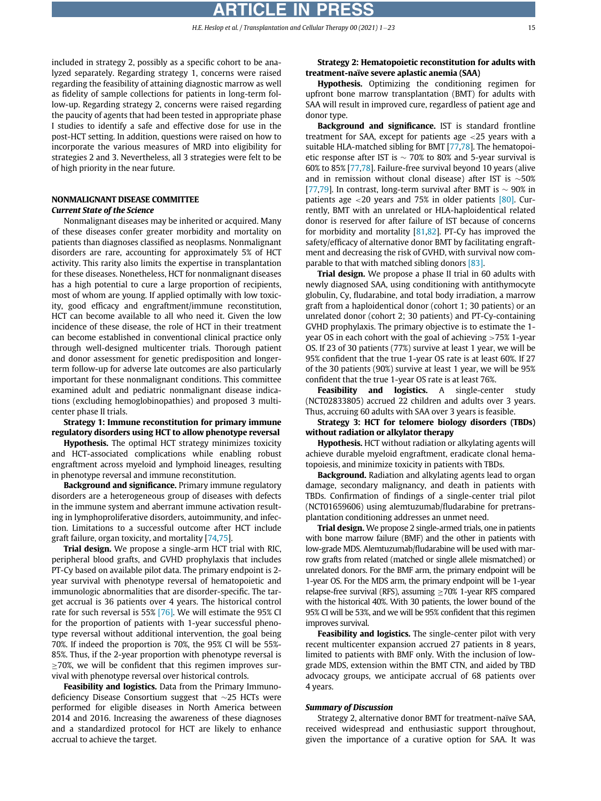included in strategy 2, possibly as a specific cohort to be analyzed separately. Regarding strategy 1, concerns were raised regarding the feasibility of attaining diagnostic marrow as well as fidelity of sample collections for patients in long-term follow-up. Regarding strategy 2, concerns were raised regarding the paucity of agents that had been tested in appropriate phase I studies to identify a safe and effective dose for use in the post-HCT setting. In addition, questions were raised on how to incorporate the various measures of MRD into eligibility for strategies 2 and 3. Nevertheless, all 3 strategies were felt to be of high priority in the near future.

### NONMALIGNANT DISEASE COMMITTEE Current State of the Science

Nonmalignant diseases may be inherited or acquired. Many of these diseases confer greater morbidity and mortality on patients than diagnoses classified as neoplasms. Nonmalignant disorders are rare, accounting for approximately 5% of HCT activity. This rarity also limits the expertise in transplantation for these diseases. Nonetheless, HCT for nonmalignant diseases has a high potential to cure a large proportion of recipients, most of whom are young. If applied optimally with low toxicity, good efficacy and engraftment/immune reconstitution, HCT can become available to all who need it. Given the low incidence of these disease, the role of HCT in their treatment can become established in conventional clinical practice only through well-designed multicenter trials. Thorough patient and donor assessment for genetic predisposition and longerterm follow-up for adverse late outcomes are also particularly important for these nonmalignant conditions. This committee examined adult and pediatric nonmalignant disease indications (excluding hemoglobinopathies) and proposed 3 multicenter phase II trials.

Strategy 1: Immune reconstitution for primary immune regulatory disorders using HCT to allow phenotype reversal

Hypothesis. The optimal HCT strategy minimizes toxicity and HCT-associated complications while enabling robust engraftment across myeloid and lymphoid lineages, resulting in phenotype reversal and immune reconstitution.

Background and significance. Primary immune regulatory disorders are a heterogeneous group of diseases with defects in the immune system and aberrant immune activation resulting in lymphoproliferative disorders, autoimmunity, and infection. Limitations to a successful outcome after HCT include graft failure, organ toxicity, and mortality [\[74](#page-21-41)[,75](#page-21-42)].

Trial design. We propose a single-arm HCT trial with RIC, peripheral blood grafts, and GVHD prophylaxis that includes PT-Cy based on available pilot data. The primary endpoint is 2 year survival with phenotype reversal of hematopoietic and immunologic abnormalities that are disorder-specific. The target accrual is 36 patients over 4 years. The historical control rate for such reversal is 55% [\[76\].](#page-21-43) We will estimate the 95% CI for the proportion of patients with 1-year successful phenotype reversal without additional intervention, the goal being 70%. If indeed the proportion is 70%, the 95% CI will be 55%- 85%. Thus, if the 2-year proportion with phenotype reversal is  $\geq$ 70%, we will be confident that this regimen improves survival with phenotype reversal over historical controls.

Feasibility and logistics. Data from the Primary Immunodeficiency Disease Consortium suggest that  $\sim$ 25 HCTs were performed for eligible diseases in North America between 2014 and 2016. Increasing the awareness of these diagnoses and a standardized protocol for HCT are likely to enhance accrual to achieve the target.

### Strategy 2: Hematopoietic reconstitution for adults with treatment-naïve severe aplastic anemia (SAA)

Hypothesis. Optimizing the conditioning regimen for upfront bone marrow transplantation (BMT) for adults with SAA will result in improved cure, regardless of patient age and donor type.

Background and significance. IST is standard frontline treatment for SAA, except for patients age <25 years with a suitable HLA-matched sibling for BMT [[77,](#page-21-44)[78\]](#page-21-45). The hematopoietic response after IST is  $\sim$  70% to 80% and 5-year survival is 60% to 85% [\[77](#page-21-44)[,78](#page-21-45)]. Failure-free survival beyond 10 years (alive and in remission without clonal disease) after IST is  $\sim$ 50% [[77](#page-21-44),[79](#page-21-46)]. In contrast, long-term survival after BMT is  $\sim$  90% in patients age  $\langle 20 \rangle$  years and 75% in older patients [\[80\].](#page-21-47) Currently, BMT with an unrelated or HLA-haploidentical related donor is reserved for after failure of IST because of concerns for morbidity and mortality  $[81,82]$  $[81,82]$  $[81,82]$ . PT-Cy has improved the safety/efficacy of alternative donor BMT by facilitating engraftment and decreasing the risk of GVHD, with survival now comparable to that with matched sibling donors [\[83\]](#page-22-2).

Trial design. We propose a phase II trial in 60 adults with newly diagnosed SAA, using conditioning with antithymocyte globulin, Cy, fludarabine, and total body irradiation, a marrow graft from a haploidentical donor (cohort 1; 30 patients) or an unrelated donor (cohort 2; 30 patients) and PT-Cy-containing GVHD prophylaxis. The primary objective is to estimate the 1 year OS in each cohort with the goal of achieving >75% 1-year OS. If 23 of 30 patients (77%) survive at least 1 year, we will be 95% confident that the true 1-year OS rate is at least 60%. If 27 of the 30 patients (90%) survive at least 1 year, we will be 95% confident that the true 1-year OS rate is at least 76%.

Feasibility and logistics. A single-center study (NCT02833805) accrued 22 children and adults over 3 years. Thus, accruing 60 adults with SAA over 3 years is feasible.

Strategy 3: HCT for telomere biology disorders (TBDs) without radiation or alkylator therapy

Hypothesis. HCT without radiation or alkylating agents will achieve durable myeloid engraftment, eradicate clonal hematopoiesis, and minimize toxicity in patients with TBDs.

Background. Radiation and alkylating agents lead to organ damage, secondary malignancy, and death in patients with TBDs. Confirmation of findings of a single-center trial pilot (NCT01659606) using alemtuzumab/fludarabine for pretransplantation conditioning addresses an unmet need.

Trial design. We propose 2 single-armed trials, one in patients with bone marrow failure (BMF) and the other in patients with low-grade MDS. Alemtuzumab/fludarabine will be used with marrow grafts from related (matched or single allele mismatched) or unrelated donors. For the BMF arm, the primary endpoint will be 1-year OS. For the MDS arm, the primary endpoint will be 1-year relapse-free survival (RFS), assuming  $\geq 70\%$  1-year RFS compared with the historical 40%. With 30 patients, the lower bound of the 95% CI will be 53%, and we will be 95% confident that this regimen improves survival.

Feasibility and logistics. The single-center pilot with very recent multicenter expansion accrued 27 patients in 8 years, limited to patients with BMF only. With the inclusion of lowgrade MDS, extension within the BMT CTN, and aided by TBD advocacy groups, we anticipate accrual of 68 patients over 4 years.

#### Summary of Discussion

Strategy 2, alternative donor BMT for treatment-naïve SAA, received widespread and enthusiastic support throughout, given the importance of a curative option for SAA. It was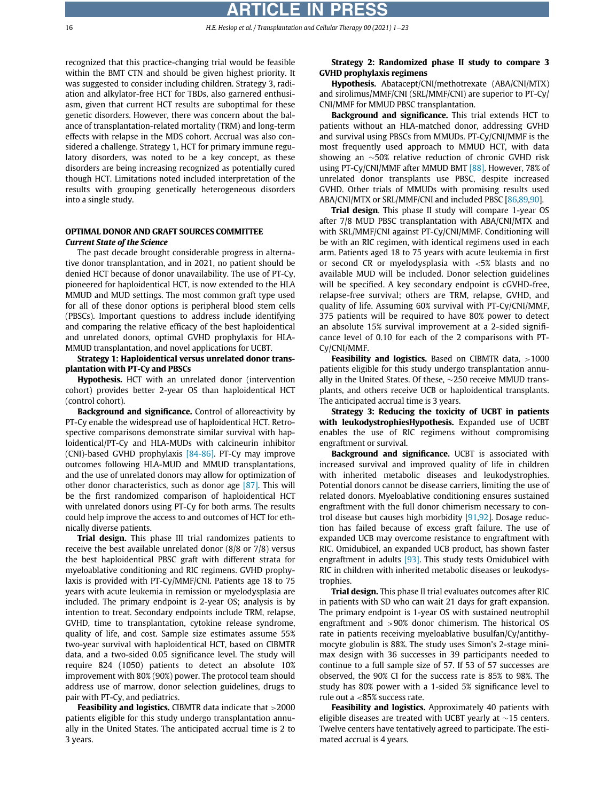recognized that this practice-changing trial would be feasible within the BMT CTN and should be given highest priority. It was suggested to consider including children. Strategy 3, radiation and alkylator-free HCT for TBDs, also garnered enthusiasm, given that current HCT results are suboptimal for these genetic disorders. However, there was concern about the balance of transplantation-related mortality (TRM) and long-term effects with relapse in the MDS cohort. Accrual was also considered a challenge. Strategy 1, HCT for primary immune regulatory disorders, was noted to be a key concept, as these disorders are being increasing recognized as potentially cured though HCT. Limitations noted included interpretation of the results with grouping genetically heterogeneous disorders into a single study.

# OPTIMAL DONOR AND GRAFT SOURCES COMMITTEE Current State of the Science

The past decade brought considerable progress in alternative donor transplantation, and in 2021, no patient should be denied HCT because of donor unavailability. The use of PT-Cy, pioneered for haploidentical HCT, is now extended to the HLA MMUD and MUD settings. The most common graft type used for all of these donor options is peripheral blood stem cells (PBSCs). Important questions to address include identifying and comparing the relative efficacy of the best haploidentical and unrelated donors, optimal GVHD prophylaxis for HLA-MMUD transplantation, and novel applications for UCBT.

Strategy 1: Haploidentical versus unrelated donor transplantation with PT-Cy and PBSCs

Hypothesis. HCT with an unrelated donor (intervention cohort) provides better 2-year OS than haploidentical HCT (control cohort).

Background and significance. Control of alloreactivity by PT-Cy enable the widespread use of haploidentical HCT. Retrospective comparisons demonstrate similar survival with haploidentical/PT-Cy and HLA-MUDs with calcineurin inhibitor (CNI)-based GVHD prophylaxis [\[84-86\]](#page-22-3). PT-Cy may improve outcomes following HLA-MUD and MMUD transplantations, and the use of unrelated donors may allow for optimization of other donor characteristics, such as donor age [\[87\].](#page-22-4) This will be the first randomized comparison of haploidentical HCT with unrelated donors using PT-Cy for both arms. The results could help improve the access to and outcomes of HCT for ethnically diverse patients.

Trial design. This phase III trial randomizes patients to receive the best available unrelated donor (8/8 or 7/8) versus the best haploidentical PBSC graft with different strata for myeloablative conditioning and RIC regimens. GVHD prophylaxis is provided with PT-Cy/MMF/CNI. Patients age 18 to 75 years with acute leukemia in remission or myelodysplasia are included. The primary endpoint is 2-year OS; analysis is by intention to treat. Secondary endpoints include TRM, relapse, GVHD, time to transplantation, cytokine release syndrome, quality of life, and cost. Sample size estimates assume 55% two-year survival with haploidentical HCT, based on CIBMTR data, and a two-sided 0.05 significance level. The study will require 824 (1050) patients to detect an absolute 10% improvement with 80% (90%) power. The protocol team should address use of marrow, donor selection guidelines, drugs to pair with PT-Cy, and pediatrics.

Feasibility and logistics. CIBMTR data indicate that >2000 patients eligible for this study undergo transplantation annually in the United States. The anticipated accrual time is 2 to 3 years.

# Strategy 2: Randomized phase II study to compare 3 GVHD prophylaxis regimens

Hypothesis. Abatacept/CNI/methotrexate (ABA/CNI/MTX) and sirolimus/MMF/CNI (SRL/MMF/CNI) are superior to PT-Cy/ CNI/MMF for MMUD PBSC transplantation.

Background and significance. This trial extends HCT to patients without an HLA-matched donor, addressing GVHD and survival using PBSCs from MMUDs. PT-Cy/CNI/MMF is the most frequently used approach to MMUD HCT, with data showing an  $\sim$ 50% relative reduction of chronic GVHD risk using PT-Cy/CNI/MMF after MMUD BMT [\[88\].](#page-22-5) However, 78% of unrelated donor transplants use PBSC, despite increased GVHD. Other trials of MMUDs with promising results used ABA/CNI/MTX or SRL/MMF/CNI and included PBSC [[86,](#page-22-6)[89,](#page-22-7)[90\]](#page-22-8).

Trial design. This phase II study will compare 1-year OS after 7/8 MUD PBSC transplantation with ABA/CNI/MTX and with SRL/MMF/CNI against PT-Cy/CNI/MMF. Conditioning will be with an RIC regimen, with identical regimens used in each arm. Patients aged 18 to 75 years with acute leukemia in first or second CR or myelodysplasia with <5% blasts and no available MUD will be included. Donor selection guidelines will be specified. A key secondary endpoint is cGVHD-free, relapse-free survival; others are TRM, relapse, GVHD, and quality of life. Assuming 60% survival with PT-Cy/CNI/MMF, 375 patients will be required to have 80% power to detect an absolute 15% survival improvement at a 2-sided significance level of 0.10 for each of the 2 comparisons with PT-Cy/CNI/MMF.

**Feasibility and logistics.** Based on CIBMTR data,  $>1000$ patients eligible for this study undergo transplantation annually in the United States. Of these,  $\sim$ 250 receive MMUD transplants, and others receive UCB or haploidentical transplants. The anticipated accrual time is 3 years.

Strategy 3: Reducing the toxicity of UCBT in patients with leukodystrophiesHypothesis. Expanded use of UCBT enables the use of RIC regimens without compromising engraftment or survival.

Background and significance. UCBT is associated with increased survival and improved quality of life in children with inherited metabolic diseases and leukodystrophies. Potential donors cannot be disease carriers, limiting the use of related donors. Myeloablative conditioning ensures sustained engraftment with the full donor chimerism necessary to control disease but causes high morbidity [[91,](#page-22-9)[92\]](#page-22-10). Dosage reduction has failed because of excess graft failure. The use of expanded UCB may overcome resistance to engraftment with RIC. Omidubicel, an expanded UCB product, has shown faster engraftment in adults  $[93]$ . This study tests Omidubicel with RIC in children with inherited metabolic diseases or leukodystrophies.

Trial design. This phase II trial evaluates outcomes after RIC in patients with SD who can wait 21 days for graft expansion. The primary endpoint is 1-year OS with sustained neutrophil engraftment and >90% donor chimerism. The historical OS rate in patients receiving myeloablative busulfan/Cy/antithymocyte globulin is 88%. The study uses Simon's 2-stage minimax design with 36 successes in 39 participants needed to continue to a full sample size of 57. If 53 of 57 successes are observed, the 90% CI for the success rate is 85% to 98%. The study has 80% power with a 1-sided 5% significance level to rule out a <85% success rate.

Feasibility and logistics. Approximately 40 patients with eligible diseases are treated with UCBT yearly at  $\sim$ 15 centers. Twelve centers have tentatively agreed to participate. The estimated accrual is 4 years.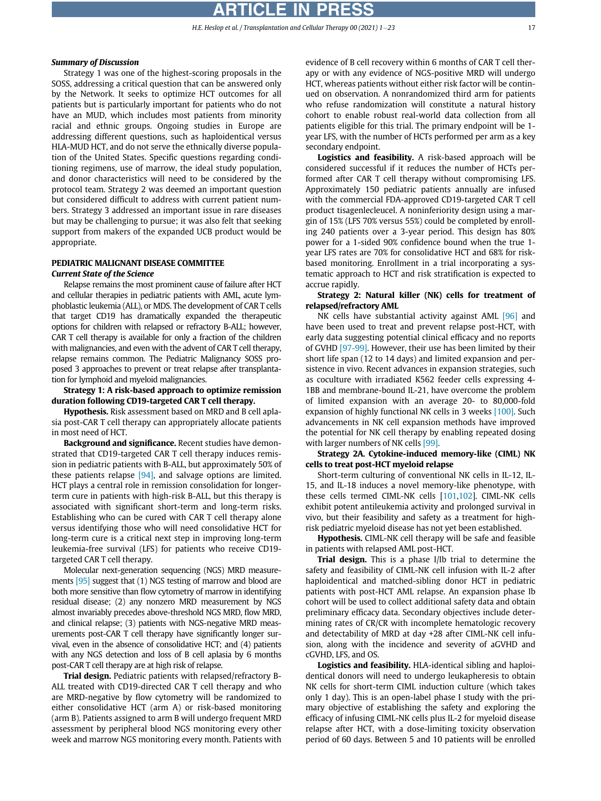# RTICLE IN PR

# Summary of Discussion

Strategy 1 was one of the highest-scoring proposals in the SOSS, addressing a critical question that can be answered only by the Network. It seeks to optimize HCT outcomes for all patients but is particularly important for patients who do not have an MUD, which includes most patients from minority racial and ethnic groups. Ongoing studies in Europe are addressing different questions, such as haploidentical versus HLA-MUD HCT, and do not serve the ethnically diverse population of the United States. Specific questions regarding conditioning regimens, use of marrow, the ideal study population, and donor characteristics will need to be considered by the protocol team. Strategy 2 was deemed an important question but considered difficult to address with current patient numbers. Strategy 3 addressed an important issue in rare diseases but may be challenging to pursue; it was also felt that seeking support from makers of the expanded UCB product would be appropriate.

# PEDIATRIC MALIGNANT DISEASE COMMITTEE Current State of the Science

Relapse remains the most prominent cause of failure after HCT and cellular therapies in pediatric patients with AML, acute lymphoblastic leukemia (ALL), or MDS. The development of CAR T cells that target CD19 has dramatically expanded the therapeutic options for children with relapsed or refractory B-ALL; however, CAR T cell therapy is available for only a fraction of the children with malignancies, and even with the advent of CAR T cell therapy, relapse remains common. The Pediatric Malignancy SOSS proposed 3 approaches to prevent or treat relapse after transplantation for lymphoid and myeloid malignancies.

Strategy 1: A risk-based approach to optimize remission duration following CD19-targeted CAR T cell therapy.

Hypothesis. Risk assessment based on MRD and B cell aplasia post-CAR T cell therapy can appropriately allocate patients in most need of HCT.

Background and significance. Recent studies have demonstrated that CD19-targeted CAR T cell therapy induces remission in pediatric patients with B-ALL, but approximately 50% of these patients relapse  $[94]$ , and salvage options are limited. HCT plays a central role in remission consolidation for longerterm cure in patients with high-risk B-ALL, but this therapy is associated with significant short-term and long-term risks. Establishing who can be cured with CAR T cell therapy alone versus identifying those who will need consolidative HCT for long-term cure is a critical next step in improving long-term leukemia-free survival (LFS) for patients who receive CD19 targeted CAR T cell therapy.

Molecular next-generation sequencing (NGS) MRD measurements [\[95\]](#page-22-13) suggest that (1) NGS testing of marrow and blood are both more sensitive than flow cytometry of marrow in identifying residual disease; (2) any nonzero MRD measurement by NGS almost invariably precedes above-threshold NGS MRD, flow MRD, and clinical relapse; (3) patients with NGS-negative MRD measurements post-CAR T cell therapy have significantly longer survival, even in the absence of consolidative HCT; and (4) patients with any NGS detection and loss of B cell aplasia by 6 months post-CAR T cell therapy are at high risk of relapse.

Trial design. Pediatric patients with relapsed/refractory B-ALL treated with CD19-directed CAR T cell therapy and who are MRD-negative by flow cytometry will be randomized to either consolidative HCT (arm A) or risk-based monitoring (arm B). Patients assigned to arm B will undergo frequent MRD assessment by peripheral blood NGS monitoring every other week and marrow NGS monitoring every month. Patients with evidence of B cell recovery within 6 months of CAR T cell therapy or with any evidence of NGS-positive MRD will undergo HCT, whereas patients without either risk factor will be continued on observation. A nonrandomized third arm for patients who refuse randomization will constitute a natural history cohort to enable robust real-world data collection from all patients eligible for this trial. The primary endpoint will be 1 year LFS, with the number of HCTs performed per arm as a key secondary endpoint.

Logistics and feasibility. A risk-based approach will be considered successful if it reduces the number of HCTs performed after CAR T cell therapy without compromising LFS. Approximately 150 pediatric patients annually are infused with the commercial FDA-approved CD19-targeted CAR T cell product tisagenlecleucel. A noninferiority design using a margin of 15% (LFS 70% versus 55%) could be completed by enrolling 240 patients over a 3-year period. This design has 80% power for a 1-sided 90% confidence bound when the true 1 year LFS rates are 70% for consolidative HCT and 68% for riskbased monitoring. Enrollment in a trial incorporating a systematic approach to HCT and risk stratification is expected to accrue rapidly.

#### Strategy 2: Natural killer (NK) cells for treatment of relapsed/refractory AML

NK cells have substantial activity against AML [\[96\]](#page-22-14) and have been used to treat and prevent relapse post-HCT, with early data suggesting potential clinical efficacy and no reports of GVHD [\[97-99\].](#page-22-15) However, their use has been limited by their short life span (12 to 14 days) and limited expansion and persistence in vivo. Recent advances in expansion strategies, such as coculture with irradiated K562 feeder cells expressing 4- 1BB and membrane-bound IL-21, have overcome the problem of limited expansion with an average 20- to 80,000-fold expansion of highly functional NK cells in 3 weeks [\[100\].](#page-22-16) Such advancements in NK cell expansion methods have improved the potential for NK cell therapy by enabling repeated dosing with larger numbers of NK cells [\[99\].](#page-22-17)

#### Strategy 2A. Cytokine-induced memory-like (CIML) NK cells to treat post-HCT myeloid relapse

Short-term culturing of conventional NK cells in IL-12, IL-15, and IL-18 induces a novel memory-like phenotype, with these cells termed CIML-NK cells [[101,](#page-22-18)[102](#page-22-19)]. CIML-NK cells exhibit potent antileukemia activity and prolonged survival in vivo, but their feasibility and safety as a treatment for highrisk pediatric myeloid disease has not yet been established.

Hypothesis. CIML-NK cell therapy will be safe and feasible in patients with relapsed AML post-HCT.

Trial design. This is a phase I/Ib trial to determine the safety and feasibility of CIML-NK cell infusion with IL-2 after haploidentical and matched-sibling donor HCT in pediatric patients with post-HCT AML relapse. An expansion phase Ib cohort will be used to collect additional safety data and obtain preliminary efficacy data. Secondary objectives include determining rates of CR/CR with incomplete hematologic recovery and detectability of MRD at day +28 after CIML-NK cell infusion, along with the incidence and severity of aGVHD and cGVHD, LFS, and OS.

Logistics and feasibility. HLA-identical sibling and haploidentical donors will need to undergo leukapheresis to obtain NK cells for short-term CIML induction culture (which takes only 1 day). This is an open-label phase I study with the primary objective of establishing the safety and exploring the efficacy of infusing CIML-NK cells plus IL-2 for myeloid disease relapse after HCT, with a dose-limiting toxicity observation period of 60 days. Between 5 and 10 patients will be enrolled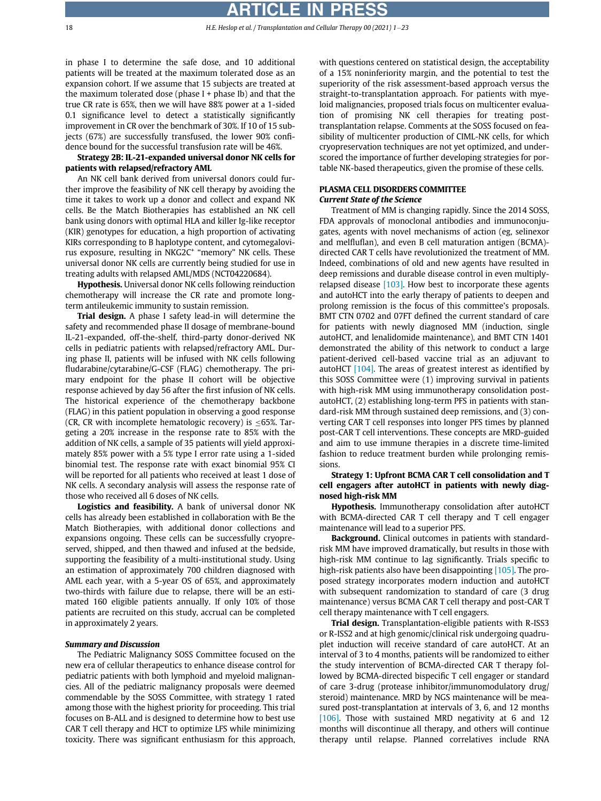18 **18 H.E. Heslop et al. / Transplantation and Cellular Therapy 00 (2021) 1-23** 

in phase I to determine the safe dose, and 10 additional patients will be treated at the maximum tolerated dose as an expansion cohort. If we assume that 15 subjects are treated at the maximum tolerated dose (phase  $I +$  phase Ib) and that the true CR rate is 65%, then we will have 88% power at a 1-sided 0.1 significance level to detect a statistically significantly improvement in CR over the benchmark of 30%. If 10 of 15 subjects (67%) are successfully transfused, the lower 90% confidence bound for the successful transfusion rate will be 46%.

Strategy 2B: IL-21-expanded universal donor NK cells for patients with relapsed/refractory AML

An NK cell bank derived from universal donors could further improve the feasibility of NK cell therapy by avoiding the time it takes to work up a donor and collect and expand NK cells. Be the Match Biotherapies has established an NK cell bank using donors with optimal HLA and killer Ig-like receptor (KIR) genotypes for education, a high proportion of activating KIRs corresponding to B haplotype content, and cytomegalovirus exposure, resulting in NKG2C<sup>+</sup> "memory" NK cells. These universal donor NK cells are currently being studied for use in treating adults with relapsed AML/MDS (NCT04220684).

Hypothesis. Universal donor NK cells following reinduction chemotherapy will increase the CR rate and promote longterm antileukemic immunity to sustain remission.

Trial design. A phase I safety lead-in will determine the safety and recommended phase II dosage of membrane-bound IL-21-expanded, off-the-shelf, third-party donor-derived NK cells in pediatric patients with relapsed/refractory AML. During phase II, patients will be infused with NK cells following fludarabine/cytarabine/G-CSF (FLAG) chemotherapy. The primary endpoint for the phase II cohort will be objective response achieved by day 56 after the first infusion of NK cells. The historical experience of the chemotherapy backbone (FLAG) in this patient population in observing a good response (CR, CR with incomplete hematologic recovery) is  $\leq$ 65%. Targeting a 20% increase in the response rate to 85% with the addition of NK cells, a sample of 35 patients will yield approximately 85% power with a 5% type I error rate using a 1-sided binomial test. The response rate with exact binomial 95% CI will be reported for all patients who received at least 1 dose of NK cells. A secondary analysis will assess the response rate of those who received all 6 doses of NK cells.

Logistics and feasibility. A bank of universal donor NK cells has already been established in collaboration with Be the Match Biotherapies, with additional donor collections and expansions ongoing. These cells can be successfully cryopreserved, shipped, and then thawed and infused at the bedside, supporting the feasibility of a multi-institutional study. Using an estimation of approximately 700 children diagnosed with AML each year, with a 5-year OS of 65%, and approximately two-thirds with failure due to relapse, there will be an estimated 160 eligible patients annually. If only 10% of those patients are recruited on this study, accrual can be completed in approximately 2 years.

# Summary and Discussion

The Pediatric Malignancy SOSS Committee focused on the new era of cellular therapeutics to enhance disease control for pediatric patients with both lymphoid and myeloid malignancies. All of the pediatric malignancy proposals were deemed commendable by the SOSS Committee, with strategy 1 rated among those with the highest priority for proceeding. This trial focuses on B-ALL and is designed to determine how to best use CAR T cell therapy and HCT to optimize LFS while minimizing toxicity. There was significant enthusiasm for this approach,

with questions centered on statistical design, the acceptability of a 15% noninferiority margin, and the potential to test the superiority of the risk assessment-based approach versus the straight-to-transplantation approach. For patients with myeloid malignancies, proposed trials focus on multicenter evaluation of promising NK cell therapies for treating posttransplantation relapse. Comments at the SOSS focused on feasibility of multicenter production of CIML-NK cells, for which cryopreservation techniques are not yet optimized, and underscored the importance of further developing strategies for portable NK-based therapeutics, given the promise of these cells.

#### PLASMA CELL DISORDERS COMMITTEE Current State of the Science

Treatment of MM is changing rapidly. Since the 2014 SOSS, FDA approvals of monoclonal antibodies and immunoconjugates, agents with novel mechanisms of action (eg, selinexor and melfluflan), and even B cell maturation antigen (BCMA) directed CAR T cells have revolutionized the treatment of MM. Indeed, combinations of old and new agents have resulted in deep remissions and durable disease control in even multiplyrelapsed disease [\[103\]](#page-22-20). How best to incorporate these agents and autoHCT into the early therapy of patients to deepen and prolong remission is the focus of this committee's proposals. BMT CTN 0702 and 07FT defined the current standard of care for patients with newly diagnosed MM (induction, single autoHCT, and lenalidomide maintenance), and BMT CTN 1401 demonstrated the ability of this network to conduct a large patient-derived cell-based vaccine trial as an adjuvant to autoHCT  $[104]$ . The areas of greatest interest as identified by this SOSS Committee were (1) improving survival in patients with high-risk MM using immunotherapy consolidation postautoHCT, (2) establishing long-term PFS in patients with standard-risk MM through sustained deep remissions, and (3) converting CAR T cell responses into longer PFS times by planned post-CAR T cell interventions. These concepts are MRD-guided and aim to use immune therapies in a discrete time-limited fashion to reduce treatment burden while prolonging remissions.

# Strategy 1: Upfront BCMA CAR T cell consolidation and T cell engagers after autoHCT in patients with newly diagnosed high-risk MM

Hypothesis. Immunotherapy consolidation after autoHCT with BCMA-directed CAR T cell therapy and T cell engager maintenance will lead to a superior PFS.

Background. Clinical outcomes in patients with standardrisk MM have improved dramatically, but results in those with high-risk MM continue to lag significantly. Trials specific to high-risk patients also have been disappointing [\[105\]](#page-22-22). The proposed strategy incorporates modern induction and autoHCT with subsequent randomization to standard of care (3 drug maintenance) versus BCMA CAR T cell therapy and post-CAR T cell therapy maintenance with T cell engagers.

Trial design. Transplantation-eligible patients with R-ISS3 or R-ISS2 and at high genomic/clinical risk undergoing quadruplet induction will receive standard of care autoHCT. At an interval of 3 to 4 months, patients will be randomized to either the study intervention of BCMA-directed CAR T therapy followed by BCMA-directed bispecific T cell engager or standard of care 3-drug (protease inhibitor/immunomodulatory drug/ steroid) maintenance. MRD by NGS maintenance will be measured post-transplantation at intervals of 3, 6, and 12 months [\[106\]](#page-22-23). Those with sustained MRD negativity at 6 and 12 months will discontinue all therapy, and others will continue therapy until relapse. Planned correlatives include RNA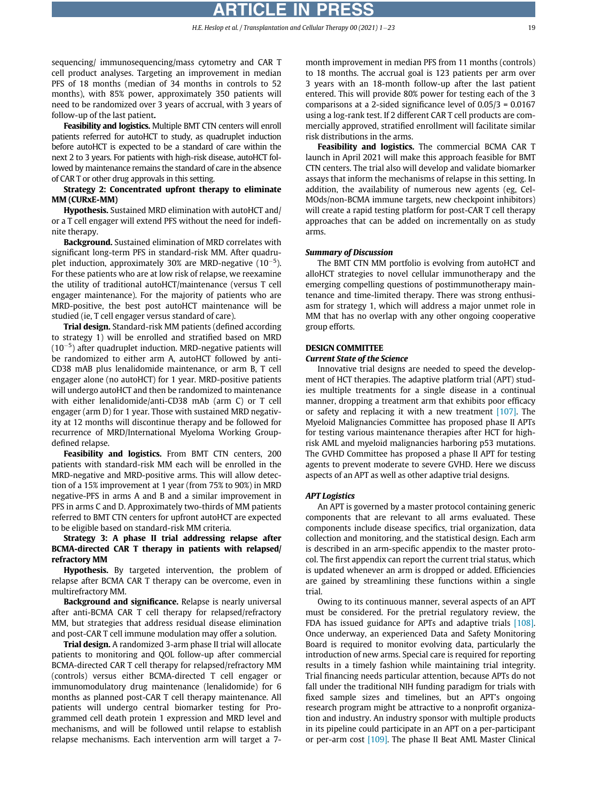sequencing/ immunosequencing/mass cytometry and CAR T cell product analyses. Targeting an improvement in median PFS of 18 months (median of 34 months in controls to 52 months), with 85% power, approximately 350 patients will need to be randomized over 3 years of accrual, with 3 years of follow-up of the last patient.

Feasibility and logistics. Multiple BMT CTN centers will enroll patients referred for autoHCT to study, as quadruplet induction before autoHCT is expected to be a standard of care within the next 2 to 3 years. For patients with high-risk disease, autoHCT followed by maintenance remains the standard of care in the absence of CAR T or other drug approvals in this setting.

Strategy 2: Concentrated upfront therapy to eliminate MM (CURxE-MM)

Hypothesis. Sustained MRD elimination with autoHCT and/ or a T cell engager will extend PFS without the need for indefinite therapy.

**Background.** Sustained elimination of MRD correlates with significant long-term PFS in standard-risk MM. After quadruplet induction, approximately 30% are MRD-negative  $(10^{-5})$ . For these patients who are at low risk of relapse, we reexamine the utility of traditional autoHCT/maintenance (versus T cell engager maintenance). For the majority of patients who are MRD-positive, the best post autoHCT maintenance will be studied (ie, T cell engager versus standard of care).

Trial design. Standard-risk MM patients (defined according to strategy 1) will be enrolled and stratified based on MRD  $(10^{-5})$  after quadruplet induction. MRD-negative patients will be randomized to either arm A, autoHCT followed by anti-CD38 mAB plus lenalidomide maintenance, or arm B, T cell engager alone (no autoHCT) for 1 year. MRD-positive patients will undergo autoHCT and then be randomized to maintenance with either lenalidomide/anti-CD38 mAb (arm C) or T cell engager (arm D) for 1 year. Those with sustained MRD negativity at 12 months will discontinue therapy and be followed for recurrence of MRD/International Myeloma Working Groupdefined relapse.

Feasibility and logistics. From BMT CTN centers, 200 patients with standard-risk MM each will be enrolled in the MRD-negative and MRD-positive arms. This will allow detection of a 15% improvement at 1 year (from 75% to 90%) in MRD negative-PFS in arms A and B and a similar improvement in PFS in arms C and D. Approximately two-thirds of MM patients referred to BMT CTN centers for upfront autoHCT are expected to be eligible based on standard-risk MM criteria.

# Strategy 3: A phase II trial addressing relapse after BCMA-directed CAR T therapy in patients with relapsed/ refractory MM

**Hypothesis.** By targeted intervention, the problem of relapse after BCMA CAR T therapy can be overcome, even in multirefractory MM.

Background and significance. Relapse is nearly universal after anti-BCMA CAR T cell therapy for relapsed/refractory MM, but strategies that address residual disease elimination and post-CAR T cell immune modulation may offer a solution.

Trial design. A randomized 3-arm phase II trial will allocate patients to monitoring and QOL follow-up after commercial BCMA-directed CAR T cell therapy for relapsed/refractory MM (controls) versus either BCMA-directed T cell engager or immunomodulatory drug maintenance (lenalidomide) for 6 months as planned post-CAR T cell therapy maintenance. All patients will undergo central biomarker testing for Programmed cell death protein 1 expression and MRD level and mechanisms, and will be followed until relapse to establish relapse mechanisms. Each intervention arm will target a 7month improvement in median PFS from 11 months (controls) to 18 months. The accrual goal is 123 patients per arm over 3 years with an 18-month follow-up after the last patient entered. This will provide 80% power for testing each of the 3 comparisons at a 2-sided significance level of 0.05/3 = 0.0167 using a log-rank test. If 2 different CAR T cell products are commercially approved, stratified enrollment will facilitate similar risk distributions in the arms.

Feasibility and logistics. The commercial BCMA CAR T launch in April 2021 will make this approach feasible for BMT CTN centers. The trial also will develop and validate biomarker assays that inform the mechanisms of relapse in this setting. In addition, the availability of numerous new agents (eg, Cel-MOds/non-BCMA immune targets, new checkpoint inhibitors) will create a rapid testing platform for post-CAR T cell therapy approaches that can be added on incrementally on as study arms.

#### Summary of Discussion

The BMT CTN MM portfolio is evolving from autoHCT and alloHCT strategies to novel cellular immunotherapy and the emerging compelling questions of postimmunotherapy maintenance and time-limited therapy. There was strong enthusiasm for strategy 1, which will address a major unmet role in MM that has no overlap with any other ongoing cooperative group efforts.

# DESIGN COMMITTEE

#### Current State of the Science

Innovative trial designs are needed to speed the development of HCT therapies. The adaptive platform trial (APT) studies multiple treatments for a single disease in a continual manner, dropping a treatment arm that exhibits poor efficacy or safety and replacing it with a new treatment [\[107\]](#page-22-24). The Myeloid Malignancies Committee has proposed phase II APTs for testing various maintenance therapies after HCT for highrisk AML and myeloid malignancies harboring p53 mutations. The GVHD Committee has proposed a phase II APT for testing agents to prevent moderate to severe GVHD. Here we discuss aspects of an APT as well as other adaptive trial designs.

#### APT Logistics

An APT is governed by a master protocol containing generic components that are relevant to all arms evaluated. These components include disease specifics, trial organization, data collection and monitoring, and the statistical design. Each arm is described in an arm-specific appendix to the master protocol. The first appendix can report the current trial status, which is updated whenever an arm is dropped or added. Efficiencies are gained by streamlining these functions within a single trial.

Owing to its continuous manner, several aspects of an APT must be considered. For the pretrial regulatory review, the FDA has issued guidance for APTs and adaptive trials [\[108\]](#page-22-25). Once underway, an experienced Data and Safety Monitoring Board is required to monitor evolving data, particularly the introduction of new arms. Special care is required for reporting results in a timely fashion while maintaining trial integrity. Trial financing needs particular attention, because APTs do not fall under the traditional NIH funding paradigm for trials with fixed sample sizes and timelines, but an APT's ongoing research program might be attractive to a nonprofit organization and industry. An industry sponsor with multiple products in its pipeline could participate in an APT on a per-participant or per-arm cost [\[109\].](#page-22-26) The phase II Beat AML Master Clinical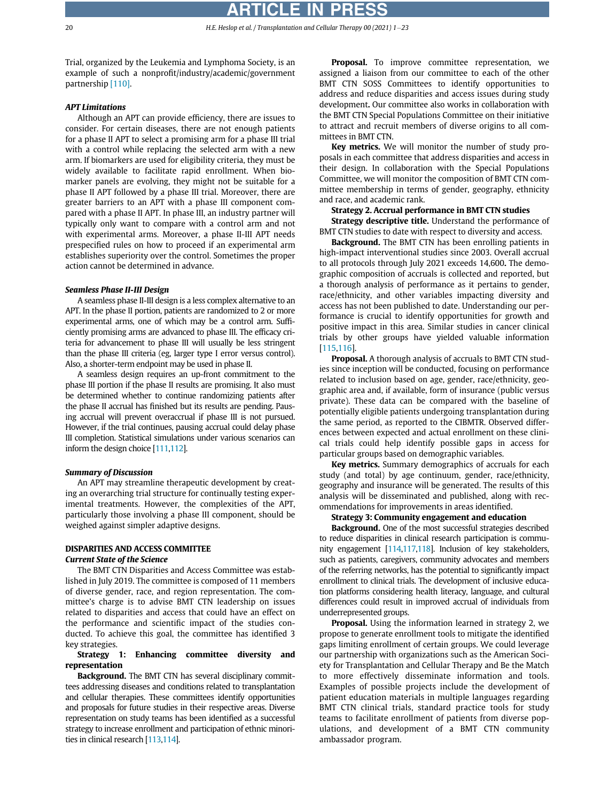# RTICLE IN PRE

20 **H.E. Heslop et al. / Transplantation and Cellular Therapy 00 (2021) 1-23** 

Trial, organized by the Leukemia and Lymphoma Society, is an example of such a nonprofit/industry/academic/government partnership [\[110\]](#page-22-27).

#### APT Limitations

Although an APT can provide efficiency, there are issues to consider. For certain diseases, there are not enough patients for a phase II APT to select a promising arm for a phase III trial with a control while replacing the selected arm with a new arm. If biomarkers are used for eligibility criteria, they must be widely available to facilitate rapid enrollment. When biomarker panels are evolving, they might not be suitable for a phase II APT followed by a phase III trial. Moreover, there are greater barriers to an APT with a phase III component compared with a phase II APT. In phase III, an industry partner will typically only want to compare with a control arm and not with experimental arms. Moreover, a phase II-III APT needs prespecified rules on how to proceed if an experimental arm establishes superiority over the control. Sometimes the proper action cannot be determined in advance.

#### Seamless Phase II-III Design

A seamless phase II-III design is a less complex alternative to an APT. In the phase II portion, patients are randomized to 2 or more experimental arms, one of which may be a control arm. Sufficiently promising arms are advanced to phase III. The efficacy criteria for advancement to phase III will usually be less stringent than the phase III criteria (eg, larger type I error versus control). Also, a shorter-term endpoint may be used in phase II.

A seamless design requires an up-front commitment to the phase III portion if the phase II results are promising. It also must be determined whether to continue randomizing patients after the phase II accrual has finished but its results are pending. Pausing accrual will prevent overaccrual if phase III is not pursued. However, if the trial continues, pausing accrual could delay phase III completion. Statistical simulations under various scenarios can inform the design choice [[111,](#page-22-28)[112](#page-22-29)].

#### Summary of Discussion

An APT may streamline therapeutic development by creating an overarching trial structure for continually testing experimental treatments. However, the complexities of the APT, particularly those involving a phase III component, should be weighed against simpler adaptive designs.

# DISPARITIES AND ACCESS COMMITTEE Current State of the Science

The BMT CTN Disparities and Access Committee was established in July 2019. The committee is composed of 11 members of diverse gender, race, and region representation. The committee's charge is to advise BMT CTN leadership on issues related to disparities and access that could have an effect on the performance and scientific impact of the studies conducted. To achieve this goal, the committee has identified 3 key strategies.

# Strategy 1: Enhancing committee diversity and representation

Background. The BMT CTN has several disciplinary committees addressing diseases and conditions related to transplantation and cellular therapies. These committees identify opportunities and proposals for future studies in their respective areas. Diverse representation on study teams has been identified as a successful strategy to increase enrollment and participation of ethnic minorities in clinical research [\[113](#page-22-30),[114\]](#page-22-31).

Proposal. To improve committee representation, we assigned a liaison from our committee to each of the other BMT CTN SOSS Committees to identify opportunities to address and reduce disparities and access issues during study development. Our committee also works in collaboration with the BMT CTN Special Populations Committee on their initiative to attract and recruit members of diverse origins to all committees in BMT CTN.

Key metrics. We will monitor the number of study proposals in each committee that address disparities and access in their design. In collaboration with the Special Populations Committee, we will monitor the composition of BMT CTN committee membership in terms of gender, geography, ethnicity and race, and academic rank.

#### Strategy 2. Accrual performance in BMT CTN studies

Strategy descriptive title. Understand the performance of BMT CTN studies to date with respect to diversity and access.

Background. The BMT CTN has been enrolling patients in high-impact interventional studies since 2003. Overall accrual to all protocols through July 2021 exceeds 14,600. The demographic composition of accruals is collected and reported, but a thorough analysis of performance as it pertains to gender, race/ethnicity, and other variables impacting diversity and access has not been published to date. Understanding our performance is crucial to identify opportunities for growth and positive impact in this area. Similar studies in cancer clinical trials by other groups have yielded valuable information [[115](#page-22-32)[,116\]](#page-22-33).

Proposal. A thorough analysis of accruals to BMT CTN studies since inception will be conducted, focusing on performance related to inclusion based on age, gender, race/ethnicity, geographic area and, if available, form of insurance (public versus private). These data can be compared with the baseline of potentially eligible patients undergoing transplantation during the same period, as reported to the CIBMTR. Observed differences between expected and actual enrollment on these clinical trials could help identify possible gaps in access for particular groups based on demographic variables.

Key metrics. Summary demographics of accruals for each study (and total) by age continuum, gender, race/ethnicity, geography and insurance will be generated. The results of this analysis will be disseminated and published, along with recommendations for improvements in areas identified.

#### Strategy 3: Community engagement and education

Background. One of the most successful strategies described to reduce disparities in clinical research participation is community engagement [\[114](#page-22-31)[,117,](#page-22-34)[118\]](#page-22-35). Inclusion of key stakeholders, such as patients, caregivers, community advocates and members of the referring networks, has the potential to significantly impact enrollment to clinical trials. The development of inclusive education platforms considering health literacy, language, and cultural differences could result in improved accrual of individuals from underrepresented groups.

Proposal. Using the information learned in strategy 2, we propose to generate enrollment tools to mitigate the identified gaps limiting enrollment of certain groups. We could leverage our partnership with organizations such as the American Society for Transplantation and Cellular Therapy and Be the Match to more effectively disseminate information and tools. Examples of possible projects include the development of patient education materials in multiple languages regarding BMT CTN clinical trials, standard practice tools for study teams to facilitate enrollment of patients from diverse populations, and development of a BMT CTN community ambassador program.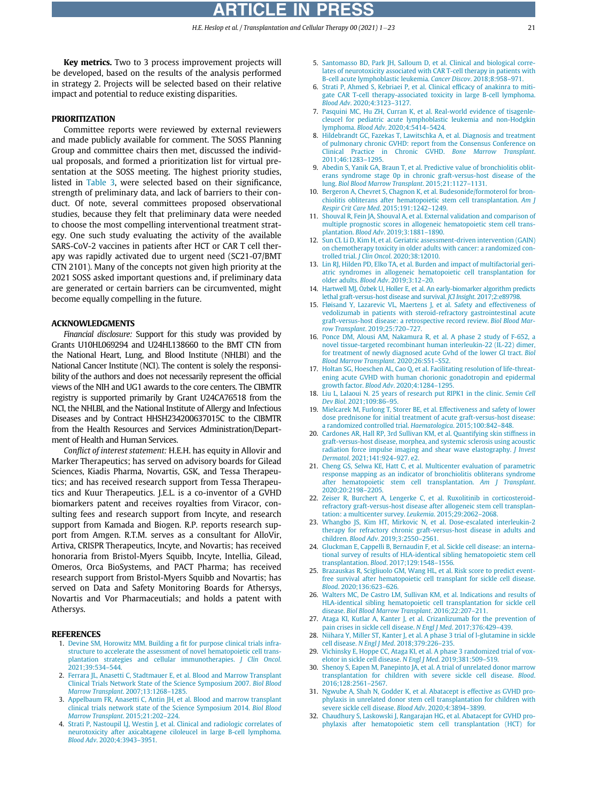<span id="page-20-5"></span><span id="page-20-4"></span>Key metrics. Two to 3 process improvement projects will be developed, based on the results of the analysis performed in strategy 2. Projects will be selected based on their relative impact and potential to reduce existing disparities.

#### <span id="page-20-6"></span>PRIORITIZATION

<span id="page-20-10"></span><span id="page-20-9"></span><span id="page-20-8"></span><span id="page-20-7"></span>Committee reports were reviewed by external reviewers and made publicly available for comment. The SOSS Planning Group and committee chairs then met, discussed the individual proposals, and formed a prioritization list for virtual presentation at the SOSS meeting. The highest priority studies, listed in [Table 3](#page-6-0), were selected based on their significance, strength of preliminary data, and lack of barriers to their conduct. Of note, several committees proposed observational studies, because they felt that preliminary data were needed to choose the most compelling interventional treatment strategy. One such study evaluating the activity of the available SARS-CoV-2 vaccines in patients after HCT or CAR T cell therapy was rapidly activated due to urgent need (SC21-07/BMT CTN 2101). Many of the concepts not given high priority at the 2021 SOSS asked important questions and, if preliminary data are generated or certain barriers can be circumvented, might become equally compelling in the future.

#### <span id="page-20-14"></span><span id="page-20-13"></span><span id="page-20-12"></span><span id="page-20-11"></span>ACKNOWLEDGMENTS

<span id="page-20-16"></span><span id="page-20-15"></span>Financial disclosure: Support for this study was provided by Grants U10HL069294 and U24HL138660 to the BMT CTN from the National Heart, Lung, and Blood Institute (NHLBI) and the National Cancer Institute (NCI). The content is solely the responsibility of the authors and does not necessarily represent the official views of the NIH and UG1 awards to the core centers. The CIBMTR registry is supported primarily by Grant U24CA76518 from the NCI, the NHLBI, and the National Institute of Allergy and Infectious Diseases and by Contract HHSH234200637015C to the CIBMTR from the Health Resources and Services Administration/Department of Health and Human Services.

<span id="page-20-22"></span><span id="page-20-21"></span><span id="page-20-20"></span><span id="page-20-19"></span><span id="page-20-18"></span><span id="page-20-17"></span>Conflict of interest statement: H.E.H. has equity in Allovir and Marker Therapeutics; has served on advisory boards for Gilead Sciences, Kiadis Pharma, Novartis, GSK, and Tessa Therapeutics; and has received research support from Tessa Therapeutics and Kuur Therapeutics. J.E.L. is a co-inventor of a GVHD biomarkers patent and receives royalties from Viracor, consulting fees and research support from Incyte, and research support from Kamada and Biogen. R.P. reports research support from Amgen. R.T.M. serves as a consultant for AlloVir, Artiva, CRISPR Therapeutics, Incyte, and Novartis; has received honoraria from Bristol-Myers Squibb, Incyte, Intellia, Gilead, Omeros, Orca BioSystems, and PACT Pharma; has received research support from Bristol-Myers Squibb and Novartis; has served on Data and Safety Monitoring Boards for Athersys, Novartis and Vor Pharmaceutials; and holds a patent with Athersys.

#### <span id="page-20-25"></span><span id="page-20-24"></span><span id="page-20-23"></span><span id="page-20-0"></span>REFERENCES

- 1. [Devine SM, Horowitz MM. Building a](http://refhub.elsevier.com/S2666-6367(21)01163-5/sbref0001) fit for purpose clinical trials infra[structure to accelerate the assessment of novel hematopoietic cell trans](http://refhub.elsevier.com/S2666-6367(21)01163-5/sbref0001)[plantation strategies and cellular immunotherapies.](http://refhub.elsevier.com/S2666-6367(21)01163-5/sbref0001) J Clin Oncol. [2021;39:534](http://refhub.elsevier.com/S2666-6367(21)01163-5/sbref0001)–544.
- <span id="page-20-26"></span><span id="page-20-1"></span>2. [Ferrara JL, Anasetti C, Stadtmauer E, et al. Blood and Marrow Transplant](http://refhub.elsevier.com/S2666-6367(21)01163-5/sbref0002) [Clinical Trials Network State of the Science Symposium 2007.](http://refhub.elsevier.com/S2666-6367(21)01163-5/sbref0002) Biol Blood [Marrow Transplant](http://refhub.elsevier.com/S2666-6367(21)01163-5/sbref0002). 2007;13:1268–1285.
- <span id="page-20-27"></span><span id="page-20-2"></span>3. [Appelbaum FR, Anasetti C, Antin JH, et al. Blood and marrow transplant](http://refhub.elsevier.com/S2666-6367(21)01163-5/sbref0003) [clinical trials network state of the Science Symposium 2014.](http://refhub.elsevier.com/S2666-6367(21)01163-5/sbref0003) Biol Blood [Marrow Transplant](http://refhub.elsevier.com/S2666-6367(21)01163-5/sbref0003). 2015;21:202–224.
- <span id="page-20-28"></span><span id="page-20-3"></span>4. [Strati P, Nastoupil LJ, Westin J, et al. Clinical and radiologic correlates of](http://refhub.elsevier.com/S2666-6367(21)01163-5/sbref0004) [neurotoxicity after axicabtagene ciloleucel in large B-cell lymphoma.](http://refhub.elsevier.com/S2666-6367(21)01163-5/sbref0004) Blood Adv[. 2020;4:3943](http://refhub.elsevier.com/S2666-6367(21)01163-5/sbref0004)–3951.
- 5. [Santomasso BD, Park JH, Salloum D, et al. Clinical and biological corre](http://refhub.elsevier.com/S2666-6367(21)01163-5/sbref0005)[lates of neurotoxicity associated with CAR T-cell therapy in patients with](http://refhub.elsevier.com/S2666-6367(21)01163-5/sbref0005) [B-cell acute lymphoblastic leukemia.](http://refhub.elsevier.com/S2666-6367(21)01163-5/sbref0005) Cancer Discov. 2018;8:958–971.
- 6. [Strati P, Ahmed S, Kebriaei P, et al. Clinical ef](http://refhub.elsevier.com/S2666-6367(21)01163-5/sbref0006)ficacy of anakinra to miti[gate CAR T-cell therapy-associated toxicity in large B-cell lymphoma.](http://refhub.elsevier.com/S2666-6367(21)01163-5/sbref0006) Blood Adv[. 2020;4:3123](http://refhub.elsevier.com/S2666-6367(21)01163-5/sbref0006)–3127.
- 7. [Pasquini MC, Hu ZH, Curran K, et al. Real-world evidence of tisagenle](http://refhub.elsevier.com/S2666-6367(21)01163-5/sbref0007)[cleucel for pediatric acute lymphoblastic leukemia and non-Hodgkin](http://refhub.elsevier.com/S2666-6367(21)01163-5/sbref0007) lymphoma. Blood Adv[. 2020;4:5414](http://refhub.elsevier.com/S2666-6367(21)01163-5/sbref0007)–5424.
- 8. [Hildebrandt GC, Fazekas T, Lawitschka A, et al. Diagnosis and treatment](http://refhub.elsevier.com/S2666-6367(21)01163-5/sbref0008) [of pulmonary chronic GVHD: report from the Consensus Conference on](http://refhub.elsevier.com/S2666-6367(21)01163-5/sbref0008) [Clinical Practice in Chronic GVHD.](http://refhub.elsevier.com/S2666-6367(21)01163-5/sbref0008) Bone Marrow Transplant. [2011;46:1283](http://refhub.elsevier.com/S2666-6367(21)01163-5/sbref0008)–1295.
- 9. [Abedin S, Yanik GA, Braun T, et al. Predictive value of bronchiolitis oblit](http://refhub.elsevier.com/S2666-6367(21)01163-5/sbref0009)[erans syndrome stage 0p in chronic graft-versus-host disease of the](http://refhub.elsevier.com/S2666-6367(21)01163-5/sbref0009) lung. [Biol Blood Marrow Transplant](http://refhub.elsevier.com/S2666-6367(21)01163-5/sbref0009). 2015;21:1127–1131.
- 10. [Bergeron A, Chevret S, Chagnon K, et al. Budesonide/formoterol for bron](http://refhub.elsevier.com/S2666-6367(21)01163-5/sbref0010)[chiolitis obliterans after hematopoietic stem cell transplantation.](http://refhub.elsevier.com/S2666-6367(21)01163-5/sbref0010) Am J [Respir Crit Care Med](http://refhub.elsevier.com/S2666-6367(21)01163-5/sbref0010). 2015;191:1242–1249.
- 11. [Shouval R, Fein JA, Shouval A, et al. External validation and comparison of](http://refhub.elsevier.com/S2666-6367(21)01163-5/sbref0011) [multiple prognostic scores in allogeneic hematopoietic stem cell trans](http://refhub.elsevier.com/S2666-6367(21)01163-5/sbref0011)plantation. Blood Adv[. 2019;3:1881](http://refhub.elsevier.com/S2666-6367(21)01163-5/sbref0011)–1890.
- 12. [Sun CL Li D, Kim H, et al. Geriatric assessment-driven intervention \(GAIN\)](http://refhub.elsevier.com/S2666-6367(21)01163-5/sbref0012) [on chemotherapy toxicity in older adults with cancer: a randomized con](http://refhub.elsevier.com/S2666-6367(21)01163-5/sbref0012)trolled trial. J Clin Oncol[. 2020;38:12010.](http://refhub.elsevier.com/S2666-6367(21)01163-5/sbref0012)
- 13. [Lin RJ, Hilden PD, Elko TA, et al. Burden and impact of multifactorial geri](http://refhub.elsevier.com/S2666-6367(21)01163-5/sbref0013)[atric syndromes in allogeneic hematopoietic cell transplantation for](http://refhub.elsevier.com/S2666-6367(21)01163-5/sbref0013) [older adults.](http://refhub.elsevier.com/S2666-6367(21)01163-5/sbref0013) Blood Adv. 2019;3:12–20.
- 14. [Hartwell MJ,](http://refhub.elsevier.com/S2666-6367(21)01163-5/sbref0014) Özbek U, Holler E, et al. An early-biomarker algorithm predicts [lethal graft-versus-host disease and survival.](http://refhub.elsevier.com/S2666-6367(21)01163-5/sbref0014) JCI Insight. 2017;2:e89798.
- 15. [Fløisand Y, Lazarevic VL, Maertens J, et al. Safety and effectiveness of](http://refhub.elsevier.com/S2666-6367(21)01163-5/sbref0015) [vedolizumab in patients with steroid-refractory gastrointestinal acute](http://refhub.elsevier.com/S2666-6367(21)01163-5/sbref0015) [graft-versus-host disease: a retrospective record review.](http://refhub.elsevier.com/S2666-6367(21)01163-5/sbref0015) Biol Blood Mar[row Transplant](http://refhub.elsevier.com/S2666-6367(21)01163-5/sbref0015). 2019;25:720–727.
- 16. [Ponce DM, Alousi AM, Nakamura R, et al. A phase 2 study of F-652, a](http://refhub.elsevier.com/S2666-6367(21)01163-5/sbref0016) [novel tissue-targeted recombinant human interleukin-22 \(IL-22\) dimer,](http://refhub.elsevier.com/S2666-6367(21)01163-5/sbref0016) [for treatment of newly diagnosed acute Gvhd of the lower GI tract.](http://refhub.elsevier.com/S2666-6367(21)01163-5/sbref0016) Biol [Blood Marrow Transplant](http://refhub.elsevier.com/S2666-6367(21)01163-5/sbref0016). 2020;26:S51–S52.
- 17. [Holtan SG, Hoeschen AL, Cao Q, et al. Facilitating resolution of life-threat](http://refhub.elsevier.com/S2666-6367(21)01163-5/sbref0017)[ening acute GVHD with human chorionic gonadotropin and epidermal](http://refhub.elsevier.com/S2666-6367(21)01163-5/sbref0017) [growth factor.](http://refhub.elsevier.com/S2666-6367(21)01163-5/sbref0017) Blood Adv. 2020;4:1284–1295.
- 18. [Liu L, Lalaoui N. 25 years of research put RIPK1 in the clinic.](http://refhub.elsevier.com/S2666-6367(21)01163-5/sbref0018) Semin Cell Dev Biol[. 2021;109:86](http://refhub.elsevier.com/S2666-6367(21)01163-5/sbref0018)–95.
- 19. [Mielcarek M, Furlong T, Storer BE, et al. Effectiveness and safety of lower](http://refhub.elsevier.com/S2666-6367(21)01163-5/sbref0019) [dose prednisone for initial treatment of acute graft-versus-host disease:](http://refhub.elsevier.com/S2666-6367(21)01163-5/sbref0019) [a randomized controlled trial.](http://refhub.elsevier.com/S2666-6367(21)01163-5/sbref0019) Haematologica. 2015;100:842–848.
- 20. [Cardones AR, Hall RP, 3rd Sullivan KM, et al. Quantifying skin stiffness in](http://refhub.elsevier.com/S2666-6367(21)01163-5/sbref0020) [graft-versus-host disease, morphea, and systemic sclerosis using acoustic](http://refhub.elsevier.com/S2666-6367(21)01163-5/sbref0020) [radiation force impulse imaging and shear wave elastography.](http://refhub.elsevier.com/S2666-6367(21)01163-5/sbref0020) *J Invest* Dermatol[. 2021;141:924](http://refhub.elsevier.com/S2666-6367(21)01163-5/sbref0020)–927. e2.
- 21. [Cheng GS, Selwa KE, Hatt C, et al. Multicenter evaluation of parametric](http://refhub.elsevier.com/S2666-6367(21)01163-5/sbref0021) [response mapping as an indicator of bronchiolitis obliterans syndrome](http://refhub.elsevier.com/S2666-6367(21)01163-5/sbref0021) [after hematopoietic stem cell transplantation.](http://refhub.elsevier.com/S2666-6367(21)01163-5/sbref0021) Am J Transplant. [2020;20:2198](http://refhub.elsevier.com/S2666-6367(21)01163-5/sbref0021)–2205.
- 22. [Zeiser R, Burchert A, Lengerke C, et al. Ruxolitinib in corticosteroid](http://refhub.elsevier.com/S2666-6367(21)01163-5/sbref0022)[refractory graft-versus-host disease after allogeneic stem cell transplan](http://refhub.elsevier.com/S2666-6367(21)01163-5/sbref0022)[tation: a multicenter survey.](http://refhub.elsevier.com/S2666-6367(21)01163-5/sbref0022) Leukemia. 2015;29:2062–2068.
- 23. [Whangbo JS, Kim HT, Mirkovic N, et al. Dose-escalated interleukin-2](http://refhub.elsevier.com/S2666-6367(21)01163-5/sbref0023) [therapy for refractory chronic graft-versus-host disease in adults and](http://refhub.elsevier.com/S2666-6367(21)01163-5/sbref0023) children. Blood Adv[. 2019;3:2550](http://refhub.elsevier.com/S2666-6367(21)01163-5/sbref0023)–2561.
- 24. [Gluckman E, Cappelli B, Bernaudin F, et al. Sickle cell disease: an interna](http://refhub.elsevier.com/S2666-6367(21)01163-5/sbref0024)[tional survey of results of HLA-identical sibling hematopoietic stem cell](http://refhub.elsevier.com/S2666-6367(21)01163-5/sbref0024) transplantation. Blood[. 2017;129:1548](http://refhub.elsevier.com/S2666-6367(21)01163-5/sbref0024)–1556.
- 25. [Brazauskas R, Scigliuolo GM, Wang HL, et al. Risk score to predict event](http://refhub.elsevier.com/S2666-6367(21)01163-5/sbref0025)[free survival after hematopoietic cell transplant for sickle cell disease.](http://refhub.elsevier.com/S2666-6367(21)01163-5/sbref0025) Blood[. 2020;136:623](http://refhub.elsevier.com/S2666-6367(21)01163-5/sbref0025)–626.
- 26. [Walters MC, De Castro LM, Sullivan KM, et al. Indications and results of](http://refhub.elsevier.com/S2666-6367(21)01163-5/sbref0026) [HLA-identical sibling hematopoietic cell transplantation for sickle cell](http://refhub.elsevier.com/S2666-6367(21)01163-5/sbref0026) disease. [Biol Blood Marrow Transplant](http://refhub.elsevier.com/S2666-6367(21)01163-5/sbref0026). 2016;22:207–211.
- 27. [Ataga KI, Kutlar A, Kanter J, et al. Crizanlizumab for the prevention of](http://refhub.elsevier.com/S2666-6367(21)01163-5/sbref0027) [pain crises in sickle cell disease.](http://refhub.elsevier.com/S2666-6367(21)01163-5/sbref0027) N Engl J Med. 2017;376:429–439.
- 28. [Niihara Y, Miller ST, Kanter J, et al. A phase 3 trial of l-glutamine in sickle](http://refhub.elsevier.com/S2666-6367(21)01163-5/sbref0028) cell disease. N Engl J Med[. 2018;379:226](http://refhub.elsevier.com/S2666-6367(21)01163-5/sbref0028)–235.
- 29. [Vichinsky E, Hoppe CC, Ataga KI, et al. A phase 3 randomized trial of vox](http://refhub.elsevier.com/S2666-6367(21)01163-5/sbref0029)[elotor in sickle cell disease.](http://refhub.elsevier.com/S2666-6367(21)01163-5/sbref0029) N Engl J Med. 2019;381:509–519.
- 30. [Shenoy S, Eapen M, Panepinto JA, et al. A trial of unrelated donor marrow](http://refhub.elsevier.com/S2666-6367(21)01163-5/sbref0030) [transplantation for children with severe sickle cell disease.](http://refhub.elsevier.com/S2666-6367(21)01163-5/sbref0030) Blood. [2016;128:2561](http://refhub.elsevier.com/S2666-6367(21)01163-5/sbref0030)–2567.
- 31. [Ngwube A, Shah N, Godder K, et al. Abatacept is effective as GVHD pro](http://refhub.elsevier.com/S2666-6367(21)01163-5/sbref0031)[phylaxis in unrelated donor stem cell transplantation for children with](http://refhub.elsevier.com/S2666-6367(21)01163-5/sbref0031) [severe sickle cell disease.](http://refhub.elsevier.com/S2666-6367(21)01163-5/sbref0031) Blood Adv. 2020;4:3894–3899.
- 32. [Chaudhury S, Laskowski J, Rangarajan HG, et al. Abatacept for GVHD pro](http://refhub.elsevier.com/S2666-6367(21)01163-5/sbref0032)[phylaxis after hematopoietic stem cell transplantation \(HCT\) for](http://refhub.elsevier.com/S2666-6367(21)01163-5/sbref0032)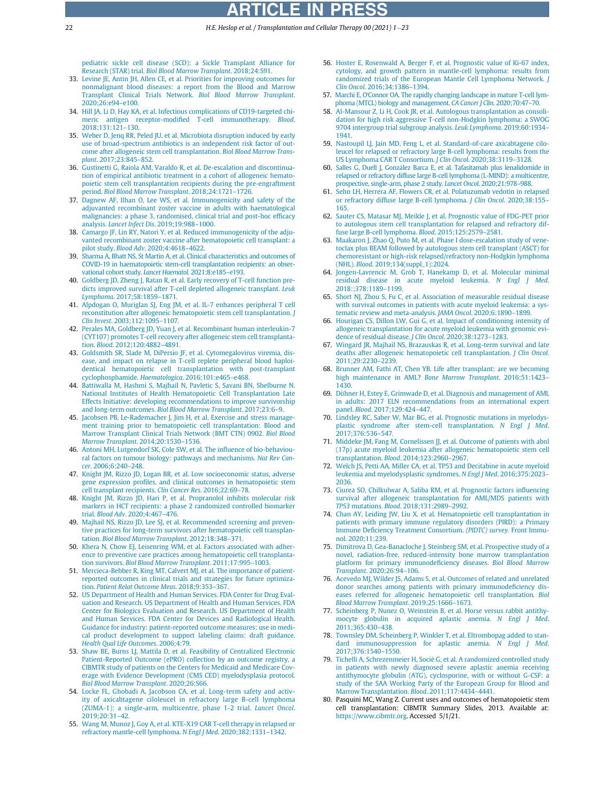22 H.E. Heslop et al. / Transplantation and Cellular Therapy 00 (2021) 1-23

[pediatric sickle cell disease \(SCD\): a Sickle Transplant Alliance for](http://refhub.elsevier.com/S2666-6367(21)01163-5/sbref0032) Research (STAR) trial. [Biol Blood Marrow Transplant](http://refhub.elsevier.com/S2666-6367(21)01163-5/sbref0032). 2018;24:S91.

- <span id="page-21-24"></span><span id="page-21-23"></span><span id="page-21-0"></span>33. [Levine JE, Antin JH, Allen CE, et al. Priorities for improving outcomes for](http://refhub.elsevier.com/S2666-6367(21)01163-5/sbref0033) [nonmalignant blood diseases: a report from the Blood and Marrow](http://refhub.elsevier.com/S2666-6367(21)01163-5/sbref0033) [Transplant Clinical Trials Network.](http://refhub.elsevier.com/S2666-6367(21)01163-5/sbref0033) Biol Blood Marrow Transplant. [2020;26:e94](http://refhub.elsevier.com/S2666-6367(21)01163-5/sbref0033)–e100.
- <span id="page-21-25"></span><span id="page-21-1"></span>34. [Hill JA, Li D, Hay KA, et al. Infectious complications of CD19-targeted chi](http://refhub.elsevier.com/S2666-6367(21)01163-5/sbref0034)[meric antigen receptor-modi](http://refhub.elsevier.com/S2666-6367(21)01163-5/sbref0034)fied T-cell immunotherapy. Blood. [2018;131:121](http://refhub.elsevier.com/S2666-6367(21)01163-5/sbref0034)–130.
- <span id="page-21-26"></span><span id="page-21-2"></span>35. [Weber D, Jenq RR, Peled JU, et al. Microbiota disruption induced by early](http://refhub.elsevier.com/S2666-6367(21)01163-5/sbref0035) [use of broad-spectrum antibiotics is an independent risk factor of out](http://refhub.elsevier.com/S2666-6367(21)01163-5/sbref0035)[come after allogeneic stem cell transplantation.](http://refhub.elsevier.com/S2666-6367(21)01163-5/sbref0035) Biol Blood Marrow Transplant[. 2017;23:845](http://refhub.elsevier.com/S2666-6367(21)01163-5/sbref0035)–852.
- <span id="page-21-27"></span><span id="page-21-3"></span>36. [Gustinetti G, Raiola AM, Varaldo R, et al. De-escalation and discontinua](http://refhub.elsevier.com/S2666-6367(21)01163-5/sbref0036)[tion of empirical antibiotic treatment in a cohort of allogeneic hemato](http://refhub.elsevier.com/S2666-6367(21)01163-5/sbref0036)[poietic stem cell transplantation recipients during the pre-engraftment](http://refhub.elsevier.com/S2666-6367(21)01163-5/sbref0036) period. [Biol Blood Marrow Transplant](http://refhub.elsevier.com/S2666-6367(21)01163-5/sbref0036). 2018;24:1721–1726.
- <span id="page-21-28"></span><span id="page-21-4"></span>37. [Dagnew AF, Ilhan O, Lee WS, et al. Immunogenicity and safety of the](http://refhub.elsevier.com/S2666-6367(21)01163-5/sbref0037) [adjuvanted recombinant zoster vaccine in adults with haematological](http://refhub.elsevier.com/S2666-6367(21)01163-5/sbref0037) [malignancies: a phase 3, randomised, clinical trial and post-hoc ef](http://refhub.elsevier.com/S2666-6367(21)01163-5/sbref0037)ficacy analysis. [Lancet Infect Dis](http://refhub.elsevier.com/S2666-6367(21)01163-5/sbref0037). 2019;19:988–1000.
- <span id="page-21-30"></span><span id="page-21-29"></span><span id="page-21-5"></span>38. [Camargo JF, Lin RY, Natori Y, et al. Reduced immunogenicity of the adju](http://refhub.elsevier.com/S2666-6367(21)01163-5/sbref0038)[vanted recombinant zoster vaccine after hematopoietic cell transplant: a](http://refhub.elsevier.com/S2666-6367(21)01163-5/sbref0038) pilot study. Blood Adv[. 2020;4:4618](http://refhub.elsevier.com/S2666-6367(21)01163-5/sbref0038)–4622.
- <span id="page-21-6"></span>39. [Sharma A, Bhatt NS, St Martin A, et al. Clinical characteristics and outcomes of](http://refhub.elsevier.com/S2666-6367(21)01163-5/sbref0039) [COVID-19 in haematopoietic stem-cell transplantation recipients: an obser](http://refhub.elsevier.com/S2666-6367(21)01163-5/sbref0039)[vational cohort study.](http://refhub.elsevier.com/S2666-6367(21)01163-5/sbref0039) Lancet Haematol. 2021;8:e185–e193.
- <span id="page-21-31"></span><span id="page-21-7"></span>40. [Goldberg JD, Zheng J, Ratan R, et al. Early recovery of T-cell function pre](http://refhub.elsevier.com/S2666-6367(21)01163-5/sbref0040)[dicts improved survival after T-cell depleted allogeneic transplant.](http://refhub.elsevier.com/S2666-6367(21)01163-5/sbref0040) Leuk Lymphoma[. 2017;58:1859](http://refhub.elsevier.com/S2666-6367(21)01163-5/sbref0040)–1871.
- <span id="page-21-32"></span><span id="page-21-8"></span>41. [Alpdogan O, Muriglan SJ, Eng JM, et al. IL-7 enhances peripheral T cell](http://refhub.elsevier.com/S2666-6367(21)01163-5/sbref0041) [reconstitution after allogeneic hematopoietic stem cell transplantation.](http://refhub.elsevier.com/S2666-6367(21)01163-5/sbref0041) J Clin Invest[. 2003;112:1095](http://refhub.elsevier.com/S2666-6367(21)01163-5/sbref0041)–1107.
- <span id="page-21-33"></span><span id="page-21-9"></span>42. [Perales MA, Goldberg JD, Yuan J, et al. Recombinant human interleukin-7](http://refhub.elsevier.com/S2666-6367(21)01163-5/sbref0042) [\(CYT107\) promotes T-cell recovery after allogeneic stem cell transplanta](http://refhub.elsevier.com/S2666-6367(21)01163-5/sbref0042)tion. Blood[. 2012;120:4882](http://refhub.elsevier.com/S2666-6367(21)01163-5/sbref0042)–4891.
- <span id="page-21-35"></span><span id="page-21-34"></span><span id="page-21-10"></span>43. [Goldsmith SR, Slade M, DiPersio JF, et al. Cytomegalovirus viremia, dis](http://refhub.elsevier.com/S2666-6367(21)01163-5/sbref0043)[ease, and impact on relapse in T-cell replete peripheral blood haploi](http://refhub.elsevier.com/S2666-6367(21)01163-5/sbref0043)[dentical hematopoietic cell transplantation with post-transplant](http://refhub.elsevier.com/S2666-6367(21)01163-5/sbref0043) [cyclophosphamide.](http://refhub.elsevier.com/S2666-6367(21)01163-5/sbref0043) Haematologica. 2016;101:e465–e468.
- <span id="page-21-36"></span><span id="page-21-11"></span>44. [Battiwalla M, Hashmi S, Majhail N, Pavletic S, Savani BN, Shelburne N.](http://refhub.elsevier.com/S2666-6367(21)01163-5/sbref0044) [National Institutes of Health Hematopoietic Cell Transplantation Late](http://refhub.elsevier.com/S2666-6367(21)01163-5/sbref0044) [Effects Initiative: developing recommendations to improve survivorship](http://refhub.elsevier.com/S2666-6367(21)01163-5/sbref0044) and long-term outcomes. [Biol Blood Marrow Transplant](http://refhub.elsevier.com/S2666-6367(21)01163-5/sbref0044). 2017;23:6–9.
- <span id="page-21-37"></span><span id="page-21-12"></span>45. [Jacobsen PB, Le-Rademacher J, Jim H, et al. Exercise and stress manage](http://refhub.elsevier.com/S2666-6367(21)01163-5/sbref0045)[ment training prior to hematopoietic cell transplantation: Blood and](http://refhub.elsevier.com/S2666-6367(21)01163-5/sbref0045) [Marrow Transplant Clinical Trials Network \(BMT CTN\) 0902.](http://refhub.elsevier.com/S2666-6367(21)01163-5/sbref0045) Biol Blood [Marrow Transplant](http://refhub.elsevier.com/S2666-6367(21)01163-5/sbref0045). 2014;20:1530–1536.
- <span id="page-21-38"></span><span id="page-21-13"></span>46. [Antoni MH, Lutgendorf SK, Cole SW, et al. The in](http://refhub.elsevier.com/S2666-6367(21)01163-5/sbref0046)fluence of bio-behaviou[ral factors on tumour biology: pathways and mechanisms.](http://refhub.elsevier.com/S2666-6367(21)01163-5/sbref0046) Nat Rev Cancer[. 2006;6:240](http://refhub.elsevier.com/S2666-6367(21)01163-5/sbref0046)–248.
- <span id="page-21-39"></span><span id="page-21-14"></span>47. [Knight JM, Rizzo JD, Logan BR, et al. Low socioeconomic status, adverse](http://refhub.elsevier.com/S2666-6367(21)01163-5/sbref0047) gene expression profi[les, and clinical outcomes in hematopoietic stem](http://refhub.elsevier.com/S2666-6367(21)01163-5/sbref0047) [cell transplant recipients.](http://refhub.elsevier.com/S2666-6367(21)01163-5/sbref0047) Clin Cancer Res. 2016;22:69–78.
- <span id="page-21-40"></span><span id="page-21-15"></span>48. [Knight JM, Rizzo JD, Hari P, et al. Propranolol inhibits molecular risk](http://refhub.elsevier.com/S2666-6367(21)01163-5/sbref0048) [markers in HCT recipients: a phase 2 randomized controlled biomarker](http://refhub.elsevier.com/S2666-6367(21)01163-5/sbref0048) trial. Blood Adv[. 2020;4:467](http://refhub.elsevier.com/S2666-6367(21)01163-5/sbref0048)–476.
- <span id="page-21-41"></span><span id="page-21-16"></span>49. [Majhail NS, Rizzo JD, Lee SJ, et al. Recommended screening and preven](http://refhub.elsevier.com/S2666-6367(21)01163-5/sbref0049)[tive practices for long-term survivors after hematopoietic cell transplan](http://refhub.elsevier.com/S2666-6367(21)01163-5/sbref0049)tation. [Biol Blood Marrow Transplant](http://refhub.elsevier.com/S2666-6367(21)01163-5/sbref0049). 2012;18:348–371.
- <span id="page-21-42"></span><span id="page-21-17"></span>50. [Khera N, Chow EJ, Leisenring WM, et al. Factors associated with adher](http://refhub.elsevier.com/S2666-6367(21)01163-5/sbref0050)[ence to preventive care practices among hematopoietic cell transplanta](http://refhub.elsevier.com/S2666-6367(21)01163-5/sbref0050)tion survivors. [Biol Blood Marrow Transplant](http://refhub.elsevier.com/S2666-6367(21)01163-5/sbref0050). 2011;17:995–1003.
- <span id="page-21-43"></span><span id="page-21-18"></span>51. [Mercieca-Bebber R, King MT, Calvert MJ, et al. The importance of patient](http://refhub.elsevier.com/S2666-6367(21)01163-5/sbref0051)[reported outcomes in clinical trials and strategies for future optimiza](http://refhub.elsevier.com/S2666-6367(21)01163-5/sbref0051)tion. [Patient Relat Outcome Meas](http://refhub.elsevier.com/S2666-6367(21)01163-5/sbref0051). 2018;9:353–367.
- <span id="page-21-44"></span><span id="page-21-19"></span>52. [US Department of Health and Human Services. FDA Center for Drug Eval](http://refhub.elsevier.com/S2666-6367(21)01163-5/sbref0052)[uation and Research. US Department of Health and Human Services. FDA](http://refhub.elsevier.com/S2666-6367(21)01163-5/sbref0052) [Center for Biologics Evaluation and Research. US Department of Health](http://refhub.elsevier.com/S2666-6367(21)01163-5/sbref0052) [and Human Services. FDA Center for Devices and Radiological Health.](http://refhub.elsevier.com/S2666-6367(21)01163-5/sbref0052) [Guidance for industry: patient-reported outcome measures: use in medi](http://refhub.elsevier.com/S2666-6367(21)01163-5/sbref0052)[cal product development to support labeling claims: draft guidance.](http://refhub.elsevier.com/S2666-6367(21)01163-5/sbref0052) [Health Qual Life Outcomes](http://refhub.elsevier.com/S2666-6367(21)01163-5/sbref0052). 2006;4:79.
- <span id="page-21-46"></span><span id="page-21-45"></span><span id="page-21-20"></span>53. [Shaw BE, Burns LJ, Mattila D, et al. Feasibility of Centralized Electronic](http://refhub.elsevier.com/S2666-6367(21)01163-5/sbref0053) [Patient-Reported Outcome \(ePRO\) collection by an outcome registry, a](http://refhub.elsevier.com/S2666-6367(21)01163-5/sbref0053) [CIBMTR study of patients on the Centers for Medicaid and Medicare Cov](http://refhub.elsevier.com/S2666-6367(21)01163-5/sbref0053)[erage with Evidence Development \(CMS CED\) myelodysplasia protocol.](http://refhub.elsevier.com/S2666-6367(21)01163-5/sbref0053) [Biol Blood Marrow Transplant](http://refhub.elsevier.com/S2666-6367(21)01163-5/sbref0053). 2020;26:S66.
- <span id="page-21-47"></span><span id="page-21-21"></span>54. [Locke FL, Ghobadi A, Jacobson CA, et al. Long-term safety and activ](http://refhub.elsevier.com/S2666-6367(21)01163-5/sbref0054)[ity of axicabtagene ciloleucel in refractory large B-cell lymphoma](http://refhub.elsevier.com/S2666-6367(21)01163-5/sbref0054) [\(ZUMA-1\): a single-arm, multicentre, phase 1-2 trial.](http://refhub.elsevier.com/S2666-6367(21)01163-5/sbref0054) Lancet Oncol. [2019;20:31](http://refhub.elsevier.com/S2666-6367(21)01163-5/sbref0054)–42.
- <span id="page-21-22"></span>55. [Wang M, Munoz J, Goy A, et al. KTE-X19 CAR T-cell therapy in relapsed or](http://refhub.elsevier.com/S2666-6367(21)01163-5/sbref0055) [refractory mantle-cell lymphoma.](http://refhub.elsevier.com/S2666-6367(21)01163-5/sbref0055) N Engl J Med. 2020;382:1331–1342.
- 56. [Hoster E, Rosenwald A, Berger F, et al. Prognostic value of Ki-67 index,](http://refhub.elsevier.com/S2666-6367(21)01163-5/sbref0056) [cytology, and growth pattern in mantle-cell lymphoma: results from](http://refhub.elsevier.com/S2666-6367(21)01163-5/sbref0056) [randomized trials of the European Mantle Cell Lymphoma Network.](http://refhub.elsevier.com/S2666-6367(21)01163-5/sbref0056) J Clin Oncol[. 2016;34:1386](http://refhub.elsevier.com/S2666-6367(21)01163-5/sbref0056)–1394.
- 57. Marchi E, O'[Connor OA. The rapidly changing landscape in mature T-cell lym](http://refhub.elsevier.com/S2666-6367(21)01163-5/sbref0057)[phoma \(MTCL\) biology and management.](http://refhub.elsevier.com/S2666-6367(21)01163-5/sbref0057) CA Cancer J Clin. 2020;70:47–70.
- 58. [Al-Mansour Z, Li H, Cook JR, et al. Autologous transplantation as consoli](http://refhub.elsevier.com/S2666-6367(21)01163-5/sbref0058)[dation for high risk aggressive T-cell non-Hodgkin lymphoma: a SWOG](http://refhub.elsevier.com/S2666-6367(21)01163-5/sbref0058) [9704 intergroup trial subgroup analysis.](http://refhub.elsevier.com/S2666-6367(21)01163-5/sbref0058) Leuk Lymphoma. 2019;60:1934– [1941.](http://refhub.elsevier.com/S2666-6367(21)01163-5/sbref0058)
- 59. [Nastoupil LJ, Jain MD, Feng L, et al. Standard-of-care axicabtagene cilo](http://refhub.elsevier.com/S2666-6367(21)01163-5/sbref0059)[leucel for relapsed or refractory large B-cell lymphoma: results from the](http://refhub.elsevier.com/S2666-6367(21)01163-5/sbref0059) [US Lymphoma CAR T Consortium.](http://refhub.elsevier.com/S2666-6367(21)01163-5/sbref0059) J Clin Oncol. 2020;38:3119–3128.
- 60. [Salles G, Duell J, Gonz](http://refhub.elsevier.com/S2666-6367(21)01163-5/sbref0060)ález Barca E, et al. Tafasitamab plus lenalidomide in [relapsed or refractory diffuse large B-cell lymphoma \(L-MIND\): a multicentre,](http://refhub.elsevier.com/S2666-6367(21)01163-5/sbref0060) [prospective, single-arm, phase 2 study.](http://refhub.elsevier.com/S2666-6367(21)01163-5/sbref0060) Lancet Oncol. 2020;21:978–988.
- 61. [Sehn LH, Herrera AF, Flowers CR, et al. Polatuzumab vedotin in relapsed](http://refhub.elsevier.com/S2666-6367(21)01163-5/sbref0061) [or refractory diffuse large B-cell lymphoma.](http://refhub.elsevier.com/S2666-6367(21)01163-5/sbref0061) J Clin Oncol. 2020;38:155– [165.](http://refhub.elsevier.com/S2666-6367(21)01163-5/sbref0061)
- 62. [Sauter CS, Matasar MJ, Meikle J, et al. Prognostic value of FDG-PET prior](http://refhub.elsevier.com/S2666-6367(21)01163-5/sbref0062) [to autologous stem cell transplantation for relapsed and refractory dif](http://refhub.elsevier.com/S2666-6367(21)01163-5/sbref0062)[fuse large B-cell lymphoma.](http://refhub.elsevier.com/S2666-6367(21)01163-5/sbref0062) Blood. 2015;125:2579–2581.
- 63. [Maakaron J, Zhao Q, Puto M, et al. Phase I dose-escalation study of vene](http://refhub.elsevier.com/S2666-6367(21)01163-5/sbref0063)[toclax plus BEAM followed by autologous stem cell transplant \(ASCT\) for](http://refhub.elsevier.com/S2666-6367(21)01163-5/sbref0063) [chemoresistant or high-risk relapsed/refractory non-Hodgkin lymphoma](http://refhub.elsevier.com/S2666-6367(21)01163-5/sbref0063) (NHL). Blood[. 2019;134\(suppl\\_1\):2024.](http://refhub.elsevier.com/S2666-6367(21)01163-5/sbref0063)
- 64. [Jongen-Lavrencic M, Grob T, Hanekamp D, et al. Molecular minimal](http://refhub.elsevier.com/S2666-6367(21)01163-5/sbref0064) [residual disease in acute myeloid leukemia.](http://refhub.elsevier.com/S2666-6367(21)01163-5/sbref0064) N Engl J Med. [2018:;378:1189](http://refhub.elsevier.com/S2666-6367(21)01163-5/sbref0064)–1199.
- 65. [Short NJ, Zhou S, Fu C, et al. Association of measurable residual disease](http://refhub.elsevier.com/S2666-6367(21)01163-5/sbref0065) [with survival outcomes in patients with acute myeloid leukemia: a sys](http://refhub.elsevier.com/S2666-6367(21)01163-5/sbref0065)[tematic review and meta-analysis.](http://refhub.elsevier.com/S2666-6367(21)01163-5/sbref0065) JAMA Oncol. 2020;6:1890–1899.
- 66. [Hourigan CS, Dillon LW, Gui G, et al. Impact of conditioning intensity of](http://refhub.elsevier.com/S2666-6367(21)01163-5/sbref0066) [allogeneic transplantation for acute myeloid leukemia with genomic evi](http://refhub.elsevier.com/S2666-6367(21)01163-5/sbref0066)[dence of residual disease.](http://refhub.elsevier.com/S2666-6367(21)01163-5/sbref0066) J Clin Oncol. 2020;38:1273–1283.
- 67. [Wingard JR, Majhail NS, Brazauskas R, et al. Long-term survival and late](http://refhub.elsevier.com/S2666-6367(21)01163-5/sbref0067) [deaths after allogeneic hematopoietic cell transplantation.](http://refhub.elsevier.com/S2666-6367(21)01163-5/sbref0067) J Clin Oncol. [2011;29:2230](http://refhub.elsevier.com/S2666-6367(21)01163-5/sbref0067)–2239.
- 68. [Brunner AM, Fathi AT, Chen YB. Life after transplant: are we becoming](http://refhub.elsevier.com/S2666-6367(21)01163-5/sbref0068) [high maintenance in AML?](http://refhub.elsevier.com/S2666-6367(21)01163-5/sbref0068) Bone Marrow Transplant. 2016;51:1423-[1430.](http://refhub.elsevier.com/S2666-6367(21)01163-5/sbref0068)
- 69. Döhner H, Estey E, Grimwade D, et al. Diagnosis and management of AML [in adults: 2017 ELN recommendations from an international expert](http://refhub.elsevier.com/S2666-6367(21)01163-5/sbref0069) panel. Blood[. 2017;129:424](http://refhub.elsevier.com/S2666-6367(21)01163-5/sbref0069)–447.
- 70. [Lindsley RC, Saber W, Mar BG, et al. Prognostic mutations in myelodys](http://refhub.elsevier.com/S2666-6367(21)01163-5/sbref0070)[plastic syndrome after stem-cell transplantation.](http://refhub.elsevier.com/S2666-6367(21)01163-5/sbref0070) N Engl J Med. [2017;376:536](http://refhub.elsevier.com/S2666-6367(21)01163-5/sbref0070)–547.
- 71. [Middeke JM, Fang M, Cornelissen JJ, et al. Outcome of patients with abnl](http://refhub.elsevier.com/S2666-6367(21)01163-5/sbref0071) [\(17p\) acute myeloid leukemia after allogeneic hematopoietic stem cell](http://refhub.elsevier.com/S2666-6367(21)01163-5/sbref0071) transplantation. Blood[. 2014;123:2960](http://refhub.elsevier.com/S2666-6367(21)01163-5/sbref0071)–2967.
- 72. [Welch JS, Petti AA, Miller CA, et al. TP53 and Decitabine in acute myeloid](http://refhub.elsevier.com/S2666-6367(21)01163-5/sbref0072) [leukemia and myelodysplastic syndromes.](http://refhub.elsevier.com/S2666-6367(21)01163-5/sbref0072) N Engl J Med. 2016;375:2023– [2036.](http://refhub.elsevier.com/S2666-6367(21)01163-5/sbref0072)
- 73. [Ciurea SO, Chilkulwar A, Saliba RM, et al. Prognostic factors in](http://refhub.elsevier.com/S2666-6367(21)01163-5/sbref0073)fluencing [survival after allogeneic transplantation for AML/MDS patients with](http://refhub.elsevier.com/S2666-6367(21)01163-5/sbref0073) TP53 mutations. Blood[. 2018;131:2989](http://refhub.elsevier.com/S2666-6367(21)01163-5/sbref0073)–2992.
- 74. [Chan AY, Leiding JW, Liu X, et al. Hematopoietic cell transplantation in](http://refhub.elsevier.com/S2666-6367(21)01163-5/sbref0074) [patients with primary immune regulatory disorders \(PIRD\): a Primary](http://refhub.elsevier.com/S2666-6367(21)01163-5/sbref0074) Immune Defi[ciency Treatment Consortium.](http://refhub.elsevier.com/S2666-6367(21)01163-5/sbref0074) (PIDTC) survey. Front Immu[nol. 2020;11:239.](http://refhub.elsevier.com/S2666-6367(21)01163-5/sbref0074)
- 75. [Dimitrova D, Gea-Banacloche J, Steinberg SM, et al. Prospective study of a](http://refhub.elsevier.com/S2666-6367(21)01163-5/sbref0075) [novel, radiation-free, reduced-intensity bone marrow transplantation](http://refhub.elsevier.com/S2666-6367(21)01163-5/sbref0075) [platform for primary immunode](http://refhub.elsevier.com/S2666-6367(21)01163-5/sbref0075)ficiency diseases. Biol Blood Marrow Transplant[. 2020;26:94](http://refhub.elsevier.com/S2666-6367(21)01163-5/sbref0075)–106.
- 76. [Acevedo MJ, Wilder JS, Adams S, et al. Outcomes of related and unrelated](http://refhub.elsevier.com/S2666-6367(21)01163-5/sbref0076) [donor searches among patients with primary immunode](http://refhub.elsevier.com/S2666-6367(21)01163-5/sbref0076)ficiency dis[eases referred for allogeneic hematopoietic cell transplantation.](http://refhub.elsevier.com/S2666-6367(21)01163-5/sbref0076) Biol [Blood Marrow Transplant](http://refhub.elsevier.com/S2666-6367(21)01163-5/sbref0076). 2019;25:1666–1673.
- 77. [Scheinberg P, Nunez O, Weinstein B, et al. Horse versus rabbit antithy](http://refhub.elsevier.com/S2666-6367(21)01163-5/sbref0077)[mocyte globulin in acquired aplastic anemia.](http://refhub.elsevier.com/S2666-6367(21)01163-5/sbref0077) N Engl J Med. [2011;365:430](http://refhub.elsevier.com/S2666-6367(21)01163-5/sbref0077)–438.
- 78. [Townsley DM, Scheinberg P, Winkler T, et al. Eltrombopag added to stan](http://refhub.elsevier.com/S2666-6367(21)01163-5/sbref0078)[dard immunosuppression for aplastic anemia.](http://refhub.elsevier.com/S2666-6367(21)01163-5/sbref0078) N Engl J Med. [2017;376:1540](http://refhub.elsevier.com/S2666-6367(21)01163-5/sbref0078)–1550.
- 79. [Tichelli A, Schrezenmeier H, Socie G, et al. A randomized controlled study](http://refhub.elsevier.com/S2666-6367(21)01163-5/sbref0079) [in patients with newly diagnosed severe aplastic anemia receiving](http://refhub.elsevier.com/S2666-6367(21)01163-5/sbref0079) [antithymocyte globulin \(ATG\), cyclosporine, with or without G-CSF: a](http://refhub.elsevier.com/S2666-6367(21)01163-5/sbref0079) [study of the SAA Working Party of the European Group for Blood and](http://refhub.elsevier.com/S2666-6367(21)01163-5/sbref0079) [Marrow Transplantation.](http://refhub.elsevier.com/S2666-6367(21)01163-5/sbref0079) Blood. 2011;117:4434–4441.
- 80. Pasquini MC, Wang Z. Current uses and outcomes of hematopoietic stem cell transplantation: CIBMTR Summary Slides, 2013. Available at: [https://www.cibmtr.org.](https://www.cibmtr.org) Accessed 5/1/21.